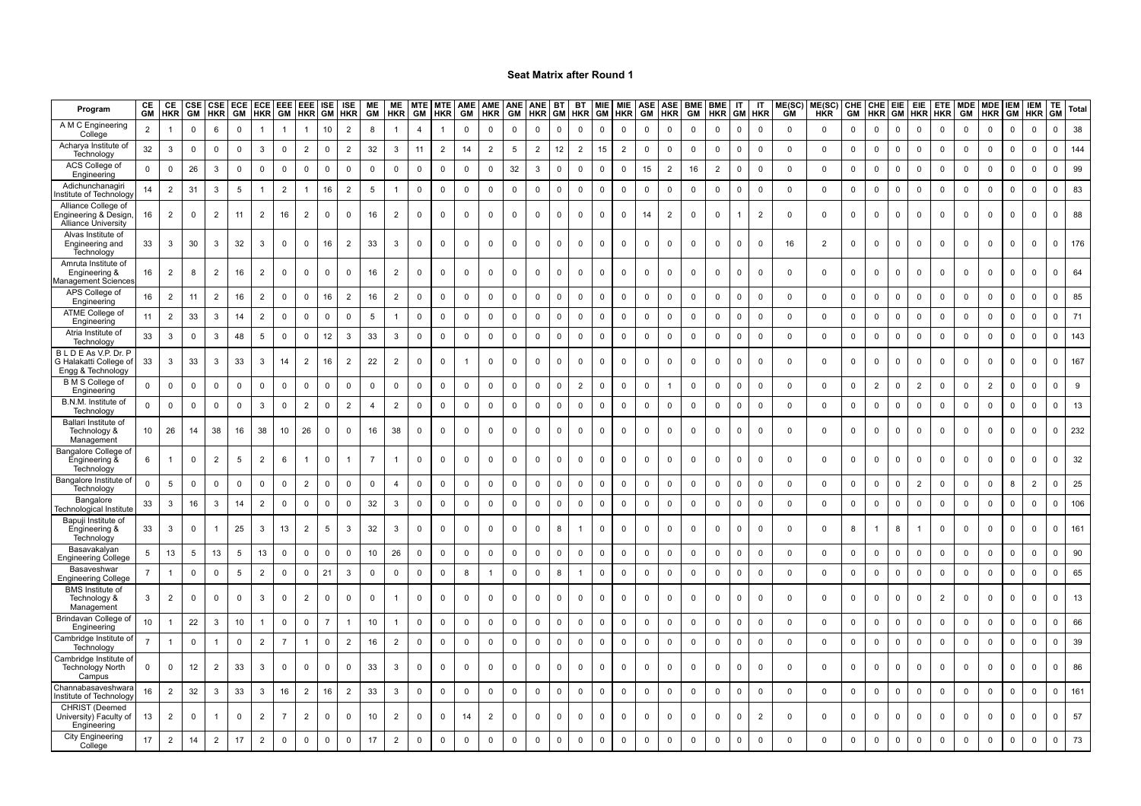| Program                                                                   | CE             | CE<br><b>GM HKR</b> | CSE <sup>I</sup><br>GM | HKR            | CSE ECE<br>GM | HKR            | GM             | ECE   EEE   EEE   ISE  <br><b>HKR</b> |                | <b>ISE</b><br><b>GM HKR</b> | <b>ME</b><br>GM | ME<br><b>HKR</b> | MTE MTE<br>GM  | <b>HKR</b>     | AME AME ANE<br>GM | HKR            | GM              | ANE BT<br>HKR GM |             | <b>BT</b><br><b>HKR</b> | MIE<br>GM   | <b>MIE</b><br><b>HKR</b> | <b>ASE</b><br>GM | ASE<br>HKR     | <b>BME</b><br>GM | <b>BME</b><br><b>HKR</b> | IT<br><b>GM</b> | IT<br><b>HKR</b> | ME(SC)<br><b>GM</b> | ME(SC)<br><b>HKR</b> | <b>CHE</b><br>GM | CHE EIE<br>HKR | GM           | <b>HKR</b>     | <b>HKR</b>  | EIE   ETE   MDE   MDE   IEM  <br>GM | <b>HKR</b>     | GM          | <b>IEM</b><br><b>HKR</b> | TE.<br>GМ   | Total |
|---------------------------------------------------------------------------|----------------|---------------------|------------------------|----------------|---------------|----------------|----------------|---------------------------------------|----------------|-----------------------------|-----------------|------------------|----------------|----------------|-------------------|----------------|-----------------|------------------|-------------|-------------------------|-------------|--------------------------|------------------|----------------|------------------|--------------------------|-----------------|------------------|---------------------|----------------------|------------------|----------------|--------------|----------------|-------------|-------------------------------------|----------------|-------------|--------------------------|-------------|-------|
| A M C Engineering<br>College                                              | $\overline{2}$ |                     | $\Omega$               | 6              | 0             |                |                | -1                                    | 10             | $\overline{2}$              | 8               |                  | $\overline{4}$ |                | $\mathbf 0$       | $\Omega$       | 0               | 0                | 0           | 0                       | $\mathbf 0$ | $\mathbf 0$              | 0                | $\mathbf 0$    | $\mathbf 0$      | 0                        | 0               | 0                | $\mathbf 0$         | $\mathbf 0$          | $\mathbf 0$      | 0              | $^{\circ}$   | 0              | 0           | $\mathbf 0$                         | 0              | 0           | $\mathbf 0$              | $\mathbf 0$ | 38    |
| Acharya Institute of<br>Technology                                        | 32             | 3                   | 0                      | 0              | $\mathbf 0$   | $\mathbf{3}$   | 0              | $\overline{2}$                        | 0              | $\overline{2}$              | 32              | 3                | 11             | $\overline{2}$ | 14                | $\overline{2}$ | $5\phantom{.0}$ | $\overline{2}$   | 12          | $\overline{2}$          | 15          | $\overline{2}$           | $\mathbf 0$      | $\mathbf 0$    | $\mathbf 0$      | 0                        | 0               | 0                | $\mathbf 0$         | $\mathbf 0$          | 0                | $\mathbf 0$    | $\mathbf 0$  | 0              | 0           | 0                                   | $\mathbf 0$    | $\Omega$    | 0                        | $\mathbf 0$ | 144   |
| ACS College of<br>Engineering                                             | $\mathsf 0$    | $\mathbf 0$         | 26                     | $\mathbf{3}$   | $\mathbf 0$   | $\overline{0}$ | $\mathsf 0$    | $\mathsf 0$                           | $\mathsf 0$    | $\mathsf 0$                 | $\mathsf 0$     | $\mathsf 0$      | $\mathsf 0$    | $\mathsf 0$    | $\mathsf 0$       | $\Omega$       | 32              | $\mathbf{3}$     | $\mathbf 0$ | $\Omega$                | $\Omega$    | $\mathbf 0$              | 15               | $\overline{2}$ | 16               | $\overline{2}$           | $\Omega$        | $\mathsf 0$      | $\mathbf 0$         | $\mathsf 0$          | $\mathbf 0$      | $\mathsf 0$    | $\mathbf 0$  | $\Omega$       | $\mathsf 0$ | $\mathbf 0$                         | $\mathbf 0$    | $\Omega$    | $\Omega$                 | $\Omega$    | 99    |
| Adichunchanagir<br>stitute of Technolog                                   | 14             | $\overline{2}$      | 31                     | 3              | 5             |                | $\overline{2}$ |                                       | 16             | $\overline{2}$              | 5               |                  | $\mathsf 0$    | $\mathsf 0$    | $\mathbf 0$       | $\Omega$       | $\mathsf 0$     | $\mathbf 0$      | 0           | $\Omega$                | $\Omega$    | $\Omega$                 | $\mathsf 0$      | $\mathsf 0$    | $\Omega$         | $\mathbf 0$              | $\mathsf 0$     | $\mathbf 0$      | $\mathbf 0$         | $\mathbf 0$          | $\mathbf 0$      | $\mathsf 0$    | $\mathbf 0$  | $\mathsf 0$    | $\mathbf 0$ | $\mathbf 0$                         | $\mathsf 0$    | $\Omega$    | $\mathbf 0$              | $\Omega$    | 83    |
| Alliance College of<br>Ingineering & Design<br><b>Alliance University</b> | 16             | $\overline{2}$      | $\mathbf 0$            | $\overline{2}$ | 11            | $\overline{2}$ | 16             | $\overline{2}$                        | 0              | 0                           | 16              | $\overline{2}$   | 0              | $\mathbf 0$    | 0                 | $\mathbf 0$    | 0               | $\mathbf 0$      | $\mathbf 0$ |                         | $\Omega$    | $\mathbf 0$              | 14               | $\overline{2}$ | $\Omega$         | 0                        |                 | $\overline{2}$   | $\mathbf 0$         | 0                    | $\mathbf 0$      | 0              | 0            | $\mathbf 0$    | 0           | $\mathbf 0$                         | $\mathbf 0$    | 0           | $\Omega$                 | $\Omega$    | 88    |
| Alvas Institute of<br>Engineering and<br>Technology                       | 33             | 3                   | 30                     | 3              | 32            | $\mathbf{3}$   | $\mathbf 0$    | $\mathbf 0$                           | 16             | $\overline{2}$              | 33              | 3                | $\mathbf 0$    | $\mathbf 0$    | $\mathbf 0$       | $\Omega$       | $\mathbf 0$     | $\mathbf 0$      | 0           | $\mathbf 0$             | $\Omega$    | $\mathbf 0$              | $\mathbf 0$      | $\mathbf 0$    | $\mathbf 0$      | $\mathbf 0$              | $\mathbf 0$     | $\mathbf 0$      | 16                  | $\overline{2}$       | $\mathbf 0$      | $\mathbf 0$    | $\mathsf{O}$ | $\mathbf 0$    | 0           | $\mathbf 0$                         | $\mathbf 0$    | 0           | $\Omega$                 | $\mathbf 0$ | 176   |
| Amruta Institute of<br>Engineering &                                      | 16             | $\overline{2}$      | 8                      | $\overline{2}$ | 16            | $\overline{2}$ | 0              | 0                                     | 0              | 0                           | 16              | $\overline{2}$   | 0              | $\mathbf 0$    | 0                 | $\mathbf 0$    | $\mathbf 0$     | $\mathbf 0$      | 0           | 0                       | $\Omega$    | $\mathbf 0$              | $\mathsf{O}$     | $\mathbf 0$    | $\Omega$         | 0                        | 0               | 0                | 0                   | 0                    | 0                | $\mathbf 0$    | $\mathsf{O}$ | $\mathbf 0$    | 0           | $\mathbf 0$                         | $\mathbf 0$    | $\mathbf 0$ | 0                        | $\Omega$    | 64    |
| anagement Sciences<br>APS College of<br>Engineering                       | 16             | $\overline{2}$      | 11                     | $\overline{2}$ | 16            | $\overline{2}$ | $\mathbf 0$    | $\mathsf 0$                           | 16             | $\overline{2}$              | 16              | $\overline{2}$   | $\mathsf 0$    | $\mathsf 0$    | $\mathsf 0$       | $\mathbf 0$    | $\mathsf 0$     | $\mathbf 0$      | $\mathbf 0$ | $\mathbf 0$             | $\Omega$    | $\mathbf 0$              | $\mathbf 0$      | $\mathsf 0$    | $\mathbf 0$      | $\mathbf 0$              | $\mathsf 0$     | $\mathsf 0$      | $\mathbf 0$         | $\mathsf 0$          | $\mathbf 0$      | $\mathsf 0$    | $\mathbf 0$  | $\mathsf 0$    | $\mathbf 0$ | $\overline{0}$                      | $\mathsf 0$    | $\Omega$    | $\Omega$                 | $\mathsf 0$ | 85    |
| ATME College o<br>Engineering                                             | 11             | $\overline{2}$      | 33                     | 3              | 14            | $\overline{2}$ | $\Omega$       | $\Omega$                              | $\Omega$       | $\mathbf 0$                 | 5               |                  | $\mathbf 0$    | $\Omega$       | $\mathbf 0$       | $\Omega$       | $\mathbf 0$     | 0                | $\mathbf 0$ | $\Omega$                | $\Omega$    | $\Omega$                 | $\mathbf 0$      | $\overline{0}$ |                  | $\Omega$                 | $\Omega$        | $\mathbf 0$      | $\mathbf 0$         | $\mathbf 0$          | $\Omega$         | $\mathbf 0$    | $\Omega$     | $\Omega$       | $\Omega$    | $\Omega$                            | $\mathbf{0}$   | $\Omega$    | $\Omega$                 | $\Omega$    | 71    |
| Atria Institute of<br>Technology                                          | 33             | 3                   | $\mathbf 0$            | 3              | 48            | 5              | $\mathbf 0$    | $\mathbf 0$                           | 12             | 3                           | 33              | 3                | $\mathbf 0$    | $\mathsf 0$    | $\mathbf 0$       | $\mathbf 0$    | $\mathbf 0$     | $\mathbf 0$      | $\mathbf 0$ | $\mathbf 0$             | $\Omega$    | $\mathbf 0$              | $\mathbf 0$      | $\overline{0}$ | $\mathbf 0$      | $\mathbf 0$              | $\mathbf 0$     | $\overline{0}$   | $\mathbf 0$         | $\mathbf 0$          | $\mathbf 0$      | $\mathbf 0$    | $\mathbf 0$  | $\mathbf 0$    | $\mathbf 0$ | $\mathbf 0$                         | $\overline{0}$ | $\mathbf 0$ | $\Omega$                 | $\mathbf 0$ | 143   |
| BLDEAs V.P. Dr. P<br>G Halakatti College of<br>Engg & Technology          | 33             | 3                   | 33                     | 3              | 33            | 3              | 14             | $\overline{2}$                        | 16             | $\overline{2}$              | 22              | $\overline{2}$   | $\mathbf 0$    | $\mathbf 0$    |                   | 0              | $\mathbf 0$     | $\mathbf 0$      | 0           | $\mathbf 0$             | $\Omega$    | $\mathbf 0$              | $\mathbf 0$      | $\mathbf 0$    | $\Omega$         | 0                        | $\mathbf 0$     | 0                | $\mathbf 0$         | 0                    | 0                | $\mathbf 0$    | $\mathsf{O}$ | $\mathbf 0$    | 0           | $\mathbf 0$                         | $\mathbf 0$    | $\mathbf 0$ | $\mathbf 0$              | $\Omega$    | 167   |
| <b>B</b> M S College of<br>Engineering                                    | $\mathbf 0$    | $\mathbf 0$         | 0                      | $\mathbf 0$    | $\mathbf 0$   | $\mathbf 0$    | 0              | 0                                     | $\mathbf 0$    | 0                           | 0               | 0                | 0              | $\mathsf 0$    | 0                 | $\Omega$       | $\mathbf 0$     | 0                | 0           | 2                       | $\Omega$    | $\mathbf 0$              | $\mathbf 0$      | $\mathbf{1}$   | $\mathbf 0$      | $\mathbf 0$              | $\mathbf 0$     | 0                | $\mathbf 0$         | 0                    | $\mathbf 0$      | $\overline{2}$ | $^{\circ}$   | $\overline{2}$ | 0           | $\mathbf 0$                         | $\overline{2}$ | 0           | $\mathbf 0$              | $\Omega$    | 9     |
| B.N.M. Institute of<br>Technology                                         | $\mathbf 0$    | $\mathsf 0$         | $\mathbf 0$            | $\mathbf 0$    | $\mathsf 0$   | 3              | $\mathbf 0$    | $\overline{2}$                        | $\mathbf 0$    | $\overline{2}$              | $\overline{4}$  | $\overline{2}$   | $\mathbf 0$    | $\mathsf 0$    | $\mathsf 0$       | $\mathbf 0$    | $\mathsf 0$     | $\mathbf 0$      | $\mathbf 0$ | $\mathbf 0$             | $\mathbf 0$ | $\mathbf 0$              | $\mathsf 0$      | $\mathbf 0$    | $\mathbf 0$      | $\mathbf 0$              | $\mathbf 0$     | $\mathbf 0$      | $\mathbf 0$         | $\mathsf 0$          | $\mathbf 0$      | $\mathsf 0$    | $\mathbf 0$  | $\mathbf 0$    | $\mathbf 0$ | $\mathbf 0$                         | $\overline{0}$ | $\mathbf 0$ | $\mathsf 0$              | $\mathsf 0$ | 13    |
| Ballari Institute of<br>Technology &<br>Management                        | 10             | 26                  | 14                     | 38             | 16            | 38             | 10             | 26                                    | $\mathbf 0$    | $\mathbf 0$                 | 16              | 38               | $\mathbf 0$    | $\mathbf 0$    | $\mathbf 0$       | $\Omega$       | $\mathbf 0$     | $\mathbf 0$      | $\mathbf 0$ | $\Omega$                | $\Omega$    | $\Omega$                 | $\mathbf 0$      | $\mathbf 0$    | $\Omega$         | $\mathbf 0$              | $\mathbf 0$     | $\mathbf 0$      | $\mathbf 0$         | $\mathbf 0$          | $\mathbf 0$      | $\mathbf 0$    | $\mathbf{0}$ | $\mathbf 0$    | $\mathbf 0$ | $\mathbf{0}$                        | $\overline{0}$ | $\Omega$    | $\mathbf 0$              | $\mathbf 0$ | 232   |
| Bangalore College of<br>Engineering &<br>Technology                       | 6              |                     | $\Omega$               | $\overline{2}$ | 5             | $\overline{2}$ | 6              | $\mathbf{1}$                          | 0              | -1                          | $\overline{7}$  | $\mathbf{1}$     | 0              | 0              | 0                 | $\Omega$       | 0               | 0                | 0           | $\Omega$                | $\Omega$    | $\mathbf 0$              | 0                | $\mathbf 0$    | $\mathbf 0$      | 0                        | 0               | 0                | 0                   | 0                    | 0                | 0              | 0            | 0              | $\Omega$    | 0                                   | 0              | $\Omega$    | $\Omega$                 | $\Omega$    | 32    |
| Bangalore Institute of<br>Technology                                      | $\mathbf 0$    | $\sqrt{5}$          | $\mathbf 0$            | $\pmb{0}$      | $\mathbf 0$   | $\mathsf 0$    | $\mathbf 0$    | $\overline{2}$                        | $\mathbf 0$    | $\mathsf 0$                 | $\mathsf 0$     | 4                | $\mathbf 0$    | $\mathbf 0$    | $\mathbf 0$       | $\mathbf 0$    | $\mathbf 0$     | $\mathbf 0$      | $\mathsf 0$ | $\mathbf 0$             | $\mathsf 0$ | $\mathbf 0$              | $\mathbf 0$      | $\mathsf 0$    | $\mathbf 0$      | $\mathbf 0$              | $\mathbf 0$     | $\mathbf 0$      | $\mathbf 0$         | $\mathbf 0$          | $\mathbf 0$      | $\mathsf 0$    | $\mathbf 0$  | $\overline{2}$ | $\mathbf 0$ | $\mathbf 0$                         | $\mathbf 0$    | 8           | 2                        | $\mathbf 0$ | 25    |
| Bangalore<br>echnological Institute                                       | 33             | 3                   | 16                     | $\mathbf{3}$   | 14            | $\overline{2}$ | $\mathsf 0$    | $\mathbf 0$                           | $\mathbf 0$    | $\mathbf 0$                 | 32              | 3                | $\mathbf 0$    | $\mathbf 0$    | $\mathbf 0$       | $\mathbf 0$    | $\mathbf 0$     | $\mathbf 0$      | 0           | 0                       | $\mathbf 0$ | $\mathbf 0$              | $\mathbf 0$      | $\mathsf 0$    | $\Omega$         | $\mathbf 0$              | $\mathbf 0$     | $\mathbf 0$      | $\mathsf{O}$        | $\mathbf 0$          | $\mathbf 0$      | $\mathbf 0$    | $\mathsf{O}$ | $\mathbf 0$    | 0           | $\mathbf 0$                         | $\mathbf 0$    | $\mathbf 0$ | $\mathbf 0$              | $\Omega$    | 106   |
| Bapuji Institute of<br>Engineering &<br>Technology                        | 33             | 3                   | $\Omega$               |                | 25            | 3              | 13             | $\overline{2}$                        | 5              | 3                           | 32              | 3                | $\Omega$       | $\mathbf{0}$   | $\Omega$          | $\Omega$       | $\mathbf 0$     | $\mathbf 0$      | 8           |                         | $\Omega$    | $\Omega$                 | $\mathbf 0$      | $\mathbf 0$    | $\Omega$         | $\mathbf 0$              | $\Omega$        | $\Omega$         | $\Omega$            | $\mathbf 0$          | 8                |                | 8            |                | $\Omega$    | $\Omega$                            | $\Omega$       | $\Omega$    | $\Omega$                 | $\Omega$    | 161   |
| Basavakalyan<br><b>Engineering College</b>                                | 5              | 13                  | 5                      | 13             | 5             | 13             | 0              | $\mathbf 0$                           | 0              | 0                           | 10              | 26               | 0              | $\mathbf 0$    | 0                 | $\mathbf 0$    | $\mathbf 0$     | 0                | 0           | 0                       | $\mathbf 0$ | $\pmb{0}$                | $\mathbf 0$      | $\mathbf 0$    | $\mathbf 0$      | 0                        | $\mathbf 0$     | 0                | $\mathbf 0$         | 0                    | $\mathbf 0$      | $\mathbf 0$    | 0            | 0              | 0           | $\pmb{0}$                           | $\mathbf 0$    | $\mathbf 0$ | $\mathbf{0}$             | $\mathbf 0$ | 90    |
| Basaveshwar<br><b>Engineering College</b>                                 | $\overline{7}$ |                     | $\mathsf 0$            | $\pmb{0}$      | 5             | $\overline{2}$ | $\mathbf 0$    | $\mathbf 0$                           | 21             | $\mathbf{3}$                | $\mathbf 0$     | $\mathbf 0$      | $\mathbf 0$    | $\mathbf 0$    | 8                 |                | $\mathbf 0$     | $\mathbf 0$      | 8           |                         | $\mathbf 0$ | $\pmb{0}$                | $\mathbf 0$      | $\mathbf 0$    | $\mathbf 0$      | $\mathbf 0$              | $\mathbf 0$     | $\mathbf 0$      | $\mathsf{O}$        | $\mathbf 0$          | 0                | 0              | $\mathsf{O}$ | $\mathbf 0$    | 0           | $\mathbf 0$                         | $\mathbf 0$    | $\mathbf 0$ | $\mathbf 0$              | $\mathbf 0$ | 65    |
| <b>BMS</b> Institute of<br>Technology &<br>Management                     | 3              | $\overline{2}$      | $\Omega$               | $\mathbf 0$    | $\Omega$      | 3              | $\mathbf 0$    | $\overline{2}$                        | $^{\circ}$     | $\mathbf 0$                 | $\Omega$        | $\mathbf{1}$     | $\mathbf{0}$   | $\mathbf 0$    | $\mathbf 0$       | $\Omega$       | $\mathbf 0$     | 0                | 0           | $\Omega$                | $\Omega$    | $\Omega$                 | $\mathbf 0$      | $\overline{0}$ | $\Omega$         | $^{\circ}$               | $\Omega$        | $\mathbf 0$      | $\mathbf 0$         | 0                    | $\mathbf 0$      | $\mathbf 0$    | $\Omega$     | $\Omega$       | 2           | $\Omega$                            | $\Omega$       | $\Omega$    | $\Omega$                 | $\Omega$    | 13    |
| Brindavan College of<br>Engineering                                       | 10             |                     | 22                     | 3              | 10            | $\mathbf{1}$   | $\mathbf 0$    | $\mathsf 0$                           | $\overline{7}$ | -1                          | 10              | -1               | $\mathbf 0$    | $\mathbf 0$    | 0                 | $\Omega$       | $\mathbf 0$     | $\mathbf 0$      | 0           | 0                       | $\Omega$    | $\pmb{0}$                | $\mathbf 0$      | $\mathbf 0$    | $\mathbf 0$      | 0                        | $\mathbf 0$     | $\mathbf 0$      | $\mathbf 0$         | $\mathbf 0$          | $\mathbf 0$      | $\mathbf 0$    | $\mathsf{O}$ | $\mathbf 0$    | $\mathbf 0$ | $\mathbf 0$                         | $\mathbf 0$    | 0           | $\mathbf 0$              | $\mathbf 0$ | 66    |
| Cambridge Institute of<br>Technology                                      | $\overline{7}$ |                     | $\Omega$               |                | $\mathbf 0$   | $\overline{2}$ | $\overline{7}$ | $\mathbf{1}$                          | $\mathbf 0$    | $\overline{2}$              | 16              | $\overline{2}$   | $\mathbf 0$    | $\mathsf 0$    | $\mathsf 0$       | $\mathbf 0$    | $\mathsf 0$     | $\mathbf 0$      | $\mathbf 0$ | $\Omega$                | $\Omega$    | $\mathbf 0$              | $\mathsf 0$      | $\mathsf 0$    | $\Omega$         | $\mathsf 0$              | $\mathbf 0$     | $\mathsf 0$      | $\mathbf 0$         | $\mathsf 0$          | $\mathsf 0$      | $\mathsf 0$    | $\mathbf 0$  | $\mathbf 0$    | $\mathbf 0$ | $\overline{0}$                      | $\mathsf 0$    | $\Omega$    | $\mathbf 0$              | $\mathbf 0$ | 39    |
| Cambridge Institute o<br><b>Technology North</b><br>Campus                | 0              | 0                   | 12                     | $\overline{2}$ | 33            | 3              | $\mathbf 0$    | $^{\circ}$                            | $^{\circ}$     | $\mathbf 0$                 | 33              | 3                | $\Omega$       | $\Omega$       | 0                 | $\Omega$       | $\Omega$        | 0                | 0           | $\Omega$                | $\Omega$    | $\Omega$                 | $\mathbf 0$      | $\mathbf 0$    | $\Omega$         | 0                        | $\Omega$        | 0                | $\mathbf 0$         | 0                    | $\mathbf 0$      | $\mathbf 0$    | $\mathbf 0$  | $\Omega$       | $\Omega$    | $\Omega$                            | $\Omega$       | $\Omega$    | $\Omega$                 | $\Omega$    | 86    |
| Channabasaveshwara<br>nstitute of Technology                              | 16             | $\overline{2}$      | 32                     | 3              | 33            | $\mathbf{3}$   | 16             | $\overline{2}$                        | 16             | $\overline{c}$              | 33              | 3                | $\mathbf{0}$   | $\mathsf 0$    | $\mathbf 0$       | $\mathbf 0$    | $\mathsf 0$     | $\mathbf 0$      | $\mathsf 0$ | $\mathbf 0$             | $\Omega$    | $\mathbf 0$              | 0                | $\mathbf 0$    | $\mathbf{0}$     | $\mathbf 0$              | $\mathbf 0$     | $\mathbf 0$      | $\mathsf 0$         | $\mathbf 0$          | $\mathbf 0$      | $\mathbf 0$    | $\mathsf{O}$ | $\mathsf 0$    | $\mathbf 0$ | $\mathbf 0$                         | $\overline{0}$ | 0           | $\mathbf 0$              | $\mathsf 0$ | 161   |
| CHRIST (Deemed<br>University) Faculty of<br>Engineering                   | 13             | $\overline{2}$      | 0                      |                | $\Omega$      | $\overline{2}$ | $\overline{7}$ | $\overline{2}$                        | $\mathbf 0$    | $\mathbf 0$                 | 10              | $\overline{2}$   | $^{\circ}$     | $\mathbf 0$    | 14                | $\overline{2}$ | $\mathbf 0$     | $\mathbf 0$      | 0           | $\Omega$                | $\Omega$    | $\Omega$                 | $\mathsf{O}$     | $\mathbf 0$    | $\mathbf 0$      | 0                        | $\Omega$        | $\overline{2}$   | $\mathbf 0$         | 0                    | $\mathbf 0$      | $\mathbf 0$    | $\mathbf 0$  | $\Omega$       | $\mathbf 0$ | $\Omega$                            | $\overline{0}$ | $\Omega$    | $\Omega$                 | $\mathbf 0$ | 57    |
| <b>City Engineering</b><br>College                                        | 17             | $\overline{2}$      | 14                     | $\overline{2}$ | 17            | $\overline{2}$ | $\mathbf 0$    | $\mathsf 0$                           | $\mathbf 0$    | $\mathsf 0$                 | 17              | $\overline{2}$   | $\mathsf 0$    | $\mathsf 0$    | $\Omega$          | $\Omega$       | $\mathbf 0$     | $\mathbf{0}$     | 0           | $\Omega$                | $\Omega$    | $\Omega$                 | $\mathbf 0$      | $\overline{0}$ | $\Omega$         | $\mathbf 0$              | $\mathbf 0$     | $\mathbf 0$      | $\Omega$            | $\Omega$             | $\Omega$         | $\mathsf 0$    | $\mathbf 0$  | $\mathbf 0$    | $\mathbf 0$ | $\mathbf 0$                         | $\overline{0}$ | $\Omega$    | $\Omega$                 | $\Omega$    | 73    |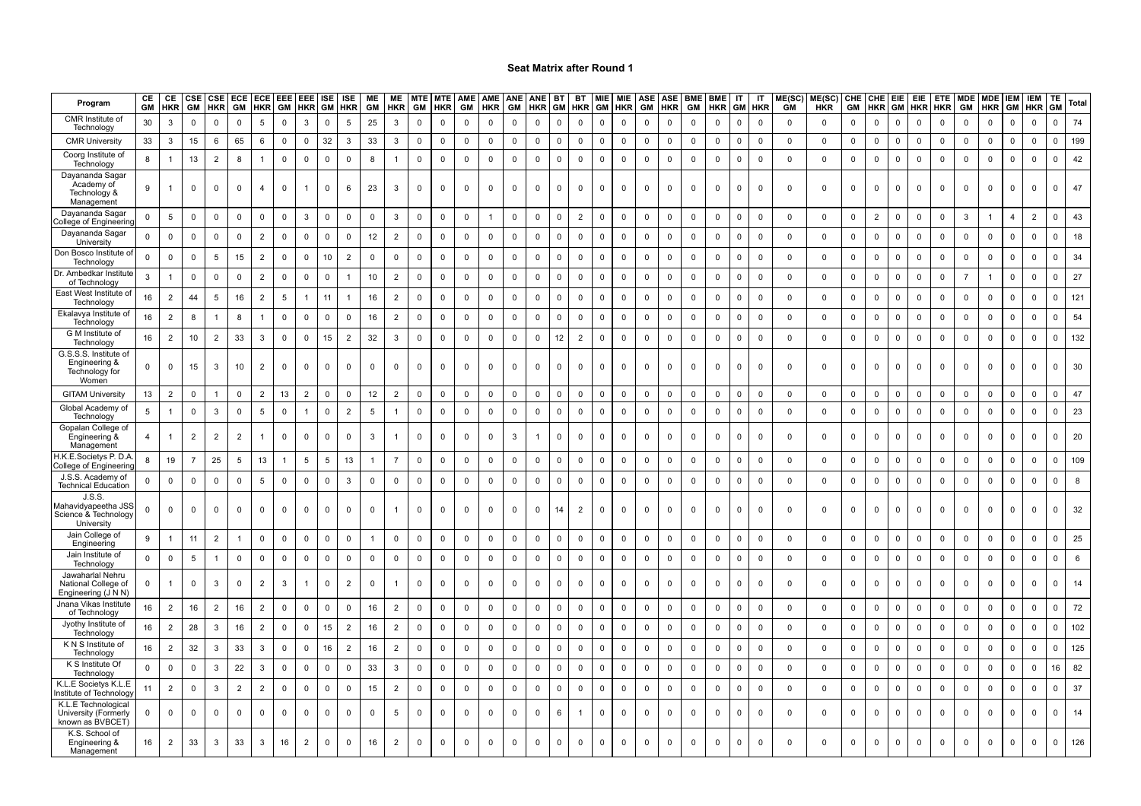| Program                                                             | CE<br>GМ       | CE<br><b>HKR</b> | CSE<br>GM      | <b>CSE</b><br><b>HKR</b> | ECE<br>GM               | <b>HKR</b>     | GM           | ECE EEE EEE<br><b>HKR</b> | ISE         | ISE<br><b>GM HKR</b> | ME<br>GM       | ME<br><b>HKR</b> | <b>MTE</b><br>GM | <b>MTE</b><br><b>HKR</b> | <b>AME</b><br>GM    | <b>AME</b><br><b>HKR</b> | <b>ANE</b><br>GM | <b>ANE</b><br><b>HKR</b> | <b>BT</b>      | BT<br><b>GM HKR</b> | <b>MIE</b><br><b>GM</b> | <b>HKR</b>  | MIE ASE<br><b>GM</b> | <b>ASE</b><br><b>HKR</b> | <b>BME</b><br>GM | <b>BME</b><br><b>HKR</b> | IT<br><b>GM</b> | IT<br><b>HKR</b> | ME(SC)<br><b>GM</b> | ME(SC)<br><b>HKR</b> | GM           |                | CHE CHE EIE<br><b>HKR GM</b> | EIE<br><b>HKR HKR</b> | <b>ETE</b>  | <b>MDE</b><br>GM | <b>MDE</b><br><b>HKR</b> | <b>IEM</b><br>GM | <b>IEM</b><br><b>HKR</b> | TE<br><b>GM</b> | Total      |
|---------------------------------------------------------------------|----------------|------------------|----------------|--------------------------|-------------------------|----------------|--------------|---------------------------|-------------|----------------------|----------------|------------------|------------------|--------------------------|---------------------|--------------------------|------------------|--------------------------|----------------|---------------------|-------------------------|-------------|----------------------|--------------------------|------------------|--------------------------|-----------------|------------------|---------------------|----------------------|--------------|----------------|------------------------------|-----------------------|-------------|------------------|--------------------------|------------------|--------------------------|-----------------|------------|
| CMR Institute of<br>Technology                                      | 30             | 3                | 0              | $\mathbf 0$              | $\Omega$                | 5              | $\mathbf 0$  | 3                         | $\mathbf 0$ | 5                    | 25             | $\mathbf{3}$     | $\mathbf 0$      | $\mathbf 0$              | 0                   | $\mathbf 0$              | $\mathbf 0$      | $\mathbf 0$              | $\mathbf 0$    | $\mathbf 0$         | $\mathbf 0$             | 0           | 0                    | 0                        | $\mathbf 0$      | 0                        | $\mathbf 0$     | $\mathbf 0$      | $\mathbf 0$         | $\mathbf 0$          | $\mathbf 0$  | 0              | $\mathbf 0$                  | $\mathbf 0$           | $\mathbf 0$ | $\mathbf 0$      | 0                        | $\mathbf 0$      | $\overline{0}$           | $\Omega$        | 74         |
| <b>CMR University</b>                                               | 33             | 3                | 15             | 6                        | 65                      | 6              | 0            | 0                         | 32          | 3                    | 33             | 3                | 0                | $\mathbf 0$              | 0                   | $\mathbf 0$              | $\mathbf 0$      | 0                        | $\mathbf 0$    | $\mathbf 0$         | $\mathbf 0$             | 0           | 0                    | $\mathbf 0$              | $\mathbf 0$      | 0                        | $\mathbf 0$     | $\mathbf 0$      | $\mathbf 0$         | $\mathbf 0$          | $\mathbf 0$  | 0              | $\mathbf 0$                  | $\mathbf 0$           | $\mathbf 0$ | 0                | $\mathbf 0$              | $\mathbf 0$      | $\overline{\mathbf{0}}$  | $\Omega$        | 199        |
| Coorg Institute of<br>Technology                                    | 8              | $\mathbf{1}$     | 13             | $\overline{2}$           | 8                       | $\overline{1}$ | $\mathbf 0$  | $\mathsf 0$               | $\mathsf 0$ | $\mathsf 0$          | 8              | $\mathbf{1}$     | $\mathsf 0$      | $\mathbf 0$              | $\mathbf 0$         | $\mathbf 0$              | $\mathsf 0$      | $\mathsf 0$              | $\mathsf 0$    | $\mathbf 0$         | $\mathsf 0$             | $\mathsf 0$ | $\mathbf 0$          | $\mathsf 0$              | $\mathbf 0$      | $\mathbf 0$              | $\mathbf 0$     | $\mathsf 0$      | $\mathsf 0$         | $\mathsf 0$          | $\mathbf 0$  | $\mathsf 0$    | $\mathsf 0$                  | $\mathbf 0$           | $\mathsf 0$ | $\mathbf 0$      | $\mathsf 0$              | $\mathbf 0$      | $\mathbf 0$              | $\Omega$        | 42         |
| Dayananda Sagar<br>Academy of<br>Technology &<br>Management         | 9              | $\mathbf{1}$     | 0              | $\Omega$                 | $\mathbf 0$             | 4              | $\mathbf 0$  |                           | $\Omega$    | 6                    | 23             | 3                | $\mathbf 0$      | $\Omega$                 | $\mathbf{0}$        | $\mathbf 0$              | $\mathbf 0$      | 0                        | $\mathbf 0$    | $\mathbf 0$         | $\mathbf 0$             | 0           | $\mathbf 0$          | 0                        | $\mathbf 0$      | $\Omega$                 | $\Omega$        | $\Omega$         | $\mathbf 0$         | 0                    | 0            | 0              | 0                            | $\mathbf 0$           | 0           | 0                | $\Omega$                 | - 0              | $^{\circ}$               | $\Omega$        | 47         |
| Dayananda Sagar<br>ollege of Engineerin                             | $\mathbf 0$    | 5                | $\mathbf 0$    | $\mathbf 0$              | $\mathbf 0$             | $\mathbf 0$    | $\mathbf 0$  | 3                         | $\mathbf 0$ | $\mathbf 0$          | $\mathsf 0$    | $\mathbf{3}$     | $\mathbf 0$      | $\mathsf 0$              | $\mathbf 0$         | $\overline{1}$           | $\mathbf 0$      | $\mathsf 0$              | $\mathsf 0$    | $\overline{2}$      | $\mathbf 0$             | $\mathbf 0$ | $\overline{0}$       | $\mathbf 0$              | $\mathbf 0$      | 0                        | $\mathsf 0$     | $\mathbf 0$      | $\mathsf 0$         | $\mathbf 0$          | $\mathbf 0$  | $\overline{2}$ | $\mathbf 0$                  | $\mathbf 0$           | $\mathsf 0$ | 3                | $\mathbf{1}$             | $\overline{4}$   | $\overline{2}$           | $\mathbf 0$     | 43         |
| Dayananda Sagar<br>University                                       | $\mathbf 0$    | $\mathsf 0$      | $\mathbf 0$    | $\mathbf 0$              | $\mathbf 0$             | $\overline{2}$ | $\Omega$     | $\mathbf 0$               | $\mathbf 0$ | $\mathbf 0$          | 12             | $\overline{2}$   | $\mathbf 0$      | $\mathbf 0$              | $\mathbf 0$         | $\mathbf 0$              | $\mathbf 0$      | $\mathbf 0$              | $\mathbf 0$    | $\mathbf 0$         | $\mathbf 0$             | $\mathbf 0$ | $\mathsf 0$          | $\mathbf 0$              | $\mathbf 0$      | $\mathbf 0$              | $\mathbf 0$     | $\mathbf 0$      | $\mathsf 0$         | $\mathsf 0$          | $\mathbf 0$  | $\mathbf 0$    | $\mathbf 0$                  | $\mathsf 0$           | $\mathbf 0$ | $\mathbf 0$      | $\mathbf 0$              | $\mathbf 0$      | $\mathbf{0}$             | $\Omega$        | 18         |
| Don Bosco Institute o<br>Technology                                 | $\mathbf 0$    | $\mathbf 0$      | $\mathbf 0$    | 5                        | 15                      | $\overline{2}$ | $\mathbf 0$  | $\mathsf 0$               | $10$        | $\overline{2}$       | $\mathbf 0$    | $\mathbf 0$      | $\mathbf 0$      | $\mathsf 0$              | $\mathbf 0$         | $\mathbf 0$              | $\mathbf 0$      | $\mathbf 0$              | $\mathsf 0$    | $\mathbf 0$         | $\mathbf 0$             | $\mathsf 0$ | $\mathbf 0$          | $\mathsf 0$              | $\mathbf 0$      | 0                        | $\mathsf 0$     | $\mathsf 0$      | $\mathsf 0$         | $\mathsf 0$          | $\mathsf 0$  | $\mathsf 0$    | $\mathbf 0$                  | $\mathbf 0$           | $\mathsf 0$ | $\mathbf 0$      | $\mathsf 0$              | $\mathbf 0$      | $\mathbf 0$              | $\Omega$        | 34         |
| Dr. Ambedkar Institute<br>of Technology                             | $\mathbf{3}$   |                  | $\mathbf 0$    | $\Omega$                 | $\mathbf 0$             | $\overline{2}$ | $\mathbf 0$  | $\mathbf 0$               | $\mathbf 0$ | $\mathbf{1}$         | 10             | $\overline{2}$   | $\mathbf 0$      | $\mathbf 0$              | $\mathbf 0$         | $\mathsf 0$              | $\mathbf 0$      | $\mathbf 0$              | $\overline{0}$ | $\mathbf 0$         | $\Omega$                | $\mathbf 0$ | $\mathbf 0$          | $\Omega$                 | $\mathbf 0$      | $\mathbf 0$              | $\mathbf 0$     | $\Omega$         | $\mathbf 0$         | $\mathsf 0$          | $\mathbf 0$  | $\mathbf 0$    | $\mathbf 0$                  | $\mathbf 0$           | $\mathbf 0$ | $\overline{7}$   |                          | $\mathbf 0$      | $\mathbf 0$              | $\Omega$        | 27         |
| East West Institute of<br>Technology                                | 16             | $\overline{2}$   | 44             | 5                        | 16                      | $\overline{2}$ | 5            |                           | 11          | $\mathbf{1}$         | 16             | $\overline{2}$   | 0                | $\mathbf 0$              | 0                   | $\mathbf 0$              | $\mathbf{0}$     | $\mathbf 0$              | $\mathbf 0$    | $\mathbf 0$         | $\mathbf 0$             | $\mathbf 0$ | 0                    | $\mathbf 0$              | $\Omega$         | $\mathbf 0$              | $\mathbf 0$     | $\mathbf 0$      | $\mathbf 0$         | $\mathbf 0$          | $\mathbf 0$  | $\mathbf 0$    | $\mathbf 0$                  | $\overline{0}$        | $\mathsf 0$ | $\mathbf 0$      | $\Omega$                 | $\mathbf 0$      | $\mathsf 0$              | $\Omega$        | 121        |
| Ekalavya Institute of<br>Technology                                 | 16             | $\overline{2}$   | 8              |                          | 8                       | $\overline{1}$ | $\mathbf{0}$ | $\mathbf 0$               | $\mathbf 0$ | $\mathsf 0$          | 16             | $\overline{2}$   | $\mathbf 0$      | $\mathsf 0$              | $\mathbf 0$         | $\mathbf 0$              | $\mathsf 0$      | $\mathbf 0$              | $\mathsf 0$    | $\mathbf 0$         | $\mathbf 0$             | $\mathsf 0$ | $\mathbf 0$          | $\mathsf 0$              | $\mathbf 0$      | 0                        | $\mathsf 0$     | $\mathbf 0$      | $\mathsf 0$         | $\mathbf 0$          | $\mathbf 0$  | $\mathbf 0$    | $\mathbf 0$                  | $\mathsf 0$           | $\mathsf 0$ | $\mathbf 0$      | $\mathbf 0$              | $\mathbf 0$      | $\mathbf{0}$             | $\Omega$        | 54         |
| G M Institute of<br>Technology                                      | 16             | $\overline{2}$   | 10             | $\overline{2}$           | 33                      | 3              | $\mathsf 0$  | $\mathbf 0$               | 15          | $\overline{2}$       | 32             | $\mathbf{3}$     | $\mathsf 0$      | $\mathsf 0$              | $\mathbf 0$         | $\mathbf 0$              | $\mathbf 0$      | $\mathsf 0$              | 12             | $\overline{2}$      | $\mathbf 0$             | $\mathsf 0$ | $\mathsf 0$          | $\mathsf 0$              | $\mathbf 0$      | $\mathbf 0$              | $\mathbf 0$     | $\mathbf 0$      | $\mathsf 0$         | $\mathsf 0$          | $\mathsf 0$  | $\mathsf 0$    | $\mathbf 0$                  | $\mathsf 0$           | $\mathsf 0$ | $\mathbf 0$      | $\mathsf 0$              | $\mathbf 0$      | $\mathsf 0$              | 0               | 132        |
| G.S.S.S. Institute of<br>Engineering &<br>Technology for<br>Women   | $\mathbf{0}$   | $\mathbf 0$      | 15             | 3                        | 10                      | $\overline{2}$ | $\Omega$     |                           | $\Omega$    | $\Omega$             | $\Omega$       | $\mathbf 0$      | $\Omega$         | $\Omega$                 | $\Omega$            | $\mathbf 0$              | $\mathbf 0$      | $\Omega$                 | $\Omega$       | $\mathbf 0$         | $\mathbf 0$             | $\Omega$    | $\mathbf 0$          | $\Omega$                 | $\mathbf 0$      | $\Omega$                 | $\Omega$        | $\Omega$         | $\Omega$            | $\mathbf 0$          | $\Omega$     | $\mathbf 0$    | $\Omega$                     | $\mathbf 0$           | $\Omega$    | $\Omega$         | $\Omega$                 | $\Omega$         | $\Omega$                 |                 | 30         |
| <b>GITAM University</b>                                             | 13             | $\overline{2}$   | $\mathbf 0$    |                          | $\mathbf 0$             | $\overline{2}$ | 13           | $\overline{2}$            | $\mathbf 0$ | $\mathsf 0$          | 12             | $\overline{2}$   | $\mathbf 0$      | $\mathsf 0$              | $\mathbf 0$         | $\mathbf 0$              | $\mathsf 0$      | $\mathsf 0$              | $\mathsf 0$    | $\mathbf 0$         | $\Omega$                | $\mathsf 0$ | $\mathsf 0$          | $\mathsf 0$              | $\mathbf 0$      | 0                        | $\mathbf 0$     | $\mathsf 0$      | $\mathsf 0$         | $\mathbf 0$          | $\mathbf 0$  | $\mathsf 0$    | $\mathsf 0$                  | $\mathbf 0$           | $\mathsf 0$ | $\mathbf 0$      | $\mathsf 0$              | $\mathbf 0$      | $\overline{0}$           | $\Omega$        | 47         |
| Global Academy of<br>Technology                                     | 5              |                  | $\mathbf 0$    | 3                        | $\overline{\mathbf{0}}$ | 5              | $\mathbf 0$  |                           | $\mathbf 0$ | $\overline{2}$       | 5              | $\mathbf{1}$     | $\mathbf 0$      | $\mathbf 0$              | $\mathbf 0$         | $\mathbf 0$              | $\mathbf 0$      | $\mathbf 0$              | $\mathbf 0$    | $\mathbf 0$         | $\mathbf{0}$            | $\mathbf 0$ | $\mathbf 0$          | $\mathbf 0$              | $\mathbf 0$      | 0                        | $\mathbf 0$     | $\mathbf 0$      | $\mathbf 0$         | $\mathbf 0$          | $\mathbf 0$  | $\mathbf 0$    | $\mathsf{O}$                 | $\mathbf 0$           | $\mathbf 0$ | $\mathbf 0$      | $\Omega$                 | $\mathbf{0}$     | $\mathbf 0$              | $\Omega$        | 23         |
| Gopalan College of<br>Engineering &<br>Management                   | $\overline{4}$ | -1               | $\overline{2}$ | $\overline{2}$           | $\overline{2}$          | -1             | $\mathbf 0$  | $\Omega$                  | 0           | $\Omega$             | 3              |                  | $\mathbf 0$      | $\mathbf 0$              | $\mathbf 0$         | $\mathsf 0$              | $\mathbf{3}$     |                          | $\mathbf 0$    | $\mathbf 0$         | $\mathsf{O}$            | $\mathbf 0$ | $\mathbf 0$          | $\Omega$                 | $\mathbf 0$      | 0                        | $\Omega$        | $\Omega$         | $\mathsf 0$         | $\mathbf 0$          | $\mathbf 0$  | $\mathbf 0$    | $\mathbf 0$                  | $\mathbf 0$           | $\mathsf 0$ | $\mathbf 0$      | $\Omega$                 | $\Omega$         | $\mathbf 0$              | n.              | 20         |
| H.K.E.Societys P.D.A<br>College of Engineerin                       | 8              | 19               | $\overline{7}$ | 25                       | $5\phantom{.0}$         | 13             | -1           | 5                         | 5           | 13                   | -1             | $\overline{7}$   | $\mathsf 0$      | $\mathsf 0$              | $\mathbf 0$         | $\mathsf 0$              | $\mathsf 0$      | $\mathsf 0$              | $\mathsf 0$    | $\mathbf 0$         | $\Omega$                | $\mathsf 0$ | $\mathsf 0$          | $\mathsf 0$              | $\mathsf 0$      | $\mathbf 0$              | $\mathbf 0$     | $\mathbf 0$      | $\mathsf 0$         | $\mathsf 0$          | $\mathsf 0$  | $\mathsf 0$    | $\mathsf 0$                  | $\mathsf 0$           | $\mathsf 0$ | $\mathbf 0$      | $\mathsf 0$              | $\mathbf 0$      | $\overline{0}$           | $\Omega$        | 109        |
| J.S.S. Academy of<br><b>Technical Education</b>                     | $\mathbf 0$    | $\mathbf 0$      | $\mathbf 0$    | $\mathbf 0$              | $\mathbf 0$             | 5              | $\mathbf 0$  | $\mathbf 0$               | $\mathbf 0$ | 3                    | $\mathbf 0$    | $\mathbf 0$      | $\mathbf 0$      | $\mathbf 0$              | $\mathbf 0$         | $\mathbf 0$              | $\mathbf 0$      | $\mathbf 0$              | $\mathbf 0$    | $\mathsf 0$         | $\mathsf{O}$            | $\mathbf 0$ | $\mathbf 0$          | $\mathbf 0$              | $\mathbf 0$      | 0                        | $\mathbf 0$     | $\mathbf 0$      | $\mathsf 0$         | $\mathbf 0$          | $\mathsf{O}$ | $\mathbf 0$    | $\mathbf 0$                  | $\mathbf 0$           | $\mathbf 0$ | $\mathbf 0$      | $\mathbf 0$              | $\mathbf 0$      | $\mathbf 0$              | $\Omega$        | 8          |
| J.S.S.<br>Mahavidyapeetha JSS<br>Science & Technology<br>University | $\Omega$       | $\mathbf 0$      | $\mathbf 0$    | $\mathbf 0$              | $\mathbf 0$             | 0              | $\mathbf 0$  | $\mathbf 0$               | $\Omega$    | 0                    | $\mathbf 0$    |                  | $^{\circ}$       | $\mathbf 0$              | $^{\circ}$          | $\mathbf 0$              | $\mathbf 0$      | 0                        | 14             | $\overline{2}$      | $^{\circ}$              | $\Omega$    | $\mathbf 0$          | $\Omega$                 | $\mathbf 0$      | $^{\circ}$               | $\Omega$        | $\Omega$         | $\mathbf 0$         | $\mathbf{0}$         | 0            | $\mathbf{0}$   | $\mathbf 0$                  | $\mathbf 0$           | $\Omega$    | $\Omega$         | $\Omega$                 | $\Omega$         | $^{\circ}$               | $\Omega$        | 32         |
| Jain College of<br>Engineering                                      | 9              |                  | 11             | $\overline{2}$           | $\overline{1}$          | $\mathbf 0$    | $\mathbf 0$  | $\mathbf 0$               | $\mathbf 0$ | $\mathbf 0$          | $\overline{1}$ | $\mathbf 0$      | $\mathbf 0$      | $\mathbf 0$              | $\mathbf 0$         | $\mathbf 0$              | $\mathsf 0$      | $\mathbf 0$              | $\mathsf 0$    | $\mathsf 0$         | $\mathsf 0$             | $\mathbf 0$ | $\mathbf 0$          | $\mathbf 0$              | $\mathbf 0$      | $\mathbf 0$              | $\mathsf 0$     | $\mathbf 0$      | $\mathsf 0$         | $\mathbf 0$          | $\mathsf{O}$ | $\mathbf 0$    | $\mathsf 0$                  | $\mathbf 0$           | $\mathsf 0$ | $\mathbf 0$      | $\mathbf 0$              | $\mathbf 0$      | $\mathbf 0$              | $\mathbf{0}$    | 25         |
| Jain Institute of<br>Technology                                     | $\Omega$       | $\mathbf 0$      | 5              |                          | $\mathbf 0$             | $\mathbf 0$    | $\mathbf 0$  | $\mathbf 0$               | $\mathbf 0$ | $\Omega$             | $\mathbf 0$    | $\mathbf 0$      | $\mathbf 0$      | $\mathbf 0$              | $\mathbf 0$         | $\mathbf 0$              | $\mathbf 0$      | $\mathbf 0$              | $\mathsf 0$    | $\mathbf 0$         | $\mathbf{0}$            | $\mathbf 0$ | $\mathbf 0$          | $\mathsf 0$              | $\mathbf 0$      | $\mathbf 0$              | $\mathbf 0$     | $\mathbf 0$      | $\mathsf 0$         | $\mathbf 0$          | $\mathsf 0$  | $\mathbf 0$    | $\mathbf 0$                  | $\mathbf 0$           | $\mathbf 0$ | $\mathbf{0}$     | $\mathbf 0$              | $\mathbf{0}$     | $\overline{0}$           | $\Omega$        | $\epsilon$ |
| Jawaharlal Nehru<br>National College of<br>Engineering (J N N)      | 0              |                  | $\mathbf 0$    | 3                        | $\mathsf 0$             | $\overline{2}$ | -3           |                           | $\mathbf 0$ | $\overline{2}$       | $\mathbf 0$    |                  | $\mathbf 0$      | $\mathbf 0$              | $\mathbf 0$         | $\mathbf 0$              | $\mathbf 0$      | $\mathbf 0$              | $\mathbf 0$    | $\mathbf 0$         | $\mathbf 0$             | $\mathbf 0$ | $\mathbf 0$          | $\mathbf 0$              | $\mathbf 0$      | 0                        | $\mathbf 0$     | $\mathbf 0$      | $\mathsf 0$         | $\mathbf 0$          | $\mathbf 0$  | $\mathbf 0$    | $\mathbf 0$                  | $\mathbf 0$           | $\mathbf 0$ | $\mathbf 0$      | $\Omega$                 | $\Omega$         | $\mathbf 0$              | n.              | 14         |
| Jnana Vikas Institute<br>of Technology                              | 16             | $\overline{2}$   | 16             | $\overline{2}$           | 16                      | $\overline{2}$ | $\mathbf 0$  | $\mathbf 0$               | $\mathbf 0$ | $\mathbf 0$          | 16             | $\overline{2}$   | $\mathbf 0$      | $\mathbf 0$              | 0                   | $\mathbf 0$              | $\mathbf 0$      | $\mathbf 0$              | $\mathbf 0$    | $\mathbf 0$         | $\mathbf 0$             | $\mathbf 0$ | $\mathbf 0$          | $\mathbf 0$              | $\mathbf 0$      | 0                        | $\mathbf 0$     | $\mathbf 0$      | $\mathbf 0$         | $\mathbf 0$          | $\mathbf 0$  | $\mathbf 0$    | $\mathbf 0$                  | $\mathbf 0$           | $\mathbf 0$ | $\mathbf 0$      | $\mathbf 0$              | $\pmb{0}$        | $\overline{0}$           | $\mathbf{0}$    | 72         |
| Jyothy Institute of<br>Technology                                   | 16             | $\overline{2}$   | 28             | 3                        | 16                      | $\overline{2}$ | $\mathbf 0$  | $\mathbf 0$               | 15          | $\overline{2}$       | 16             | $\overline{2}$   | $\mathsf 0$      | $\mathbf 0$              | $\mathbf 0$         | $\mathbf 0$              | $\mathsf 0$      | $\mathbf 0$              | $\mathbf 0$    | $\mathbf 0$         | $\mathbf 0$             | $\mathsf 0$ | $\mathsf 0$          | $\mathsf 0$              | $\mathbf 0$      | $\mathbf 0$              | $\mathsf 0$     | $\mathbf 0$      | $\mathsf 0$         | $\mathsf 0$          | $\mathbf 0$  | $\mathbf 0$    | $\mathsf 0$                  | $\mathbf 0$           | $\mathsf 0$ | $\mathbf{0}$     | $\mathbf 0$              | $\mathbf 0$      | $\mathbf 0$              | $\Omega$        | 102        |
| K N S Institute of<br>Technology                                    | 16             | $\overline{2}$   | 32             | 3                        | 33                      | $\mathbf{3}$   | $\mathsf 0$  | $\mathsf 0$               | 16          | $\overline{2}$       | 16             | $\overline{2}$   | $\mathsf 0$      | $\mathsf 0$              | $\mathbf 0$         | $\mathsf 0$              | $\mathbf 0$      | $\mathsf 0$              | $\mathsf 0$    | $\mathbf 0$         | $\mathsf 0$             | $\mathsf 0$ | $\mathsf 0$          | $\mathsf 0$              | $\mathsf 0$      | $\mathbf 0$              | $\mathsf 0$     | $\mathsf 0$      | $\mathsf 0$         | $\mathsf 0$          | $\mathsf 0$  | $\mathsf 0$    | $\mathsf 0$                  | $\mathsf 0$           | $\mathsf 0$ | $\mathbf 0$      | $\mathsf 0$              | $\mathbf 0$      | $\overline{0}$           | $\mathbf{0}$    | 125        |
| K S Institute Of<br>Technology                                      | $\mathsf 0$    | $\mathbf 0$      | $\mathbf 0$    | 3                        | 22                      | 3              | $\mathbf 0$  | $\mathbf 0$               | $\mathbf 0$ | $\mathbf 0$          | 33             | 3                | $\mathbf 0$      | $\mathbf 0$              | $\mathbf 0$         | $\mathbf 0$              | $\mathbf 0$      | $\mathbf 0$              | $\mathbf 0$    | $\mathsf 0$         | $\mathbf 0$             | $\mathbf 0$ | $\mathbf 0$          | $\mathbf 0$              | $\mathbf 0$      | $\mathbf 0$              | $\Omega$        | $\mathbf 0$      | $\mathsf 0$         | $\mathsf 0$          | $\mathsf{O}$ | $\mathbf 0$    | $\mathbf 0$                  | $\mathbf 0$           | $\mathsf 0$ | $\mathbf 0$      | $\mathbf 0$              | $\mathbf 0$      | $\mathbf 0$              | 16              | 82         |
| K.L.E Societys K.L.E<br>nstitute of Technolog                       | 11             | $\overline{2}$   | $\mathbf 0$    | 3                        | $\overline{2}$          | $\overline{2}$ | $\mathsf 0$  | $\mathsf 0$               | $\mathsf 0$ | $\mathsf 0$          | 15             | $\overline{2}$   | $\mathbf 0$      | $\mathbf 0$              | $\mathsf{O}\xspace$ | $\mathbf 0$              | $\mathbf 0$      | $\mathsf 0$              | $\mathsf 0$    | $\mathbf 0$         | $\mathsf 0$             | $\mathsf 0$ | $\mathsf 0$          | $\mathsf 0$              | $\mathbf 0$      | $\mathsf 0$              | $\mathsf 0$     | $\mathsf 0$      | $\mathsf 0$         | $\mathsf 0$          | $\mathsf 0$  | $\mathsf 0$    | $\mathbf 0$                  | $\mathsf 0$           | $\mathsf 0$ | $\mathbf 0$      | $\mathbf 0$              | $\mathbf 0$      | $\mathbf 0$              | $\Omega$        | 37         |
| K.L.E Technological<br>University (Formerly<br>known as BVBCET)     | $\mathbf 0$    | $\mathbf 0$      | $\mathbf 0$    | $\Omega$                 | $\mathbf 0$             | $\mathbf 0$    | $\mathbf 0$  | 0                         | 0           | 0                    | 0              | 5                | 0                | $\mathbf 0$              | 0                   | $\mathbf 0$              | $\mathbf 0$      | $\mathbf 0$              | 6              | -1                  | $\mathbf 0$             | $\mathbf 0$ | $\mathbf 0$          | 0                        | 0                | 0                        | 0               | 0                | $\mathbf 0$         | 0                    | $\mathbf 0$  | $\mathbf 0$    | $\mathbf 0$                  | $\mathbf 0$           | $\mathbf 0$ | $\mathbf 0$      | 0                        | $\mathbf{0}$     | $\mathbf 0$              | $\Omega$        | 14         |
| K.S. School of<br>Engineering &<br>Management                       | 16             | $\overline{2}$   | 33             | 3                        | 33                      | 3              | 16           | $\overline{2}$            | $\Omega$    | 0                    | 16             | $\overline{2}$   | $\mathbf 0$      | $\mathbf 0$              | $\mathbf 0$         | 0                        | $\mathsf 0$      | 0                        | 0              | 0                   | $\mathbf 0$             | $\mathbf 0$ | $\mathbf 0$          | $\mathbf 0$              | 0                | 0                        | $\mathsf 0$     | $\Omega$         | $\mathbf 0$         | $\mathbf 0$          | 0            | $\mathsf 0$    | 0                            | $\mathsf 0$           | $\Omega$    | $\Omega$         | $\Omega$                 | $\mathbf 0$      | $\mathsf 0$              | $\Omega$        | 126        |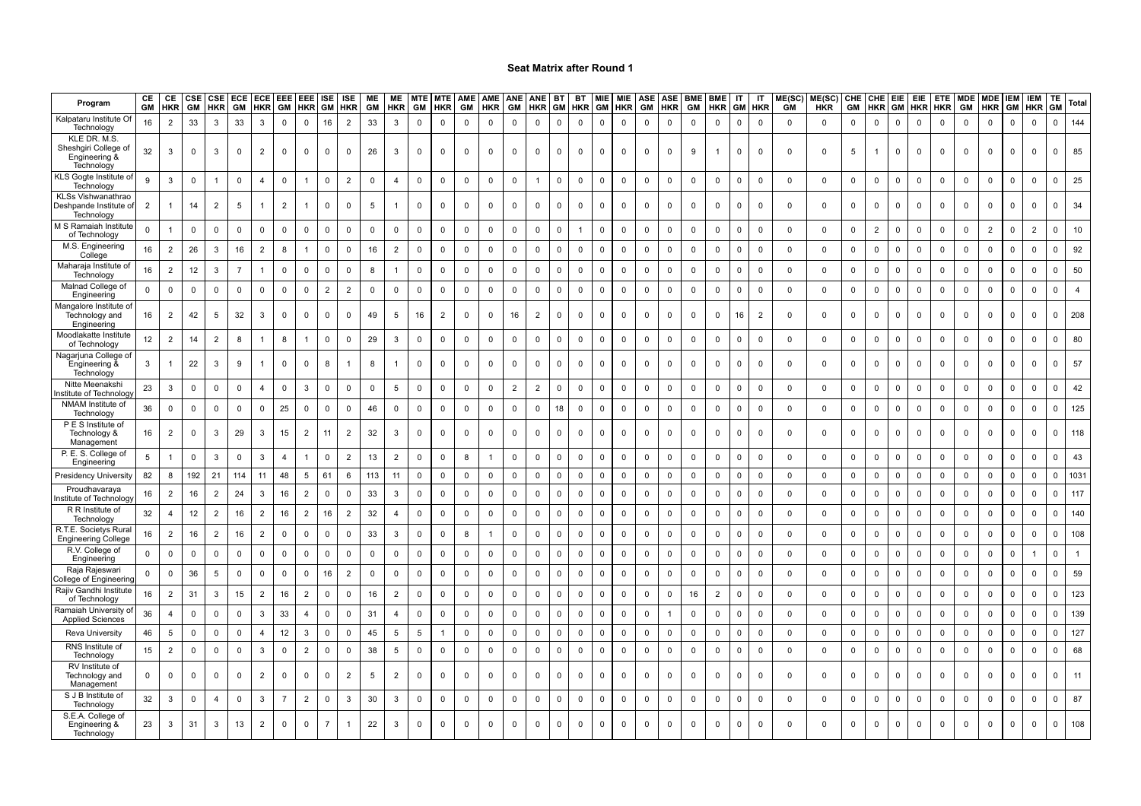| Program                                                             | CE<br><b>GM</b> | CE<br><b>HKR</b> | CSE<br>GM   | <b>HKR</b>     | CSE ECE<br>GM  | ECE EEE<br><b>HKR</b> | GM             |                 | EEE ISE<br><b>HKR</b> GM | <b>ISE</b><br><b>HKR</b> | ME<br>GM    | <b>ME</b><br><b>HKR</b> | <b>MTE</b><br>GM | <b>MTE</b><br>HKR | GM           | AME AME ANE<br><b>HKR</b> | GM             | <b>ANE</b><br><b>HKR</b> | <b>BT</b>    | <b>BT</b><br><b>GM HKR</b> | <b>MIE</b><br>GM | <b>MIE</b><br>HKR | <b>ASE</b><br><b>GM</b> | <b>ASE</b><br><b>HKR</b> | <b>BME</b><br>GM | <b>BME</b><br><b>HKR</b> | IT<br>GM    | IT<br><b>HKR</b> | ME(SC)<br><b>GM</b> | ME(SC)<br><b>HKR</b> | GM           | CHE CHE EIE<br><b>HKR</b> | <b>GM</b>   |                | EIE ETE<br><b>HKR HKR</b> | <b>MDE</b><br>GM | <b>MDE IEM</b><br><b>HKR</b> | <b>GM</b>    | <b>IEM</b><br><b>HKR</b> | <b>TE</b><br><b>GM</b> | Total          |
|---------------------------------------------------------------------|-----------------|------------------|-------------|----------------|----------------|-----------------------|----------------|-----------------|--------------------------|--------------------------|-------------|-------------------------|------------------|-------------------|--------------|---------------------------|----------------|--------------------------|--------------|----------------------------|------------------|-------------------|-------------------------|--------------------------|------------------|--------------------------|-------------|------------------|---------------------|----------------------|--------------|---------------------------|-------------|----------------|---------------------------|------------------|------------------------------|--------------|--------------------------|------------------------|----------------|
| Kalpataru Institute Of<br>Technology                                | 16              | $\overline{2}$   | 33          | 3              | 33             | 3                     | 0              | 0               | 16                       | $\overline{2}$           | 33          | $\mathbf{3}$            | $\mathsf 0$      | 0                 | $\mathbf 0$  | $\mathbf 0$               | 0              | $\mathsf 0$              | $\mathsf 0$  | $\mathsf 0$                | $\mathbf 0$      | $\mathbf 0$       | $\mathsf 0$             | 0                        | $\mathbf 0$      | 0                        | $\Omega$    | $\Omega$         | $\mathbf 0$         | $\mathbf 0$          | $\mathsf 0$  | 0                         | $\mathbf 0$ | $\mathbf 0$    | 0                         | $\mathbf 0$      | $\Omega$                     | $\mathbf 0$  | $\mathbf 0$              | $^{\circ}$             | 144            |
| KLE DR. M.S.<br>Sheshgiri College of<br>Engineering &<br>Technology | 32              | 3                | $\mathbf 0$ | 3              | 0              | 2                     | $\mathbf 0$    | 0               | $\Omega$                 | 0                        | 26          | 3                       | 0                | $\mathbf 0$       | $\mathbf 0$  | $\mathbf 0$               | $\mathbf 0$    | $\mathbf 0$              | $\Omega$     | $\Omega$                   | $\Omega$         | $\mathbf 0$       | $\mathbf 0$             | 0                        | 9                |                          | $\Omega$    | $\Omega$         | $\mathbf{0}$        | $\mathbf 0$          | 5            |                           | $\mathbf 0$ | 0              | $\mathbf 0$               | $\Omega$         | $\Omega$                     | $\Omega$     | $\overline{0}$           | $\Omega$               | 85             |
| KLS Gogte Institute of<br>Technology                                | 9               | $\mathbf{3}$     | $\mathbf 0$ |                | $\mathbf 0$    | $\overline{4}$        | $\mathsf 0$    | $\mathbf{1}$    | $\mathbf 0$              | $\overline{2}$           | $\mathsf 0$ | $\overline{4}$          | $\mathsf 0$      | $\mathsf 0$       | $\mathbf 0$  | $\mathsf 0$               | $\mathsf 0$    |                          | $\mathsf 0$  | $\mathsf 0$                | $\mathbf 0$      | $\mathbf 0$       | $\mathsf 0$             | $\mathbf 0$              | $\mathbf 0$      | 0                        | $\mathbf 0$ | $\mathbf 0$      | $\mathsf 0$         | $\mathbf 0$          | $\mathsf{O}$ | $\mathbf 0$               | $\mathsf 0$ | $\mathsf 0$    | $\mathsf 0$               | $\mathbf 0$      | $\mathbf 0$                  | $\mathbf 0$  | $\mathbf 0$              | $\mathbf{0}$           | 25             |
| KLSs Vishwanathrao<br>Deshpande Institute o<br>Technology           | $\overline{2}$  |                  | 14          | $\overline{2}$ | 5              |                       | $\overline{2}$ |                 | $\Omega$                 | $\Omega$                 | 5           | -1                      | $\mathbf 0$      | 0                 | $\mathbf 0$  | $\mathbf 0$               | $\mathbf 0$    | $\Omega$                 | $\Omega$     | $\mathbf 0$                | $\Omega$         | $\Omega$          | $\mathbf 0$             | $\mathbf 0$              | $\Omega$         | $\Omega$                 | $\Omega$    | $\Omega$         | $\Omega$            | $\mathbf 0$          | $\mathbf 0$  | 0                         | $\mathbf 0$ | $\mathbf 0$    | $\mathbf 0$               | $\mathbf 0$      |                              | $\Omega$     | $\Omega$                 | 0                      | 34             |
| M S Ramaiah Institute<br>of Technology                              | $\mathsf 0$     | 1                | $\mathbf 0$ | $\mathbf 0$    | $\mathbf 0$    | $\mathbf 0$           | $\mathsf 0$    | 0               | $\mathbf 0$              | $\mathbf 0$              | $\mathbf 0$ | $\mathbf 0$             | $\mathbf 0$      | $\mathsf 0$       | $\mathbf 0$  | $\mathbf 0$               | $\mathbf 0$    | $\mathbf 0$              | $\mathbf 0$  |                            | $\mathbf 0$      | $\mathbf 0$       | $\mathbf 0$             | $\mathsf 0$              | $\mathbf 0$      | 0                        | $\mathsf 0$ | $\mathbf 0$      | $\mathsf 0$         | $\mathbf 0$          | $\mathbf 0$  | $\overline{2}$            | $\mathbf 0$ | $\mathsf 0$    | $\mathsf 0$               | $\mathbf 0$      | $\overline{2}$               | $\mathbf 0$  | $\overline{2}$           | $\Omega$               | 10             |
| M.S. Engineering<br>College                                         | 16              | $\overline{2}$   | 26          | 3              | 16             | $\overline{2}$        | 8              | -1              | $\mathbf 0$              | $\mathbf 0$              | 16          | $\overline{2}$          | $\mathbf 0$      | $\mathsf 0$       | $\mathbf 0$  | $\mathbf 0$               | $\mathbf 0$    | $\mathbf 0$              | $\mathsf 0$  | $\mathsf 0$                | $\overline{0}$   | $\mathbf 0$       | $\mathbf 0$             | $\mathbf 0$              | $\mathbf 0$      | $\mathbf 0$              | $\mathbf 0$ | $\mathbf 0$      | $\mathsf 0$         | $\mathbf 0$          | $\mathbf 0$  | $\mathbf 0$               | $\mathsf 0$ | $\mathsf 0$    | $\mathsf 0$               | $\mathbf 0$      | $\mathbf 0$                  | $\mathbf{0}$ | $\mathbf 0$              | $\mathbf{0}$           | 92             |
| Maharaja Institute of<br>Technology                                 | 16              | $\overline{2}$   | 12          | 3              | $\overline{7}$ |                       | $\mathsf 0$    | 0               | $\mathbf 0$              | $\mathbf 0$              | 8           | -1                      | $\mathsf 0$      | $\mathsf 0$       | 0            | $\mathbf 0$               | $\mathbf 0$    | 0                        | $\mathbf 0$  | $\mathsf 0$                | $\Omega$         | $\mathbf 0$       | $\mathsf 0$             | $\mathsf 0$              | $\mathbf 0$      | $\mathbf{0}$             | $\mathbf 0$ | $\Omega$         | $\mathbf 0$         | 0                    | $\mathsf 0$  | 0                         | $\mathbf 0$ | $\mathsf 0$    | $\mathsf 0$               | $\Omega$         | $\mathbf 0$                  | $\mathbf 0$  | $\Omega$                 |                        | 50             |
| Malnad College of<br>Engineering                                    | $\mathbf 0$     | $\mathbf 0$      | 0           | $\mathbf 0$    | $\mathbf 0$    | $\mathbf 0$           | 0              | 0               | $\overline{2}$           | 2                        | 0           | $\boldsymbol{0}$        | $\mathbf 0$      | 0                 | 0            | $\mathbf 0$               | 0              | 0                        | $\mathbf 0$  | $\mathbf 0$                | 0                | 0                 | $\mathbf 0$             | $\mathbf 0$              | $\Omega$         | 0                        | $\mathbf 0$ | $\mathbf 0$      | $\mathbf 0$         | 0                    | $\mathbf 0$  | 0                         | 0           | $\mathsf 0$    | 0                         | $\mathbf 0$      | 0                            | $\mathbf 0$  | $\mathbf 0$              | $\Omega$               |                |
| Mangalore Institute o<br>Technology and<br>Engineering              | 16              | $\overline{2}$   | 42          | 5              | 32             | 3                     | $\mathbf 0$    | 0               | $\mathbf 0$              | $\mathbf 0$              | 49          | 5                       | 16               | $\overline{2}$    | $\mathbf 0$  | $\mathbf 0$               | 16             | $\overline{2}$           | $\mathbf 0$  | $\mathbf 0$                | $\mathbf 0$      | $\mathbf 0$       | $\mathbf 0$             | $\mathbf 0$              | 0                | $\mathbf 0$              | 16          | $\overline{2}$   | $\mathbf 0$         | $\mathbf 0$          | $\mathbf 0$  | $\mathbf 0$               | $\mathbf 0$ | $\mathbf 0$    | $\mathbf 0$               | $\mathbf 0$      | 0                            | $\mathbf{0}$ | $\mathbf 0$              | $^{\circ}$             | 208            |
| Moodlakatte Institute<br>of Technology                              | 12              | $\overline{2}$   | 14          | $\overline{2}$ | 8              | -1                    | 8              | -1              | $\mathbf 0$              | $\mathsf 0$              | 29          | $\mathbf{3}$            | $\mathsf 0$      | $\mathsf 0$       | $\mathsf{O}$ | $\mathbf 0$               | $\mathsf 0$    | $\mathsf 0$              | $\mathsf 0$  | $\mathsf 0$                | $\mathsf 0$      | $\mathsf 0$       | $\mathsf 0$             | $\mathbf 0$              | $\mathsf 0$      | $\mathbf 0$              | $\mathsf 0$ | $\mathsf 0$      | $\mathsf 0$         | $\mathsf 0$          | $\mathsf 0$  | $\mathbf 0$               | $\mathsf 0$ | $\mathsf 0$    | $\mathsf 0$               | $\mathbf 0$      | $\mathsf 0$                  | $\mathbf 0$  | $\mathbf 0$              | $\mathbf 0$            | 80             |
| Nagarjuna College of<br>Engineering &<br>Technology                 | 3               | -1               | 22          | 3              | 9              |                       | 0              | $\Omega$        | 8                        |                          | 8           | -1                      | $\mathbf 0$      | $\mathbf 0$       | $\mathbf 0$  | $\Omega$                  | $\mathbf 0$    | $\Omega$                 | $\Omega$     | $\Omega$                   | $\Omega$         | 0                 | 0                       | $\Omega$                 | $\Omega$         | $\Omega$                 | $\Omega$    | $\Omega$         | $\mathbf 0$         | 0                    | $\Omega$     | $\mathbf 0$               | $\Omega$    | $\Omega$       | $\Omega$                  | $\Omega$         | $\Omega$                     | $\Omega$     | $\Omega$                 |                        | 57             |
| Nitte Meenakshi<br>nstitute of Technolog                            | 23              | $\mathbf{3}$     | 0           | $\mathbf 0$    | $\mathbf 0$    | $\overline{a}$        | $\mathsf 0$    | 3               | $\mathbf 0$              | $\mathbf 0$              | 0           | 5                       | $\mathbf 0$      | $\mathbf 0$       | $\mathbf 0$  | $\mathbf 0$               | $\overline{2}$ | $\overline{2}$           | $\mathbf 0$  | $\mathsf 0$                | $\mathbf 0$      | $\mathbf 0$       | $\mathbf 0$             | $\mathbf 0$              | 0                | $\mathbf 0$              | $\mathbf 0$ | $\mathbf 0$      | $\mathbf 0$         | $\mathbf 0$          | $\mathbf 0$  | $\mathsf 0$               | $\mathbf 0$ | $\mathbf 0$    | $\mathbf 0$               | $\mathbf 0$      | $\mathbf 0$                  | $\mathbf 0$  | $\mathbf 0$              | $\mathbf{0}$           | 42             |
| NMAM Institute of<br>Technology                                     | 36              | $\mathsf 0$      | $\mathbf 0$ | $\mathbf 0$    | $\mathbf 0$    | $\mathbf 0$           | 25             | $\mathsf{O}$    | $\mathbf 0$              | $\mathsf 0$              | 46          | $\mathsf 0$             | $\mathsf 0$      | $\mathsf 0$       | $\mathbf 0$  | $\mathbf 0$               | $\mathsf 0$    | $\mathbf 0$              | 18           | $\mathsf 0$                | $\mathbf 0$      | $\mathbf 0$       | $\mathsf 0$             | $\mathsf 0$              | $\mathbf 0$      | 0                        | $\mathsf 0$ | $\mathbf 0$      | $\mathsf 0$         | $\mathbf 0$          | $\mathbf 0$  | $\mathbf 0$               | $\mathsf 0$ | $\mathbf 0$    | $\mathbf 0$               | $\mathbf 0$      | $\mathbf 0$                  | $\mathbf{0}$ | $\overline{0}$           | $\Omega$               | 125            |
| P E S Institute of<br>Technology &<br>Management                    | 16              | $\overline{2}$   | $\Omega$    | 3              | 29             | 3                     | 15             | 2               | 11                       | 2                        | 32          | 3                       | $\Omega$         | 0                 | 0            | $\mathbf{0}$              | 0              | $^{\circ}$               | $\Omega$     | $\Omega$                   | $\mathbf 0$      | 0                 | $\mathbf 0$             | $\Omega$                 | $^{\circ}$       | $\Omega$                 | $\Omega$    | $\Omega$         | $\mathbf 0$         | 0                    | 0            | $\mathbf 0$               | $\mathbf 0$ | 0              | $\Omega$                  | $\Omega$         | $\Omega$                     | $\Omega$     | $^{\circ}$               | 0                      | 118            |
| P. E. S. College of<br>Engineering                                  | $\sqrt{5}$      | $\overline{1}$   | 0           | 3              | $\mathbf 0$    | 3                     | $\overline{4}$ | -1              | $\Omega$                 | $\overline{2}$           | 13          | $\overline{2}$          | $\mathbf 0$      | $\mathbf 0$       | 8            | $\overline{1}$            | $\mathbf 0$    | $\mathbf 0$              | $\mathbf 0$  | $\mathsf 0$                | $\mathbf 0$      | $\mathbf 0$       | $\mathbf 0$             | $\mathsf 0$              | 0                | 0                        | 0           | $\Omega$         | $\mathbf 0$         | $\mathsf 0$          | $\mathbf 0$  | $\mathsf 0$               | $\mathbf 0$ | $\mathbf 0$    | $\mathsf 0$               | $\mathbf 0$      | $\mathbf 0$                  | $\mathbf 0$  | $\overline{\mathbf{0}}$  | $\Omega$               | 43             |
| Presidency University                                               | 82              | 8                | 192         | 21             | 114            | 11                    | 48             | $5\phantom{.0}$ | 61                       | 6                        | 113         | 11                      | $\mathbf 0$      | $\mathbf 0$       | $\mathbf 0$  | $\mathbf 0$               | $\mathbf 0$    | 0                        | $\mathbf 0$  | $\mathbf 0$                | $\mathbf 0$      | $\mathbf 0$       | $\mathbf 0$             | $\mathbf 0$              | $\mathbf 0$      | 0                        | $\mathbf 0$ | $\mathbf 0$      | $\mathbf 0$         | $\mathbf 0$          | $\mathbf 0$  | $\mathbf 0$               | $\mathbf 0$ | $\mathbf 0$    | $\mathbf 0$               | $\mathbf 0$      | 0                            | $\Omega$     | $\mathsf 0$              | <sup>0</sup>           | 1031           |
| Proudhavaraya<br>nstitute of Technolog                              | 16              | $\overline{2}$   | 16          | $\overline{2}$ | 24             | 3                     | 16             | $\overline{2}$  | $\mathbf 0$              | $\mathbf 0$              | 33          | 3                       | $\mathbf 0$      | $\mathsf 0$       | $\mathbf 0$  | $\mathsf 0$               | $\mathbf 0$    | $\mathbf 0$              | $\mathbf 0$  | $\mathsf 0$                | $\mathbf 0$      | $\mathbf 0$       | $\mathsf 0$             | $\mathbf 0$              | $\mathbf 0$      | $\mathbf 0$              | $\mathbf 0$ | $\mathbf 0$      | $\mathbf 0$         | $\mathbf 0$          | $\mathsf 0$  | $\mathbf 0$               | $\mathsf 0$ | $\mathsf 0$    | $\mathbf 0$               | $\mathbf 0$      | $\Omega$                     | $\mathbf 0$  | $\overline{0}$           | $\Omega$               | 117            |
| R R Institute of<br>Technology                                      | 32              | 4                | 12          | $\overline{2}$ | 16             | $\overline{2}$        | 16             | $\overline{2}$  | 16                       | $\overline{2}$           | 32          | $\overline{4}$          | $\mathbf 0$      | $\mathbf 0$       | $\mathbf 0$  | $\mathbf 0$               | $\mathbf 0$    | 0                        | $\mathbf 0$  | $\mathsf 0$                | $\mathbf 0$      | $\mathbf 0$       | $\mathbf 0$             | $\mathbf 0$              | $\mathbf 0$      | 0                        | $\mathbf 0$ | $\mathbf 0$      | $\mathsf 0$         | $\mathbf 0$          | $\mathbf 0$  | 0                         | $\mathbf 0$ | $\mathbf 0$    | $\mathsf 0$               | $\mathbf 0$      | $\mathbf 0$                  | $\mathbf 0$  | $\overline{0}$           | 0                      | 140            |
| R.T.E. Societys Rural<br><b>Engineering College</b>                 | 16              | $\overline{2}$   | 16          | $\overline{2}$ | 16             | $\overline{2}$        | $\mathbf 0$    | $\mathbf 0$     | $\mathbf 0$              | $\mathbf 0$              | 33          | $\mathbf{3}$            | $\mathbf 0$      | $\mathbf 0$       | 8            |                           | $\mathbf 0$    | $\mathbf{0}$             | $\mathbf{0}$ | $\mathsf 0$                | $\Omega$         | $\mathbf 0$       | $\mathbf 0$             | $\mathbf 0$              | $\Omega$         | $\mathbf 0$              | $\Omega$    | $\Omega$         | $\mathbf{0}$        | $\mathbf 0$          | $\mathbf 0$  | $\mathbf 0$               | $\mathbf 0$ | $\mathbf{0}$   | $\Omega$                  | $\mathbf{0}$     | $\Omega$                     | $\Omega$     | $\overline{0}$           | <sup>0</sup>           | 108            |
| R.V. College of<br>Engineering                                      | $\mathbf 0$     | $\mathbf 0$      | $\mathbf 0$ | $\mathbf 0$    | $\mathbf 0$    | $\mathbf 0$           | $\mathbf 0$    | $\mathbf 0$     | $\mathbf 0$              | $\mathbf 0$              | $\mathbf 0$ | $\mathbf 0$             | $\mathbf 0$      | $\mathbf 0$       | $\mathbf 0$  | $\mathbf 0$               | $\mathbf 0$    | $\mathbf 0$              | $\mathbf 0$  | $\mathsf 0$                | $\mathsf 0$      | $\mathbf 0$       | $\mathbf 0$             | $\mathbf 0$              | $\mathbf 0$      | 0                        | $\mathbf 0$ | $\mathbf 0$      | $\mathsf 0$         | $\mathbf 0$          | $\mathbf 0$  | $\mathsf 0$               | $\mathbf 0$ | $\mathsf 0$    | $\mathbf 0$               | $\mathbf 0$      | $\mathbf 0$                  | $\mathbf{0}$ | $\mathbf{1}$             | $\Omega$               | $\overline{1}$ |
| Raja Rajeswari<br>College of Engineerin                             | 0               | $\mathbf 0$      | 36          | 5              | $\mathbf 0$    | $\mathbf 0$           | $\mathbf 0$    | $\mathbf 0$     | 16                       | $\overline{2}$           | $\mathbf 0$ | $\mathbf 0$             | $\mathbf 0$      | $\mathsf 0$       | 0            | $\mathbf 0$               | $\mathbf 0$    | $\mathbf 0$              | $\mathsf 0$  | $\mathsf 0$                | $\mathbf 0$      | $\mathbf 0$       | $\mathbf 0$             | $\mathbf 0$              | $\mathbf 0$      | 0                        | $\mathsf 0$ | $\mathbf 0$      | $\mathsf 0$         | $\mathsf 0$          | $\mathsf 0$  | $\mathbf 0$               | $\mathsf 0$ | $\mathsf 0$    | $\mathbf 0$               | $\mathbf 0$      | $\mathbf 0$                  | $\mathbf 0$  | $\mathbf 0$              | $\Omega$               | 59             |
| Rajiv Gandhi Institute<br>of Technology                             | 16              | $\overline{2}$   | 31          | 3              | 15             | $\overline{2}$        | 16             | $\overline{2}$  | $\mathbf 0$              | $\mathbf 0$              | 16          | $\overline{2}$          | $\mathbf 0$      | $\mathbf 0$       | 0            | $\mathbf 0$               | $\mathbf 0$    | $\mathbf 0$              | $\mathbf{0}$ | $\mathsf 0$                | $\mathbf 0$      | $\mathbf 0$       | $\mathbf 0$             | $\mathbf 0$              | 16               | $\overline{2}$           | $\mathbf 0$ | $\mathbf 0$      | $\mathsf 0$         | $\mathbf 0$          | $\mathbf 0$  | $\mathsf 0$               | $\mathbf 0$ | $\mathbf 0$    | $\mathbf 0$               | $\mathbf 0$      | $\mathbf 0$                  | $\mathbf 0$  | $\mathbf 0$              | $\mathbf{0}$           | 123            |
| Ramaiah University o<br><b>Applied Sciences</b>                     | 36              | $\overline{4}$   | 0           | $\mathbf 0$    | $\mathbf 0$    | 3                     | 33             | $\overline{4}$  | $\mathbf 0$              | $\mathbf 0$              | 31          | $\overline{4}$          | $\mathbf 0$      | $\mathbf 0$       | $\mathbf 0$  | $\mathbf 0$               | $\mathbf 0$    | $\mathbf 0$              | $\mathbf 0$  | $\mathsf 0$                | $\mathbf 0$      | $\mathbf 0$       | $\mathbf 0$             | $\mathbf{1}$             | 0                | 0                        | 0           | $\mathbf 0$      | $\mathbf 0$         | $\mathsf 0$          | $\mathbf 0$  | $\mathsf 0$               | $\mathbf 0$ | $\overline{0}$ | $\mathbf 0$               | $\mathbf 0$      | $\mathbf 0$                  | $\mathbf 0$  | $\mathbf 0$              | $\Omega$               | 139            |
| Reva University                                                     | 46              | 5                | $\mathbf 0$ | $\Omega$       | $\mathbf 0$    | $\overline{4}$        | 12             | 3               | $\Omega$                 | $\mathbf 0$              | 45          | 5                       | 5                | $\mathbf{1}$      | $\mathbf 0$  | $\mathsf 0$               | $\mathbf 0$    | $\mathbf 0$              | $\mathbf 0$  | $\mathsf 0$                | $\Omega$         | $\mathbf 0$       | $\mathbf 0$             | $\mathbf 0$              | $\mathbf 0$      | $\mathbf 0$              | $\mathbf 0$ | $\mathbf 0$      | $\mathsf 0$         | $\mathbf 0$          | $\mathsf 0$  | $\mathbf 0$               | $\Omega$    | $\mathsf 0$    | $\mathbf 0$               | $\Omega$         | $\Omega$                     | $\mathbf{0}$ | $\overline{0}$           | $\Omega$               | 127            |
| RNS Institute of<br>Technology                                      | 15              | $\overline{2}$   | $^{\circ}$  | $\Omega$       | $\mathbf 0$    | 3                     | $\mathbf 0$    | $\overline{2}$  | $\Omega$                 | $\mathbf 0$              | 38          | 5                       | $\Omega$         | $\mathbf 0$       | $\mathbf 0$  | $\mathbf{0}$              | $\mathbf 0$    | $\mathbf 0$              | $\Omega$     | $\mathbf 0$                | $\Omega$         | $\mathbf 0$       | $\mathsf 0$             | $\mathbf 0$              | $\mathbf 0$      | $\mathbf{0}$             | $\Omega$    | $\Omega$         | $\mathbf 0$         | 0                    | $\mathsf 0$  | $\mathsf 0$               | $\mathbf 0$ | $\mathsf 0$    | $\Omega$                  | $\Omega$         | $\mathbf 0$                  | $\mathbf 0$  | $\mathbf{0}$             | $\mathbf{0}$           | 68             |
| RV Institute of<br>Technology and<br>Management                     | 0               | 0                | 0           | $\mathbf 0$    | $\mathbf 0$    | $\overline{2}$        | $\mathbf 0$    | 0               | 0                        | $\overline{2}$           | 5           | $\overline{2}$          | $\mathbf 0$      | 0                 | $\mathbf 0$  | 0                         | 0              | $\mathbf 0$              | $\mathbf 0$  | $\mathbf 0$                | $\mathbf 0$      | 0                 | 0                       | 0                        | 0                | 0                        | $\mathbf 0$ | $\mathbf 0$      | $\mathbf 0$         | 0                    | $\mathbf 0$  | 0                         | $\mathbf 0$ | $\mathbf 0$    | 0                         | $\mathbf 0$      | 0                            | $\Omega$     | $\overline{\mathbf{0}}$  | $\Omega$               | 11             |
| S J B Institute of<br>Technology                                    | 32              | 3                | 0           | $\overline{4}$ | $\mathbf 0$    | 3                     | $\overline{7}$ | $\overline{2}$  | 0                        | 3                        | 30          | $\mathbf{3}$            | $\mathbf 0$      | $\mathbf 0$       | 0            | $\pmb{0}$                 | $\mathbf 0$    | $\mathbf 0$              | $\mathbf 0$  | $\mathsf 0$                | $\mathbf 0$      | $\mathbf 0$       | $\mathbf 0$             | $\mathsf 0$              | $\mathbf 0$      | 0                        | $\mathsf 0$ | $\mathbf 0$      | $\mathbf 0$         | 0                    | $\mathbf 0$  | $\mathbf 0$               | $\mathbf 0$ | $\mathbf 0$    | $\mathbf 0$               | $\mathbf 0$      | $\mathbf 0$                  | $\pmb{0}$    | $\overline{0}$           | $\mathbf 0$            | 87             |
| S.E.A. College of<br>Engineering &<br>Technology                    | 23              | 3                | 31          | 3              | 13             | 2                     | $\mathbf 0$    | $\mathbf{0}$    | 7                        |                          | 22          | 3                       | $\mathbf 0$      | $\mathbf 0$       | $\Omega$     | 0                         | 0              | $\mathbf 0$              | $\mathbf 0$  | $\mathbf{0}$               | $\mathbf 0$      | $\mathbf 0$       | $\mathbf 0$             | 0                        | $\mathbf 0$      | 0                        | $\mathbf 0$ | $\Omega$         | $\Omega$            | $^{\circ}$           | 0            | 0                         | $\mathbf 0$ | $\mathbf 0$    | $\Omega$                  | $\Omega$         | $\Omega$                     | $\Omega$     | $\mathbf 0$              | $\Omega$               | 108            |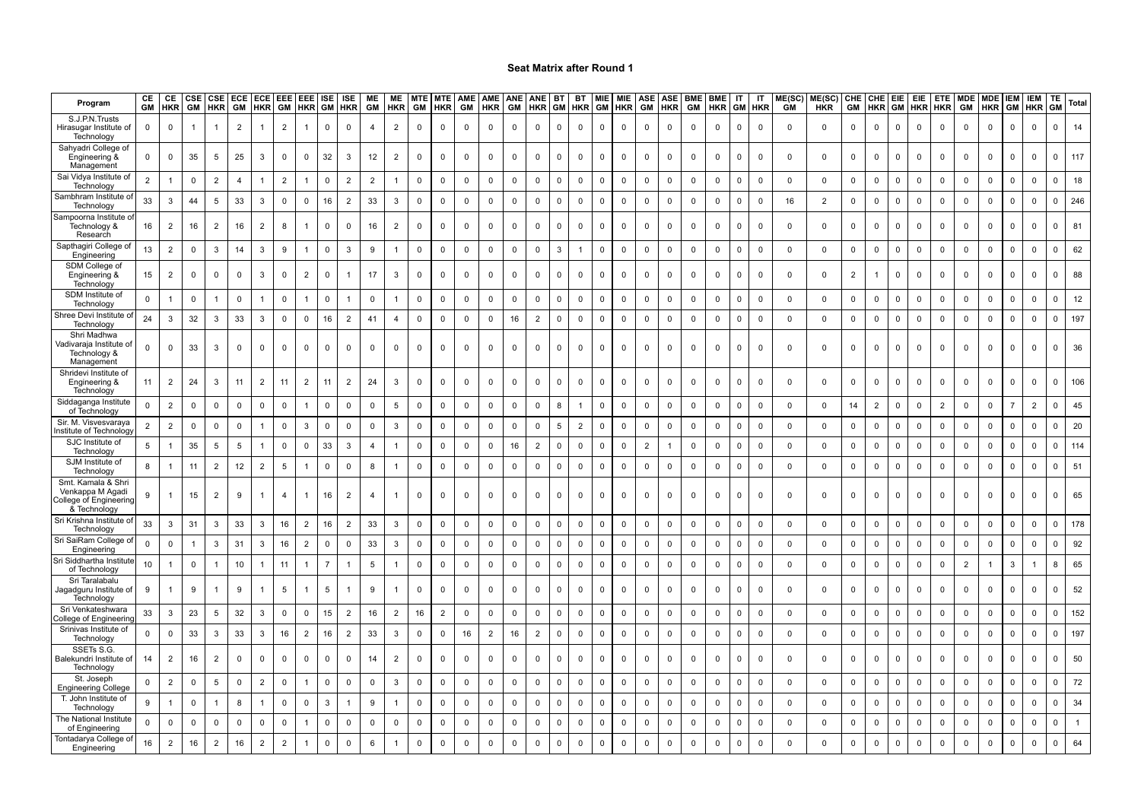| Program                                                                          | CE             | CE<br><b>GM HKR</b> | CSE<br>GM      | CSE ECE<br><b>HKR</b> | GM             | <b>ECE</b><br><b>HKR</b> | <b>EEE</b><br>GM | EEE ISE<br><b>HKR</b> GM |                | <b>ISE</b><br><b>HKR</b> | ME<br>GM        | <b>ME</b><br><b>HKR</b> | <b>MTE</b><br>GM | <b>MTE</b><br><b>HKR</b> | GM           | AME AME ANE<br><b>HKR</b> | GM           | <b>ANE</b><br><b>HKR</b> | <b>BT</b>    | <b>BT</b><br><b>GM HKR</b> | <b>MIE</b><br><b>GM</b> | <b>MIE</b><br>HKR | ASE<br>GM      | <b>ASF</b><br><b>HKR</b> | <b>BME</b><br>GM | <b>BME</b><br><b>HKR</b> | IT<br><b>GM</b> | IT<br><b>HKR</b> | ME(SC)<br><b>GM</b> | ME(SC)<br><b>HKR</b> | CHE<br>GM      | <b>HKR</b>     | CHE EIE<br><b>GM</b> | <b>EIE</b>          | <b>ETE</b><br><b>HKR HKR</b> | GM             | MDE MDE<br><b>HKR</b> | <b>IEM</b><br>GM | <b>IEM</b><br><b>HKR</b> | TE<br>GM     | Total        |
|----------------------------------------------------------------------------------|----------------|---------------------|----------------|-----------------------|----------------|--------------------------|------------------|--------------------------|----------------|--------------------------|-----------------|-------------------------|------------------|--------------------------|--------------|---------------------------|--------------|--------------------------|--------------|----------------------------|-------------------------|-------------------|----------------|--------------------------|------------------|--------------------------|-----------------|------------------|---------------------|----------------------|----------------|----------------|----------------------|---------------------|------------------------------|----------------|-----------------------|------------------|--------------------------|--------------|--------------|
| S.J.P.N.Trusts<br>Hirasugar Institute of<br>Technology                           | $\mathbf 0$    | $\mathbf 0$         | $\overline{1}$ |                       | $\overline{2}$ |                          | $\overline{2}$   | $\mathbf{1}$             | $\mathbf 0$    | $\mathbf 0$              | $\overline{4}$  | $\overline{2}$          | $\mathbf 0$      | $\mathsf 0$              | $\mathsf{O}$ | $\overline{0}$            | $\mathbf 0$  | $\mathbf 0$              | $\mathbf 0$  | $\mathbf 0$                | $\mathbf{0}$            | $\mathbf 0$       | $\mathbf 0$    | $\mathbf 0$              | $\mathbf 0$      | $\mathbf 0$              | $\mathbf 0$     | $\Omega$         | $\mathsf 0$         | $\mathbf{0}$         | $\mathsf{O}$   | $\mathbf 0$    | $\overline{0}$       | $\mathsf{O}$        | $\mathsf 0$                  | $\mathbf 0$    | $\mathbf 0$           | $\mathbf 0$      | $\mathbf 0$              | $\mathbf 0$  | 14           |
| Sahyadri College of<br>Engineering &<br>Management                               | $\mathbf 0$    | $\mathbf 0$         | 35             | 5                     | 25             | 3                        | $\mathbf 0$      | 0                        | 32             | 3                        | 12              | $\overline{2}$          | 0                | 0                        | $\mathbf 0$  | 0                         | $\mathbf 0$  | 0                        | $\Omega$     | $\Omega$                   | $\mathbf 0$             | $\Omega$          | $\mathbf 0$    | 0                        | $\mathbf 0$      | 0                        | $\Omega$        | $\Omega$         | $\mathbf 0$         | $\mathbf 0$          | 0              | $\mathbf 0$    | $\mathbf 0$          | $\Omega$            | 0                            | 0              | $\Omega$              | $\mathbf 0$      | $\mathbf 0$              | $\mathbf{0}$ | 117          |
| Sai Vidya Institute of<br>Technology                                             | $\overline{2}$ | 1                   | $\mathbf 0$    | $\overline{2}$        | $\overline{4}$ |                          | $\overline{2}$   | 1                        | $\mathbf 0$    | $\overline{2}$           | $\overline{2}$  | $\mathbf{1}$            | $\mathsf 0$      | $\mathsf 0$              | $\mathbf 0$  | $\mathsf 0$               | $\mathbf 0$  | $\mathsf 0$              | $\mathsf 0$  | $\mathbf 0$                | $\mathsf 0$             | $\mathsf 0$       | $\mathsf 0$    | $\mathbf 0$              | $\mathbf 0$      | 0                        | $\mathsf 0$     | $\mathsf 0$      | $\mathsf 0$         | $\mathsf 0$          | $\mathbf 0$    | $\mathsf 0$    | $\mathsf 0$          | $\mathbf 0$         | $\mathsf 0$                  | $\mathbf 0$    | $\mathbf 0$           | $\mathbf 0$      | $\mathsf 0$              | $\Omega$     | 18           |
| Sambhram Institute o<br>Technology                                               | 33             | $\mathbf{3}$        | 44             | 5                     | 33             | 3                        | $\mathbf 0$      | $\mathbf 0$              | 16             | $\overline{2}$           | 33              | 3                       | $\mathbf 0$      | $\mathsf 0$              | $\Omega$     | $\mathbf 0$               | $\mathbf 0$  | $\mathbf 0$              | $\mathbf 0$  | $\mathbf 0$                | $\mathbf 0$             | $\mathbf 0$       | $\mathsf 0$    | $\mathbf 0$              | $\mathbf 0$      | $\mathbf 0$              | $\mathsf 0$     | $\mathbf 0$      | 16                  | $\overline{2}$       | $\mathbf 0$    | $\mathsf 0$    | $\mathsf 0$          | $\Omega$            | $\mathbf 0$                  | $\mathbf 0$    | $\Omega$              | $\mathbf{0}$     | $\mathbf 0$              | $\Omega$     | 246          |
| Sampoorna Institute o<br>Technology &<br>Research                                | 16             | 2                   | 16             | $\overline{2}$        | 16             | $\overline{2}$           | 8                |                          | $\Omega$       | $\mathbf 0$              | 16              | $\overline{2}$          | $\Omega$         | $\mathbf 0$              | $\Omega$     | $\Omega$                  | $\Omega$     | $\Omega$                 | $\Omega$     | $\Omega$                   | $\Omega$                | $\mathbf 0$       | $\mathsf 0$    | $\Omega$                 | $\Omega$         | $\Omega$                 | $\Omega$        | $\Omega$         | $\mathbf{0}$        | $\mathbf{0}$         | $\Omega$       | $\mathsf 0$    | $\Omega$             | $\Omega$            | $\Omega$                     | $\mathbf 0$    | $\Omega$              | $\Omega$         | $\Omega$                 |              | 81           |
| Sapthagiri College of<br>Engineering                                             | 13             | $\overline{2}$      | 0              | 3                     | 14             | 3                        | 9                | $\mathbf{1}$             | 0              | 3                        | 9               | $\mathbf{1}$            | $\mathbf 0$      | 0                        | 0            | $\mathbf 0$               | $\mathbf 0$  | $\mathbf 0$              | 3            |                            | $\mathbf 0$             | $\mathbf 0$       | $\bf{0}$       | $\mathbf 0$              | $\mathbf 0$      | 0                        | $\mathbf 0$     | $\mathbf 0$      | $\mathsf 0$         | $\mathbf 0$          | $\mathbf 0$    | $\mathbf 0$    | 0                    | $\mathbf 0$         | $\mathbf 0$                  | 0              | $\mathbf 0$           | $\mathbf 0$      | $\mathbf 0$              | $\Omega$     | 62           |
| SDM College of<br>Engineering &<br>Technology                                    | 15             | $\overline{2}$      | $\Omega$       | $\mathbf 0$           | $\mathbf 0$    | 3                        | $\mathbf 0$      | $\overline{2}$           | $\Omega$       |                          | 17              | 3                       | $\Omega$         | $\mathbf 0$              | $\Omega$     | $\mathbf{0}$              | $\mathbf{0}$ | $\Omega$                 | $\Omega$     | $\mathbf{0}$               | $\Omega$                | $\mathbf 0$       | $\mathbf 0$    | $\Omega$                 | $\mathbf 0$      | $\Omega$                 | $\Omega$        | $\Omega$         | $\mathbf 0$         | $\mathbf{0}$         | $\overline{2}$ | $\overline{1}$ | $\mathbf 0$          | $\Omega$            | $\mathbf{0}$                 | $\mathbf 0$    | $\Omega$              | $\Omega$         | $\mathbf 0$              | $\Omega$     | 88           |
| SDM Institute o<br>Technology                                                    | $\Omega$       |                     | $\mathsf 0$    |                       | $\mathbf 0$    |                          | $\mathbf 0$      |                          | $\Omega$       |                          | $\Omega$        |                         | $\Omega$         | $\mathsf 0$              | $\mathbf 0$  | $\mathbf 0$               | $\mathbf 0$  | $\mathbf 0$              | $\mathsf 0$  | $\mathbf 0$                | $\Omega$                | $\mathbf 0$       | $\mathbf 0$    | $\mathsf 0$              | $\mathbf 0$      | $\mathbf 0$              | $\mathsf 0$     | $\Omega$         | $\mathbf 0$         | $\mathbf 0$          | $\mathbf 0$    | $\mathsf 0$    | $\mathbf 0$          | $\Omega$            | $\mathbf{0}$                 | $\mathbf 0$    | $\Omega$              | $\mathbf 0$      | $\Omega$                 | $\Omega$     | 12           |
| Shree Devi Institute o<br>Technology                                             | 24             | $\mathbf{3}$        | 32             | 3                     | 33             | 3                        | $\mathsf 0$      | $\mathbf 0$              | 16             | $\overline{2}$           | 41              | $\overline{4}$          | $\Omega$         | $\mathbf 0$              | $\Omega$     | $\mathbf 0$               | 16           | $\overline{2}$           | $\mathbf 0$  | $\mathbf 0$                | $\mathbf 0$             | $\mathbf 0$       | $\mathsf 0$    | $\mathsf 0$              | $\mathbf 0$      | $\mathbf 0$              | $\mathbf 0$     | $\mathbf 0$      | $\mathbf 0$         | $\mathbf 0$          | $\mathsf 0$    | $\mathsf 0$    | $\Omega$             | $\mathbf 0$         | $\mathbf 0$                  | $\mathbf 0$    | $\Omega$              | $\mathbf 0$      | $\mathbf 0$              | $\mathbf 0$  | 197          |
| Shri Madhwa<br>Vadivaraja Institute of<br>Technology &<br>Management             | $\Omega$       | $\mathbf{0}$        | 33             | 3                     | $\mathbf 0$    | $\Omega$                 | $\mathbf 0$      | $\Omega$                 | $\Omega$       | $\mathbf 0$              | $\Omega$        | $\mathbf{0}$            | $\Omega$         | $\mathbf 0$              | $\Omega$     | $\mathbf{0}$              | $\Omega$     | $\mathbf 0$              | $\Omega$     | $\Omega$                   | $\mathbf 0$             | $\mathbf 0$       | $\mathbf 0$    | $\Omega$                 | $\Omega$         | $\Omega$                 | $\Omega$        | $\Omega$         | $\mathbf{0}$        | $\mathbf{0}$         | $\Omega$       | $\mathbf 0$    | $\Omega$             | $\Omega$            | $\mathbf{0}$                 | $\mathbf 0$    | $\Omega$              | $\Omega$         | $\mathbf 0$              |              | 36           |
| Shridevi Institute of<br>Engineering &<br>Technology                             | 11             | $\overline{2}$      | 24             | 3                     | 11             | 2                        | 11               | $\overline{2}$           | 11             | $\overline{2}$           | 24              | $\mathbf{3}$            | $\mathbf 0$      | 0                        | $\mathbf 0$  | $\mathbf 0$               | $\mathbf 0$  | $\mathbf 0$              | $\mathbf 0$  | $\mathbf 0$                | $\mathbf 0$             | $\mathbf 0$       | $\mathbf 0$    | $\mathsf{O}$             | $\mathbf 0$      | 0                        | $\mathbf 0$     | $\mathbf 0$      | $\mathbf 0$         | $\mathbf 0$          | $\mathbf 0$    | $\mathbf 0$    | $\mathbf 0$          | 0                   | $\mathbf 0$                  | $\mathbf 0$    | 0                     | $\mathbf 0$      | $\mathbf 0$              | $\mathbf{0}$ | 106          |
| Siddaganga Institute<br>of Technolog                                             | $\mathbf 0$    | $\overline{2}$      | $\mathbf 0$    | 0                     | $\mathbf 0$    | 0                        | 0                |                          | $\mathbf 0$    | 0                        | $\mathbf 0$     | 5                       | 0                | $\mathsf 0$              | 0            | $\mathbf 0$               | 0            | 0                        | 8            |                            | $\mathsf 0$             | $\mathbf 0$       | $\mathsf 0$    | $\mathsf 0$              | $\mathbf 0$      | $\mathbf 0$              | $\mathsf 0$     | $\mathbf 0$      | $\mathsf 0$         | $\mathsf 0$          | 14             | $\overline{2}$ | 0                    | 0                   | $\overline{2}$               | 0              | $\mathbf 0$           | $\overline{7}$   | $\overline{2}$           |              | 45           |
| Sir. M. Visvesvaraya<br>nstitute of Technology                                   | $\overline{2}$ | $\overline{2}$      | $\mathbf 0$    | $\mathbf 0$           | $\mathbf 0$    | -1                       | 0                | 3                        | $\mathbf 0$    | $\mathbf 0$              | $\mathbf 0$     | $\mathbf{3}$            | $\mathbf 0$      | 0                        | $\mathbf 0$  | $\mathbf 0$               | $\mathbf 0$  | $\mathbf 0$              | $\sqrt{5}$   | $\overline{2}$             | $\mathbf 0$             | $\mathbf 0$       | $\mathbf 0$    | $\mathbf 0$              | $\mathbf 0$      | 0                        | $\mathbf 0$     | $\mathbf 0$      | $\mathsf 0$         | $\mathbf 0$          | 0              | $\mathbf 0$    | $\mathbf 0$          | $\mathbf 0$         | $\mathbf 0$                  | $\mathbf 0$    | $\mathbf 0$           | $\mathbf 0$      | $\mathbf 0$              | $\Omega$     | 20           |
| SJC Institute of<br>Technology                                                   | 5              |                     | 35             | 5                     | 5              |                          | $\mathsf 0$      | $\mathbf 0$              | 33             | 3                        | $\overline{4}$  | $\mathbf{1}$            | $\mathbf 0$      | $\mathbf 0$              | $\mathbf 0$  | $\mathbf 0$               | 16           | $\overline{2}$           | $\mathsf 0$  | $\mathbf 0$                | $\mathsf 0$             | $\mathbf 0$       | $\overline{2}$ | $\mathbf{1}$             | $\mathbf 0$      | 0                        | $\mathsf 0$     | $\mathbf 0$      | $\mathsf 0$         | $\mathsf 0$          | $\mathbf 0$    | $\mathsf 0$    | $\mathsf 0$          | $\Omega$            | $\mathbf 0$                  | $\mathbf 0$    | $\Omega$              | $\mathbf 0$      | $\mathbf 0$              | $\Omega$     | 114          |
| SJM Institute of<br>Technology                                                   | 8              | 1                   | 11             | $\overline{2}$        | 12             | $\overline{2}$           | $5\phantom{.0}$  | $\mathbf{1}$             | $\mathbf 0$    | $\mathsf{O}\xspace$      | 8               | -1                      | $\mathbf 0$      | $\mathsf 0$              | $\mathbf 0$  | $\mathbf{0}$              | $\mathbf 0$  | $\mathbf 0$              | $\mathbf 0$  | $\mathbf 0$                | $\overline{0}$          | $\mathbf 0$       | $\mathsf 0$    | $\mathbf 0$              | $\mathbf 0$      | $\mathbf 0$              | $\mathbf 0$     | $\mathbf 0$      | $\mathbf 0$         | $\mathbf 0$          | $\mathsf{O}$   | $\mathsf 0$    | $\mathbf{0}$         | $\mathbf 0$         | $\mathbf 0$                  | $\mathbf 0$    | $\mathbf 0$           | $\mathbf 0$      | $\mathbf 0$              | $\mathbf 0$  | 51           |
| Smt. Kamala & Shri<br>Venkappa M Agadi<br>College of Engineering<br>& Technology | 9              |                     | 15             | $\overline{2}$        | 9              |                          | 4                | -1                       | 16             | $\overline{2}$           | $\overline{4}$  | -1                      | $\Omega$         | $\mathbf 0$              | $\mathsf{O}$ | $\mathbf 0$               | $\mathbf 0$  | $\mathbf 0$              | $\Omega$     | $\mathbf{0}$               | $\mathbf 0$             | $\mathbf 0$       | $\mathbf 0$    | 0                        | $\mathbf 0$      | $^{\circ}$               | $\Omega$        | $\Omega$         | $\mathsf 0$         | $\mathbf 0$          | $\mathsf{O}$   | $\mathbf 0$    | $\mathbf 0$          | $\Omega$            | $\mathbf{0}$                 | $\mathbf 0$    | $\Omega$              | $\mathbf 0$      | $\mathbf 0$              | <sup>n</sup> | 65           |
| Sri Krishna Institute o<br>Technology                                            | 33             | 3                   | 31             | 3                     | 33             | 3                        | 16               | $\overline{2}$           | 16             | $\overline{2}$           | 33              | 3                       | $\mathbf 0$      | $\mathsf 0$              | 0            | $\overline{\mathbf{0}}$   | $\mathbf 0$  | $\mathbf 0$              | $\mathbf{0}$ | $\mathbf 0$                | $\mathbf 0$             | $\mathbf 0$       | $\mathbf 0$    | $\mathbf 0$              | $\mathbf 0$      | 0                        | $\mathbf 0$     | $\mathbf 0$      | $\mathsf 0$         | $\mathbf 0$          | $\mathbf 0$    | $\mathbf 0$    | 0                    | $\mathbf 0$         | $\mathbf 0$                  | 0              | $\mathbf 0$           | $\mathbf 0$      | $\mathbf 0$              | 0            | 178          |
| Sri SaiRam College of<br>Engineering                                             | $\mathbf 0$    | $\mathsf 0$         |                | 3                     | 31             | 3                        | 16               | $\overline{2}$           | $\mathbf 0$    | $\mathbf 0$              | 33              | 3                       | $\mathbf 0$      | $\mathsf 0$              | $\mathbf 0$  | $\mathbf 0$               | $\mathbf 0$  | $\mathbf 0$              | $\mathsf 0$  | $\mathsf 0$                | $\mathbf 0$             | $\mathbf 0$       | $\mathsf 0$    | $\mathsf 0$              | $\Omega$         | 0                        | $\mathsf 0$     | $\Omega$         | $\mathsf 0$         | $\mathbf 0$          | $\mathbf 0$    | $\mathsf 0$    | $\overline{0}$       | $\mathbf 0$         | $\mathsf 0$                  | $\mathsf 0$    | $\mathbf 0$           | $\mathbf 0$      | $\overline{\mathbf{0}}$  | $\Omega$     | 92           |
| Sri Siddhartha Institut<br>of Technology                                         | 10             | $\overline{1}$      | $\mathbf 0$    | 1                     | 10             |                          | 11               | 1                        | $\overline{7}$ |                          | $5\phantom{.0}$ | 1                       | $\mathbf 0$      | $\mathsf 0$              | $\mathbf 0$  | $\mathbf 0$               | $\mathbf 0$  | $\mathbf 0$              | $\mathsf 0$  | $\mathbf 0$                | $\mathsf 0$             | $\mathbf 0$       | $\mathsf 0$    | $\mathbf 0$              | $\mathbf 0$      | 0                        | $\mathsf 0$     | $\Omega$         | $\mathsf 0$         | $\mathbf 0$          | $\mathbf 0$    | $\mathsf 0$    | $\mathbf 0$          | $\mathbf 0$         | $\mathbf 0$                  | $\overline{2}$ |                       | $\mathbf{3}$     | $\mathbf{1}$             | 8            | 65           |
| Sri Taralabalu<br>Jagadguru Institute of<br>Technology                           | 9              |                     | 9              |                       | 9              |                          | $5\phantom{.0}$  | $\overline{1}$           | 5              |                          | 9               | $\overline{1}$          | $\Omega$         | $\mathbf 0$              | $\mathbf 0$  | $\mathbf 0$               | $\mathbf 0$  | $\mathbf 0$              | $\Omega$     | $\mathbf{0}$               | $\mathbf 0$             | $\mathbf 0$       | $\mathsf 0$    | $\mathbf 0$              | $\mathbf 0$      | $\Omega$                 | $\Omega$        | $\Omega$         | $\mathbf 0$         | $\mathbf{0}$         | $\mathbf 0$    | $\mathsf 0$    | $\mathbf 0$          | $\Omega$            | $\mathbf{0}$                 | $\mathbf 0$    | $\Omega$              | $\mathbf 0$      | $\mathbf 0$              |              | 52           |
| Sri Venkateshwara<br>College of Engineerin                                       | 33             | 3                   | 23             | 5                     | 32             | 3                        | $\mathbf 0$      | $\mathbf 0$              | 15             | $\overline{2}$           | 16              | $\overline{2}$          | 16               | 2                        | $\mathbf 0$  | $\mathbf{0}$              | $\mathbf 0$  | $\mathbf 0$              | $\mathbf{0}$ | $\mathbf 0$                | $\Omega$                | $\mathbf 0$       | $\mathbf 0$    | $\mathbf 0$              | $\mathbf 0$      | 0                        | $\mathbf 0$     | $\Omega$         | $\mathbf 0$         | $\mathbf{0}$         | $\mathbf 0$    | $\mathbf 0$    | $\mathbf 0$          | $\mathbf 0$         | $\mathbf 0$                  | $\mathbf 0$    | $\Omega$              | $\mathbf 0$      | $\Omega$                 | $\Omega$     | 152          |
| Srinivas Institute of<br>Technology                                              | 0              | $\mathbf 0$         | 33             | 3                     | 33             | 3                        | 16               | $\overline{2}$           | 16             | $\overline{2}$           | 33              | $\mathbf{3}$            | $\mathbf 0$      | 0                        | 16           | $\overline{2}$            | 16           | $\overline{2}$           | $\mathbf 0$  | $\mathbf 0$                | $\mathsf{O}$            | $\mathbf 0$       | $\mathbf 0$    | $\mathbf 0$              | $\mathbf 0$      | 0                        | $\mathbf 0$     | $\mathbf 0$      | $\mathbf 0$         | $\mathbf 0$          | 0              | $\mathbf 0$    | $\mathbf{0}$         | $\mathbf 0$         | $\mathbf 0$                  | $\mathbf 0$    | $\mathbf 0$           | $\mathbf 0$      | $\mathbf 0$              | $\mathbf{0}$ | 197          |
| SSETs S.G<br>Balekundri Institute of<br>Technology                               | 14             | $\overline{2}$      | 16             | $\overline{2}$        | $\mathbf 0$    | $\mathbf 0$              | $\mathbf 0$      | $\mathbf 0$              | $\mathbf 0$    | $\mathbf 0$              | 14              | $\overline{2}$          | $\mathbf 0$      | $\mathbf 0$              | $\mathsf{O}$ | $\overline{0}$            | $\mathbf{0}$ | $\mathbf 0$              | $\mathbf 0$  | $\mathbf{0}$               | $\mathbf{0}$            | $\mathbf 0$       | $\mathbf 0$    | $\mathsf{O}$             | $\mathbf 0$      | $^{\circ}$               | $\Omega$        | $\Omega$         | $\mathbf 0$         | $\mathbf{0}$         | $\mathbf 0$    | $\mathbf 0$    | $\overline{0}$       | $\mathbf 0$         | $\mathbf{0}$                 | $\mathbf 0$    | $\mathbf 0$           | $\mathbf 0$      | $\mathbf 0$              | $\Omega$     | 50           |
| St. Joseph<br><b>Engineering College</b>                                         | 0              | $\overline{2}$      | 0              | 5                     | $\mathbf 0$    | $\overline{2}$           | 0                | -1                       | 0              | 0                        | 0               | 3                       | 0                | $\mathsf 0$              | 0            | $\overline{0}$            | 0            | 0                        | $\mathsf 0$  | $\mathsf 0$                | $\mathbf 0$             | 0                 | 0              | $\mathsf 0$              | 0                | $\mathbf 0$              | 0               | 0                | $\mathsf 0$         | 0                    | 0              | 0              | $\mathbf 0$          | 0                   | 0                            | 0              | $\mathbf 0$           | $\mathbf 0$      | 0                        | $\Omega$     | 72           |
| T. John Institute of<br>Technology                                               | 9              | -1                  | $\mathbf 0$    |                       | 8              |                          | $\mathbf 0$      | $\mathbf 0$              | 3              | 1                        | 9               |                         | $\mathbf 0$      | 0                        | $\mathbf 0$  | $\mathbf 0$               | $\mathbf 0$  | $\mathbf 0$              | $\mathbf 0$  | $\mathbf 0$                | $\mathbf 0$             | $\mathbf 0$       | $\mathbf 0$    | $\mathbf 0$              | $\Omega$         | 0                        | $\mathbf 0$     | $\mathbf 0$      | $\mathbf 0$         | $\mathbf 0$          | $\mathsf{O}$   | $\mathbf 0$    | $\mathbf 0$          | $\mathbf 0$         | $\mathbf{0}$                 | $\mathbf 0$    | $\mathbf 0$           | $\mathbf 0$      | $\mathbf 0$              | $\Omega$     | 34           |
| The National Institute<br>of Engineering                                         | 0              | $\mathbf 0$         | $\Omega$       | $\Omega$              | $\mathbf 0$    | $\Omega$                 | $\mathbf 0$      |                          | $\Omega$       | $\mathbf 0$              | $\mathbf 0$     | $\mathbf 0$             | $\mathbf 0$      | 0                        | $\Omega$     | $\mathbf 0$               | $\mathbf 0$  | $\mathbf 0$              | $\mathbf 0$  | $\mathbf 0$                | $\mathsf{O}$            | $\mathbf 0$       | $\mathbf 0$    | $\mathsf{O}$             | $\mathbf 0$      | $\Omega$                 | $\mathbf 0$     | $\mathbf 0$      | $\mathbf 0$         | $\mathbf 0$          | $\mathbf 0$    | $\mathbf 0$    | $\mathbf 0$          | $\Omega$            | $\mathbf{0}$                 | $\mathbf 0$    | $\mathbf 0$           | $\mathbf 0$      | $\mathbf 0$              | $\mathbf 0$  | $\mathbf{1}$ |
| Tontadarya College o<br>Engineering                                              | 16             | $\overline{2}$      | 16             | $\overline{2}$        | 16             | $\overline{2}$           | $\overline{2}$   | 1                        | 0              | $\mathsf{O}\xspace$      | 6               |                         | $\mathbf 0$      | $\mathbf 0$              | $\mathbf 0$  | $\mathbf 0$               | $\mathbf 0$  | $\mathbf 0$              | $\mathbf 0$  | $\mathbf 0$                | $\mathbf 0$             | $\mathbf 0$       | $\mathsf 0$    | $\mathsf 0$              | $\mathbf 0$      | $\mathsf 0$              | $\mathsf 0$     | $\Omega$         | $\mathbf 0$         | $\mathbf 0$          | $\Omega$       | $\mathsf 0$    | $\mathsf 0$          | $\mathsf{O}\xspace$ | $\mathbf 0$                  | $\mathbf 0$    | $\Omega$              | $\mathbf 0$      | $\mathbf 0$              | $\Omega$     | 64           |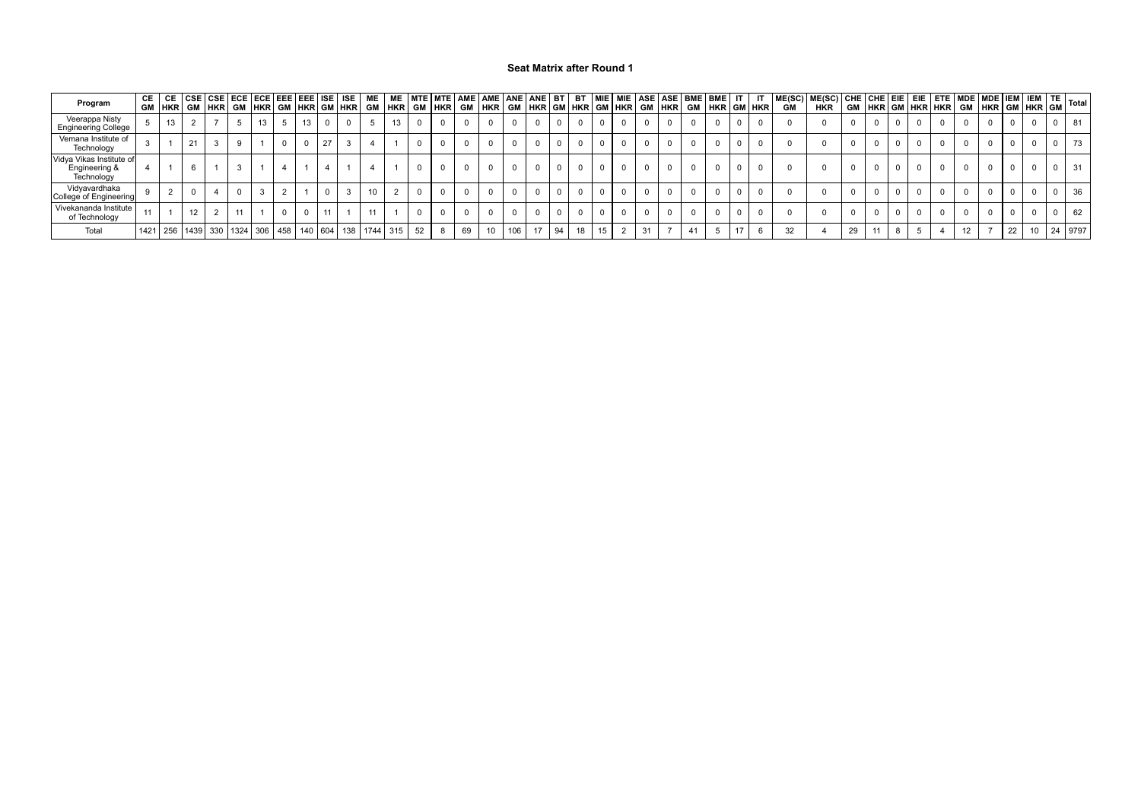| Program                                                 |    |    |  |  |  |  |                                                                                |  |    |     |       |    |    |    |    |    |    |    |    |  |    |                 |  |            |
|---------------------------------------------------------|----|----|--|--|--|--|--------------------------------------------------------------------------------|--|----|-----|-------|----|----|----|----|----|----|----|----|--|----|-----------------|--|------------|
| Veerappa Nisty<br><b>Engineering College</b>            | 13 |    |  |  |  |  |                                                                                |  |    |     |       |    |    |    |    |    |    |    |    |  |    |                 |  |            |
| Vemana Institute of<br>Technology                       |    | 21 |  |  |  |  |                                                                                |  |    |     |       |    |    |    |    |    |    |    |    |  |    |                 |  |            |
| Vidya Vikas Institute of<br>Engineering &<br>Technology |    |    |  |  |  |  |                                                                                |  |    |     |       |    |    |    |    |    |    |    |    |  |    |                 |  | -31        |
| Vidyavardhaka<br>College of Engineering                 |    |    |  |  |  |  |                                                                                |  |    |     |       |    |    |    |    |    |    |    |    |  |    |                 |  | 36         |
| Vivekananda Institute<br>of Technology                  |    | 12 |  |  |  |  |                                                                                |  |    |     |       |    |    |    |    |    |    |    |    |  |    |                 |  | 62         |
| Total                                                   |    |    |  |  |  |  | 1421   256   1439   330   1324   306   458   140   604   138   1744   315   52 |  | 69 | 106 | 17 94 | 18 | 15 | 31 | 41 | 17 | 32 | 29 | 11 |  | 12 | 22 <sub>1</sub> |  | 10 24 9797 |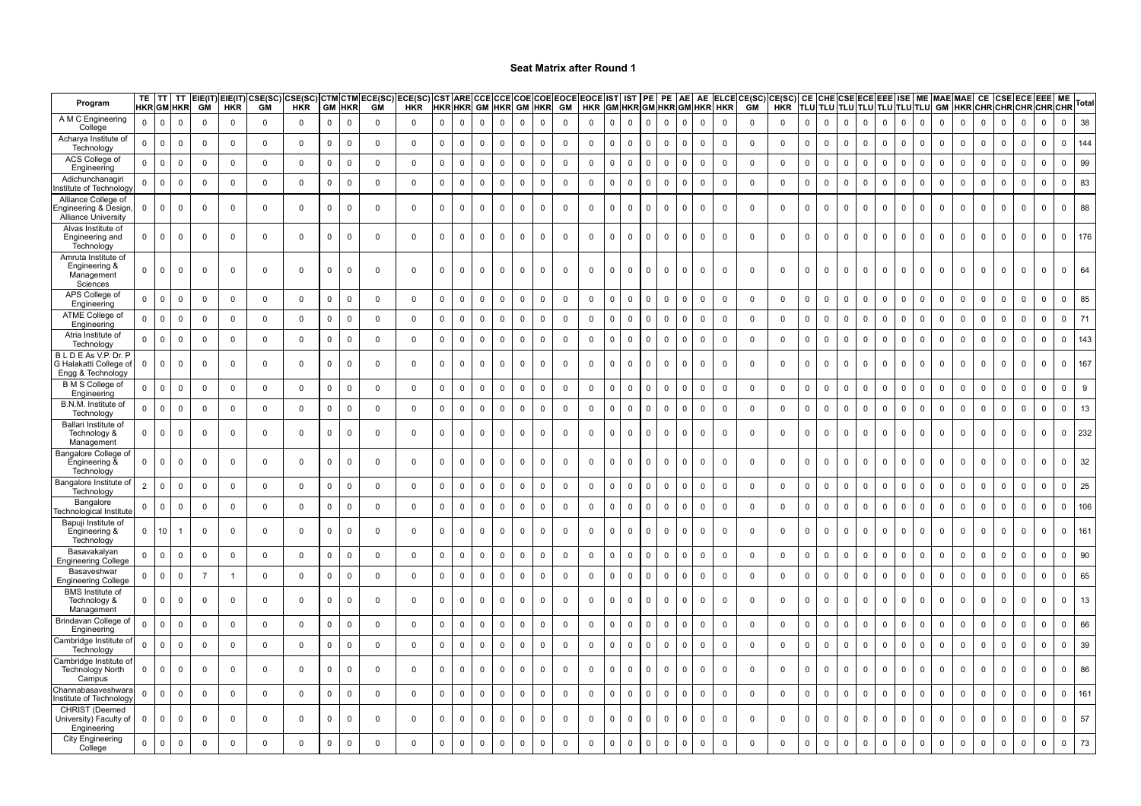| Program                                                           | TE I                | т<br><b>HKR GM HKR</b> | TT          | EIE(IT)<br><b>GM</b> | EIE(IT)<br><b>HKR</b> | CSE(SC)<br><b>GM</b> | :SE(SC)<br><b>HKR</b> | CTM<br><b>GM</b> | <b>CTM</b><br><b>HKR</b> | ECE(SC)<br><b>GM</b> | ECE(SC) CST ARE CCE CCE COE<br><b>HKR</b> | <b>HKR HKR</b> |              |              |              | <b>GM HKR GM</b> | <b>HKR</b>   | <b>COE EOCE EOCE IST</b><br>GM | <b>HKR</b>  |              |             | IST PE       | PE           | AE                  | AE             | GM HKR GM HKR GM HKR HKR | ELCE CE(SC)<br><b>GM</b> | CE(SC)<br><b>HKR</b>    |                |             |              |              |              |             |              |              |              |              |              |              | CE  CHE CSE ECE EEE  ISE   ME  MAE MAE  CE  CSE ECE EEE  ME  <br> TLU TLU TLU TLU TLU TLU TLU  GM  HKR CHR CHR CHR CHR CHR |             | Tota |
|-------------------------------------------------------------------|---------------------|------------------------|-------------|----------------------|-----------------------|----------------------|-----------------------|------------------|--------------------------|----------------------|-------------------------------------------|----------------|--------------|--------------|--------------|------------------|--------------|--------------------------------|-------------|--------------|-------------|--------------|--------------|---------------------|----------------|--------------------------|--------------------------|-------------------------|----------------|-------------|--------------|--------------|--------------|-------------|--------------|--------------|--------------|--------------|--------------|--------------|----------------------------------------------------------------------------------------------------------------------------|-------------|------|
| A M C Engineering<br>College                                      | $\mathbf 0$         | $\mathbf 0$            | $\mathbf 0$ | $\mathbf 0$          | $\mathbf 0$           | 0                    | $\mathbf 0$           | $\mathsf 0$      | $\mathbf 0$              | $\mathbf{0}$         | $\mathbf 0$                               | $\mathbf 0$    | $\mathsf 0$  | 0            | 0            | 0                | 0            | $\mathbf 0$                    | $\mathbf 0$ | $\mathbf 0$  | $\mathsf 0$ | $\mathbf 0$  | $\mathbf 0$  | $\mathbf 0$         | $\mathbf 0$    | $\mathbf 0$              | $\mathbf 0$              | $\mathbf 0$             | $\overline{0}$ | $\mathbf 0$ | 0            | 0            | 0            | $\mathbf 0$ | $\mathbf 0$  | 0            | $\mathbf 0$  | $\mathbf 0$  | $\mathbf 0$  | $\mathbf 0$  | $\mathbf 0$                                                                                                                | 0           | 38   |
| Acharya Institute of<br>Technology                                | $\mathbf 0$         | $\mathbf 0$            | $\mathbf 0$ | $\mathbf 0$          | $\mathbf 0$           | $\Omega$             | $\mathbf 0$           | $\mathsf 0$      | $\mathbf 0$              | $\mathbf 0$          | $\mathbf 0$                               | $\mathsf 0$    | $\mathbf 0$  | $\Omega$     | $\mathbf 0$  | $\mathbf 0$      | $\mathbf 0$  | $\mathsf 0$                    | $\mathbf 0$ | $\mathbf{0}$ | $\mathbf 0$ | $\mathbf{0}$ | $\mathbf 0$  | $\mathbf{0}$        | $\mathbf 0$    | $\mathbf 0$              | $\mathbf{0}$             | $\mathbf 0$             | $\Omega$       | $\Omega$    | $\Omega$     | $\mathbf 0$  | $\mathbf{0}$ | $\mathbf 0$ | $\mathbf 0$  | $\mathbf 0$  | $\mathbf 0$  | $\mathbf 0$  | $\Omega$     | $\mathbf 0$  | $\Omega$                                                                                                                   | $\mathbf 0$ | 144  |
| ACS College of<br>Engineering                                     | $\mathsf 0$         | $\mathbf 0$            | 0           | $\mathbf 0$          | $\mathsf 0$           | 0                    | $\mathbf 0$           | $\mathsf 0$      | $\mathbf 0$              | $\mathbf 0$          | $\mathsf 0$                               | $\mathsf 0$    | $\mathsf 0$  | 0            | $\mathbf 0$  | $\mathsf 0$      | 0            | $\mathsf 0$                    | $\mathsf 0$ | $\Omega$     | $\mathsf 0$ | $\Omega$     | $\mathbf 0$  | $\mathsf{O}\xspace$ | $\mathsf 0$    | $\mathbf 0$              | $\mathbf 0$              | 0                       | $\mathbf 0$    | $\mathbf 0$ | 0            | $\mathsf 0$  | $\mathbf 0$  | $\mathbf 0$ | $\mathbf 0$  | $\mathsf 0$  | $\mathbf{0}$ | 0            | $\mathbf 0$  | $\mathsf 0$  | $\mathbf 0$                                                                                                                | 0           | 99   |
| Adichunchanagir<br>nstitute of Technolog                          | $\mathbf 0$         | $\mathbf 0$            | $\mathbf 0$ | $\mathbf 0$          | $\mathbf 0$           | $\mathbf 0$          | $\mathbf 0$           | $\mathsf 0$      | $\mathbf 0$              | $\mathbf 0$          | $\mathbf 0$                               | $\mathbf 0$    | $\mathsf 0$  | $\Omega$     | $\mathbf 0$  | $\mathsf 0$      | $\mathbf{0}$ | $\mathsf 0$                    | $\mathbf 0$ | $\mathbf{0}$ | $\mathbf 0$ | $\Omega$     | $\Omega$     | $\mathbf 0$         | $\mathbf 0$    | $\mathbf 0$              | $\mathbf 0$              | $\mathbf 0$             | $\overline{0}$ | $\mathbf 0$ | $\Omega$     | $\mathbf{0}$ | $\mathbf{0}$ | $\Omega$    | $\mathbf 0$  | $\mathbf 0$  | $\mathbf 0$  | $\Omega$     | $\Omega$     | $\mathsf 0$  | $\Omega$                                                                                                                   | $\mathbf 0$ | 83   |
| Alliance College of<br>ngineering & Design<br>Alliance University | $\mathbf 0$         | $\mathbf{0}$           | $\mathbf 0$ | $\mathbf 0$          | $\mathbf 0$           | $\Omega$             | $\mathbf 0$           | $\mathbf 0$      | $\Omega$                 | $\Omega$             | $\mathsf 0$                               | $\mathbf 0$    | $\mathbf 0$  | $\Omega$     | $\Omega$     | $\mathbf 0$      | $\mathbf{0}$ | $\overline{0}$                 | $\mathbf 0$ | <sup>0</sup> | $\mathbf 0$ | $\Omega$     | $\Omega$     | $\mathbf 0$         | $\mathbf 0$    | $\mathbf 0$              | $\mathbf 0$              | $\overline{\mathbf{0}}$ | $\overline{0}$ | $\Omega$    | $\Omega$     | $\mathbf 0$  | $\mathbf{0}$ | $\Omega$    | $\mathbf 0$  | $\mathbf{0}$ | $\mathbf{0}$ | $\mathbf 0$  | $\mathbf 0$  | $\mathbf 0$  | $\Omega$                                                                                                                   | $\Omega$    | 88   |
| Alvas Institute of<br>Engineering and<br>Technology               | $\mathbf 0$         | $\mathbf 0$            | $\mathbf 0$ | $\mathbf 0$          | $\mathbf 0$           | $\mathbf 0$          | $\mathbf 0$           | $\mathsf 0$      | $\Omega$                 | $\mathbf 0$          | $\mathbf 0$                               | $\mathbf 0$    | $\mathbf{0}$ | $\mathsf{O}$ | $\mathbf 0$  | $\mathbf 0$      | $\mathbf 0$  | $\mathbf 0$                    | $\mathbf 0$ | $\Omega$     | $\mathbf 0$ | $\Omega$     | $\mathbf{0}$ | $\mathbf 0$         | $\mathbf 0$    | $\mathbf 0$              | $\mathbf 0$              | $\mathbf 0$             | $\mathbf 0$    | $\mathbf 0$ | $\mathbf 0$  | $\mathbf 0$  | $\mathbf 0$  | $\mathbf 0$ | $\mathbf 0$  | $\mathbf 0$  | $\mathbf{0}$ | $\mathbf 0$  | $\mathbf{0}$ | $\mathsf 0$  | $\mathbf 0$                                                                                                                | $\mathbf 0$ | 176  |
| Amruta Institute of<br>Engineering &<br>Management<br>Sciences    | $\mathbf 0$         | $\mathbf{0}$           | $\Omega$    | $\mathbf 0$          | $\mathsf 0$           | $\Omega$             | $\mathbf 0$           | $\mathbf 0$      | $\Omega$                 | $\Omega$             | $\mathbf 0$                               | $\mathbf 0$    | $\mathbf 0$  | $\Omega$     | $\mathbf 0$  | $\mathbf 0$      | $\mathbf{0}$ | $\mathbf 0$                    | $\mathbf 0$ | $\Omega$     | $\mathbf 0$ | $\Omega$     | $\Omega$     | $\mathbf 0$         | $\mathbf 0$    | $\mathbf 0$              | $\mathbf 0$              | $\mathbf 0$             | $\overline{0}$ | $\Omega$    | $\Omega$     | $\mathbf{0}$ | $\mathbf{0}$ | $\Omega$    | $\mathbf{0}$ | $\mathbf{0}$ | $\mathbf{0}$ | $\mathbf 0$  | $\mathbf{0}$ | $\mathbf{0}$ | $\Omega$                                                                                                                   | $\mathbf 0$ | 64   |
| APS College of<br>Engineering                                     | $\mathbf 0$         | $\mathbf 0$            | $\mathbf 0$ | $\mathbf 0$          | $\mathbf 0$           | $\mathbf 0$          | $\mathbf 0$           | $\mathsf 0$      | $\mathbf 0$              | $\mathbf 0$          | $\mathsf 0$                               | $\mathsf 0$    | $\mathsf 0$  | $\mathsf{O}$ | $\mathbf{0}$ | $\mathbf 0$      | $\mathbf{0}$ | $\mathbf 0$                    | $\mathsf 0$ | $\Omega$     | $\mathbf 0$ | $\Omega$     | $\mathbf{0}$ | $\mathbf{0}$        | $\overline{0}$ | $\mathbf 0$              | $\mathbf 0$              | $\mathbf 0$             | $\mathbf 0$    | $\mathbf 0$ | $\mathbf{0}$ | $\mathbf 0$  | $\mathbf{0}$ | $\mathbf 0$ | $\mathbf{0}$ | $\mathbf{0}$ | $\mathbf{0}$ | $\Omega$     | $\mathbf 0$  | $\mathsf 0$  | $\Omega$                                                                                                                   | $\Omega$    | 85   |
| ATME College of<br>Engineering                                    | $\overline{0}$      | $\mathbf 0$            | 0           | $\mathbf 0$          | $\mathsf 0$           | $\Omega$             | 0                     | $\mathsf 0$      | 0                        | $\mathbf 0$          | $\mathsf 0$                               | $\mathsf 0$    | 0            | 0            | $\mathbf 0$  | 0                | $\mathbf 0$  | $\mathbf 0$                    | 0           | $\mathbf 0$  | $\mathsf 0$ | $\Omega$     | $\mathbf 0$  | 0                   | $\mathbf 0$    | $\mathbf 0$              | $\mathbf 0$              | $\overline{0}$          | 0              | 0           | 0            | 0            | 0            | $\mathbf 0$ | $\mathsf 0$  | 0            | $\mathbf 0$  | $\mathbf 0$  | $\mathsf 0$  | $\mathsf 0$  | $\mathbf 0$                                                                                                                | $\Omega$    | 71   |
| Atria Institute of<br>Technology                                  | $\mathbf 0$         | $\mathbf 0$            | $\mathbf 0$ | $\mathbf 0$          | $\mathbf 0$           | $\mathbf 0$          | $\mathbf 0$           | $\mathsf 0$      | $\mathbf 0$              | $\mathbf 0$          | $\mathbf 0$                               | $\mathsf 0$    | $\mathsf 0$  | $\mathbf 0$  | $\mathbf 0$  | $\mathsf 0$      | $\mathbf{0}$ | $\mathbf 0$                    | $\mathbf 0$ | $\Omega$     | $\mathsf 0$ | $\mathbf{0}$ | $\mathbf 0$  | $\mathbf 0$         | $\mathbf 0$    | $\mathbf 0$              | $\mathbf 0$              | $\mathbf 0$             | $\overline{0}$ | $\mathbf 0$ | $\mathbf 0$  | $\mathbf 0$  | $\mathbf 0$  | $\mathbf 0$ | $\mathsf 0$  | $\mathsf{O}$ | $\mathbf 0$  | $\mathbf 0$  | $\mathbf 0$  | $\mathsf 0$  | $\Omega$                                                                                                                   | $\mathbf 0$ | 143  |
| BLDEAs V.P. Dr. P<br>G Halakatti College oʻ<br>Engg & Technology  | $\mathbf 0$         | 0                      | $\Omega$    | $\mathbf 0$          | $\mathbf{0}$          | $\Omega$             | $\mathbf 0$           | $\mathbf 0$      | $\mathbf 0$              | $\mathbf 0$          | $\mathbf 0$                               | 0              | $\mathbf 0$  | $\Omega$     | $\Omega$     | 0                | $\mathbf{0}$ | $\mathbf 0$                    | 0           | $\Omega$     | $\mathbf 0$ | $\Omega$     | $\mathbf 0$  | 0                   | $\mathbf 0$    | $\mathbf 0$              | $\mathbf 0$              | $\mathbf 0$             | $\Omega$       | $\Omega$    | $\Omega$     | $\mathbf 0$  | $\mathbf{0}$ | $\Omega$    | $\mathbf 0$  | $\mathbf{0}$ | $\mathbf{0}$ | $\mathbf{0}$ | $\mathbf 0$  | $\mathbf 0$  | $\Omega$                                                                                                                   | $\Omega$    | 167  |
| <b>B</b> M S College of<br>Engineering                            | $\mathbf 0$         | $\mathbf 0$            | $\mathbf 0$ | $\mathbf 0$          | $\mathbf 0$           | $\mathbf 0$          | $\mathbf 0$           | $\mathsf 0$      | $\mathbf 0$              | $\mathsf 0$          | $\mathsf 0$                               | $\mathbf 0$    | $\mathsf 0$  | $\mathbf 0$  | $\mathbf{0}$ | $\mathbf 0$      | $\Omega$     | $\mathbf 0$                    | $\mathbf 0$ | $\mathbf 0$  | $\mathbf 0$ |              | $\mathbf{0}$ | $\mathbf 0$         | $\mathbf 0$    | $\mathbf 0$              | $\mathbf 0$              | $\mathbf 0$             | $\overline{0}$ | $\mathbf 0$ | $\mathbf 0$  | $\mathbf 0$  | $\mathbf{0}$ | $\Omega$    | $\mathsf 0$  | $\mathbf 0$  | $\Omega$     | $\Omega$     | $\mathbf 0$  | $\mathsf 0$  | $\Omega$                                                                                                                   | $\Omega$    | 9    |
| B.N.M. Institute of<br>Technology                                 | $\mathbf 0$         | $\mathbf 0$            | $\mathbf 0$ | $\mathbf 0$          | $\mathbf 0$           | $\mathbf 0$          | $\mathbf 0$           | $\mathsf 0$      | $\mathbf 0$              | $\mathsf 0$          | $\mathsf 0$                               | $\mathbf 0$    | $\mathsf 0$  | 0            | $\mathbf 0$  | $\mathsf 0$      | $\mathbf 0$  | $\mathsf 0$                    | $\mathsf 0$ | $\mathbf 0$  | $\mathsf 0$ | $\mathbf 0$  | $\mathbf 0$  | $\mathsf{O}$        | $\mathbf 0$    | $\mathbf 0$              | $\mathsf 0$              | $\mathbf 0$             | $\overline{0}$ | $\mathbf 0$ | 0            | $\mathbf 0$  | $\mathbf 0$  | $\Omega$    | $\mathsf 0$  | $\mathbf 0$  | $\mathsf 0$  | $\mathbf 0$  | $\mathsf 0$  | $\mathsf 0$  | $\Omega$                                                                                                                   | $\mathsf 0$ | 13   |
| Ballari Institute of<br>Technology &<br>Management                | $\mathbf{0}$        | $\mathbf 0$            | 0           | $\mathbf 0$          | $\mathsf 0$           | 0                    | $\mathbf 0$           | $\mathsf 0$      | 0                        | 0                    | $\mathsf 0$                               | 0              | $\mathsf 0$  | 0            | $\mathbf 0$  | 0                | $\mathbf 0$  | $\mathbf 0$                    | 0           | $\Omega$     | $\mathsf 0$ | $\Omega$     | $\mathbf 0$  | $\mathbf 0$         | $\mathbf 0$    | $\mathbf 0$              | $\mathbf 0$              | $\mathbf 0$             | $\mathbf 0$    | $\mathbf 0$ | $\mathbf 0$  | 0            | $\mathbf 0$  | 0           | $\mathsf 0$  | $\mathbf 0$  | $\mathbf 0$  | 0            | $\mathbf 0$  | $\mathsf 0$  | $\mathbf 0$                                                                                                                | 0           | 232  |
| Bangalore College of<br>Engineering &<br>Technology               | $\mathbf{0}$        | $\mathbf 0$            | $\Omega$    | $\overline{0}$       | $\mathbf 0$           | $\Omega$             | $\mathbf 0$           | $\Omega$         | $\Omega$                 | $\Omega$             | $\mathbf 0$                               | $\mathbf 0$    | $\mathbf 0$  | $\Omega$     | $\Omega$     | $\mathbf 0$      | $\mathbf{0}$ | $\mathbf 0$                    | $\mathbf 0$ | $\Omega$     | $\mathbf 0$ | $\mathbf{0}$ | $\mathbf{0}$ | $\overline{0}$      | $\mathbf 0$    | $\mathbf{0}$             | $\mathbf{0}$             | $^{\circ}$              | $\Omega$       | $\Omega$    | $\Omega$     | $\mathbf{0}$ | $\mathbf{0}$ | $\Omega$    | $\mathbf 0$  | $\mathbf 0$  | $\mathbf 0$  | $\mathbf 0$  | $\mathbf 0$  | $\mathbf{0}$ | $\Omega$                                                                                                                   | $\Omega$    | 32   |
| Bangalore Institute of<br>Technology                              | $\overline{2}$      | $\mathbf 0$            | $\mathsf 0$ | $\mathbf 0$          | $\mathbf 0$           | $\mathbf 0$          | $\mathsf 0$           | $\mathsf 0$      | $\Omega$                 | $\mathsf 0$          | $\mathsf 0$                               | $\mathsf 0$    | $\mathsf 0$  | $\mathbf 0$  | $\Omega$     | $\mathsf 0$      | $\mathbf 0$  | $\mathsf 0$                    | $\mathsf 0$ | $\mathbf 0$  | $\mathsf 0$ | $\Omega$     | $\mathbf 0$  | $\mathbf 0$         | $\mathbf 0$    | $\mathbf 0$              | $\mathbf 0$              | $\mathbf 0$             | $\mathbf 0$    | $\Omega$    | $\mathbf 0$  | $\mathsf 0$  | $\mathbf 0$  | $\Omega$    | $\mathbf 0$  | $\mathsf 0$  | $\mathsf 0$  | $\mathbf 0$  | $\mathbf 0$  | $\mathsf 0$  | $\Omega$                                                                                                                   | $\Omega$    | 25   |
| Bangalore<br>Fechnological Institute                              | $\overline{0}$      | $\mathbf 0$            | 0           | $\mathbf 0$          | $\mathbf 0$           | $\mathbf 0$          | $\mathbf 0$           | $\mathbf 0$      | $\mathbf 0$              | $\mathbf 0$          | $\mathbf 0$                               | $\mathbf 0$    | $\mathbf 0$  | 0            | 0            | 0                | $\mathbf 0$  | 0                              | 0           | $\mathbf 0$  | $\mathbf 0$ | $\Omega$     | $\mathbf 0$  | $\mathbf 0$         | $\mathbf 0$    | $\mathbf 0$              | $\mathbf 0$              | $\mathbf 0$             | $\overline{0}$ | $\mathbf 0$ | $\mathbf 0$  | 0            | 0            | 0           | 0            | 0            | 0            | $\mathbf 0$  | 0            | $\mathbf 0$  | 0                                                                                                                          | 0           | 106  |
| Bapuji Institute of<br>Engineering &<br>Technology                | $\mathbf 0$         | 10                     |             | $\mathbf 0$          | $\overline{0}$        | $\Omega$             | $\mathbf 0$           | $\mathsf 0$      | $\Omega$                 | $\Omega$             | $\mathbf 0$                               | $\mathbf 0$    | $\mathbf 0$  | 0            | $\mathbf 0$  | $\mathbf 0$      | $\mathbf 0$  | $\mathbf 0$                    | 0           |              | $\mathbf 0$ | $\Omega$     | $\mathbf 0$  | $\mathbf 0$         | $\mathbf 0$    | $\mathbf 0$              | $\mathbf 0$              | $\mathbf 0$             | $\overline{0}$ | $\Omega$    | 0            | 0            | 0            | $\Omega$    | $\mathbf 0$  | $\mathbf 0$  | $\mathbf{0}$ | 0            | 0            | $\mathbf 0$  | $\Omega$                                                                                                                   | $\Omega$    | 161  |
| Basavakalyan<br>Engineering College                               | $\mathsf{O}\xspace$ | $\mathbf 0$            | $\mathbf 0$ | $\mathbf 0$          | $\mathbf 0$           | $\mathbf 0$          | $\mathbf 0$           | $\mathsf 0$      | $\mathbf 0$              | $\mathbf 0$          | $\mathbf 0$                               | $\mathsf 0$    | $\mathsf 0$  | $\mathbf 0$  | $\mathsf 0$  | $\mathsf 0$      | $\mathbf 0$  | $\mathsf 0$                    | $\mathsf 0$ | $\mathbf{0}$ | $\mathsf 0$ | $\mathbf{0}$ | $\mathbf 0$  | $\mathsf{O}\xspace$ | $\mathbf 0$    | $\mathsf 0$              | $\mathbf 0$              | $\mathbf 0$             | $\mathsf 0$    | $\mathsf 0$ | $\mathbf{0}$ | $\mathbf 0$  | $\mathbf{0}$ | $\Omega$    | $\mathbf 0$  | $\mathbf 0$  | $\mathbf 0$  | $\mathbf 0$  | $\mathbf{0}$ | $\mathsf 0$  | $\Omega$                                                                                                                   | $\mathbf 0$ | 90   |
| Basaveshwar<br>Engineering College                                | $\mathbf 0$         | $\mathbf 0$            | $\mathbf 0$ | $\overline{7}$       | $\overline{1}$        | $\Omega$             | $\mathbf 0$           | $\mathbf 0$      | $\Omega$                 | $\mathbf 0$          | $\mathbf 0$                               | $\mathsf 0$    | $\mathbf 0$  | $\Omega$     | $\Omega$     | $\mathbf 0$      | $\mathbf 0$  | $\mathsf 0$                    | $\mathbf 0$ | $\mathbf 0$  | $\mathbf 0$ |              | $\mathbf{0}$ | $\Omega$            | $\mathbf 0$    | $\mathbf 0$              | $\mathbf{0}$             | $\mathbf 0$             | $\Omega$       | $\Omega$    | $\Omega$     | $\mathbf 0$  | $\mathbf{0}$ | $\Omega$    | $\mathbf 0$  | $\mathbf 0$  | $\mathbf 0$  | $\Omega$     | $\Omega$     | $\mathsf 0$  | $\Omega$                                                                                                                   |             | 65   |
| <b>BMS</b> Institute of<br>Technology &<br>Management             | $\mathbf{0}$        | $\mathbf 0$            | 0           | $\mathbf 0$          | $\mathsf 0$           | $\mathbf 0$          | $\mathbf 0$           | $\mathsf 0$      | $\Omega$                 | $^{\circ}$           | $\mathsf 0$                               | 0              | 0            | 0            | 0            | $\mathsf 0$      | $\mathbf 0$  | $\mathbf 0$                    | 0           | $\Omega$     | $\mathbf 0$ | $\mathbf{0}$ | $\mathbf 0$  | $\mathbf 0$         | $\mathbf 0$    | $\mathbf 0$              | $\mathbf 0$              | $\mathbf 0$             | $\mathbf 0$    | $\mathbf 0$ | $\mathbf 0$  | $\mathbf 0$  | $\mathbf{0}$ | 0           | $\mathbf 0$  | $\mathbf 0$  | $\mathbf 0$  | 0            | $\mathbf 0$  | $\mathsf 0$  | $\Omega$                                                                                                                   | $\Omega$    | 13   |
| Brindavan College of<br>Engineering                               | $\mathsf 0$         | $\mathbf 0$            | 0           | $\mathbf 0$          | $\mathbf 0$           | $\mathbf 0$          | $\mathsf 0$           | $\mathsf 0$      | $\mathbf 0$              | $\mathsf 0$          | $\mathsf 0$                               | $\mathsf 0$    | $\mathsf 0$  | $\mathbf 0$  | $\mathbf 0$  | $\mathsf 0$      | $\mathbf 0$  | $\mathsf 0$                    | $\mathsf 0$ | $\Omega$     | $\mathsf 0$ | $\Omega$     | $\mathbf 0$  | $\mathbf 0$         | $\mathsf 0$    | $\mathbf 0$              | $\mathbf 0$              | $\mathbf 0$             | $\mathbf 0$    | $\mathsf 0$ | $\mathbf 0$  | $\mathsf 0$  | $\mathbf 0$  | $\mathbf 0$ | $\mathsf 0$  | $\mathsf 0$  | $\mathsf 0$  | $\mathbf 0$  | $\mathsf 0$  | $\mathsf 0$  | $\mathbf 0$                                                                                                                | $\mathbf 0$ | 66   |
| Cambridge Institute<br>Technology                                 | $\mathbf 0$         | $\mathbf 0$            | $\mathbf 0$ | $\mathbf 0$          | $\mathbf 0$           | $\mathbf 0$          | $\mathbf 0$           | $\mathsf 0$      | $\Omega$                 | $\mathbf 0$          | $\mathbf 0$                               | $\mathsf 0$    | $\mathbf 0$  | $\mathbf 0$  | $\Omega$     | $\mathbf 0$      | $\Omega$     | $\mathbf 0$                    | $\mathbf 0$ | $\mathbf 0$  | $\mathbf 0$ | $\mathbf{0}$ | $\Omega$     | $\mathbf{0}$        | $\mathbf{0}$   | $\mathbf 0$              | $\mathbf 0$              | $\pmb{0}$               | $\overline{0}$ | $\mathbf 0$ | $\Omega$     | $\mathbf 0$  | $\Omega$     | $\Omega$    | $\mathbf 0$  | $\mathbf 0$  | $\mathbf 0$  | $\Omega$     | $\Omega$     | $\mathsf 0$  | $\Omega$                                                                                                                   | $\Omega$    | 39   |
| Cambridge Institute o<br><b>Technology North</b><br>Campus        | 0                   | $\mathbf{0}$           | $\mathbf 0$ | $\mathbf 0$          | $\mathbf 0$           | $\Omega$             | $\mathbf 0$           | $\mathbf 0$      | $\Omega$                 | $\Omega$             | $\mathbf 0$                               | $\mathbf 0$    | $\Omega$     | $\Omega$     | $\Omega$     | $\mathbf 0$      | $\mathbf{0}$ | $\mathbf 0$                    | 0           | <sup>0</sup> | $\mathbf 0$ | $\Omega$     | $\Omega$     | $\mathbf 0$         | $\mathbf 0$    | $\mathbf 0$              | $\mathbf 0$              | $\mathbf 0$             | $\Omega$       | $\Omega$    | $\Omega$     | $\mathbf 0$  | $\mathbf{0}$ | $\Omega$    | $\mathbf 0$  | $\mathbf{0}$ | $\mathbf{0}$ | $\mathbf 0$  | $\mathbf 0$  | $\mathbf 0$  | $\Omega$                                                                                                                   | $\Omega$    | 86   |
| Channabasaveshwara<br>nstitute of Technolog                       | $\mathbf 0$         | $\mathbf 0$            | $\mathbf 0$ | $\mathbf 0$          | $\mathbf 0$           | $\Omega$             | $\mathbf 0$           | $\mathbf 0$      | $\mathbf 0$              | $\mathbf 0$          | $\mathbf 0$                               | $\mathbf 0$    | $\mathbf 0$  | $\Omega$     | $\mathbf 0$  | $\mathsf 0$      | $\mathbf 0$  | $\mathbf 0$                    | $\mathbf 0$ | $\mathbf{0}$ | $\mathsf 0$ | $\mathbf{0}$ | $\mathbf 0$  | $\mathbf 0$         | $\mathbf 0$    | $\mathbf 0$              | $\mathbf 0$              | $\mathbf 0$             | $\overline{0}$ | $\mathbf 0$ | $\mathbf 0$  | $\mathbf 0$  | $\mathbf{0}$ | $\mathbf 0$ | $\mathbf 0$  | $\mathsf{O}$ | $\mathbf 0$  | $\mathbf 0$  | $\mathbf 0$  | $\mathsf 0$  | $\Omega$                                                                                                                   | $\mathbf 0$ | 161  |
| CHRIST (Deemed<br>University) Faculty of<br>Engineering           | 0                   | $\mathbf 0$            | $\mathbf 0$ | $^{\circ}$           | $\mathbf 0$           | $\Omega$             | $\mathbf 0$           | $\mathbf 0$      | $\mathbf 0$              | $\Omega$             | $\mathbf 0$                               | $\mathbf 0$    | $\mathbf 0$  | $\Omega$     | $\Omega$     | $\mathbf 0$      | $\mathbf{0}$ | $\Omega$                       | $\mathbf 0$ | <sup>0</sup> | $\Omega$    | $\Omega$     | $\mathbf 0$  | $\Omega$            | $\mathbf 0$    | $\mathbf 0$              | $^{\circ}$               | $\mathbf 0$             | $\Omega$       | $\Omega$    | $\Omega$     | $\mathbf 0$  | $\mathbf{0}$ | $\Omega$    | $\mathbf 0$  | $\mathbf{0}$ | $^{\circ}$   | $\mathbf 0$  | $^{\circ}$   | $\mathbf 0$  | $\Omega$                                                                                                                   | $\Omega$    | 57   |
| <b>City Engineering</b><br>College                                | $\mathbf 0$         | $\mathbf 0$            | $\mathsf 0$ | $\mathbf 0$          | $\mathbf 0$           | $\Omega$             | $\mathbf 0$           | $\mathsf 0$      | $\mathbf 0$              | $\Omega$             | $\mathsf 0$                               | $\mathsf 0$    | $\mathsf 0$  | $\mathbf 0$  | $\mathbf 0$  | $\mathsf 0$      | $\mathbf{0}$ | $\mathbf 0$                    | $\mathbf 0$ | $\Omega$     | $\mathsf 0$ | $\mathbf{0}$ | $\mathbf 0$  | $\mathbf 0$         | $\mathbf 0$    | $\mathbf 0$              | $\mathbf 0$              | $\mathbf 0$             | $\mathbf 0$    | $\mathsf 0$ | $\mathbf 0$  | $\mathsf 0$  | $\mathbf 0$  | $\mathbf 0$ | $\mathsf 0$  | $\mathsf{O}$ | $\mathbf{0}$ | $\mathbf 0$  | $\mathbf 0$  | $\mathsf 0$  | $\Omega$                                                                                                                   | $\mathbf 0$ | 73   |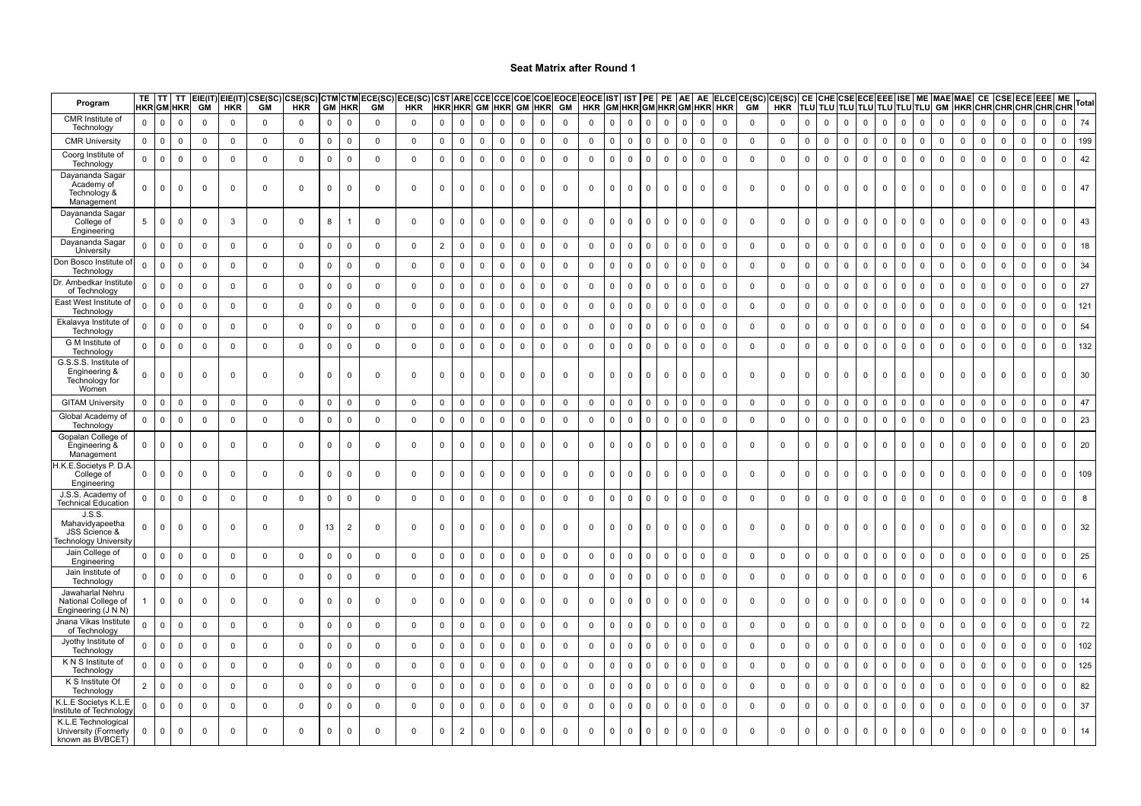| Program                                                            | TE.<br><b>HKR</b> GM HKR | TT          | TT          | EIE(IT)<br>GM | EIE(IT)<br><b>HKR</b> | <b>GM</b>   | CSE(SC) CSE(SC)<br><b>HKR</b> | GM           | <b>CTM CTM</b><br><b>HKR</b> | ECE(SC)<br>GM | ECE(SC)<br><b>HKR</b> | <b>CST ARE CCE</b><br><b>HKR HKR GM HKR</b> |                |             |              |              | <b>GM HKR</b> | <b>CCE COE COE EOCE EOCE  </b><br>GM | <b>HKR</b>  |                | <b>IST IST</b> |                | PE<br>GM HKR GM HKR GM HKR | AE I         | AE           |                | ELCECE(SC)<br>HKR GM | CE(SC) CE<br>HKR |             | TLU TLU TLU TLU TLU TLU TLU |             |              | <b>CHE CSE ECE EEE</b> | ISE         |             | GM           | <b>ME MAE MAE</b><br><b>HKR CHR CHR CHR</b> | CE             | <b>CSE</b>  |             | ECE EEE<br>CHR | ME<br>CHR   | Total          |
|--------------------------------------------------------------------|--------------------------|-------------|-------------|---------------|-----------------------|-------------|-------------------------------|--------------|------------------------------|---------------|-----------------------|---------------------------------------------|----------------|-------------|--------------|--------------|---------------|--------------------------------------|-------------|----------------|----------------|----------------|----------------------------|--------------|--------------|----------------|----------------------|------------------|-------------|-----------------------------|-------------|--------------|------------------------|-------------|-------------|--------------|---------------------------------------------|----------------|-------------|-------------|----------------|-------------|----------------|
| CMR Institute of<br>Technology                                     | 0                        | $\Omega$    | $\mathbf 0$ | $\Omega$      | $\Omega$              | $\mathbf 0$ | $\Omega$                      | $\mathbf 0$  | $\mathbf 0$                  | $\Omega$      | $\Omega$              | $\mathbf 0$                                 | $\mathbf 0$    | $\mathbf 0$ | $\mathbf 0$  | $\mathbf 0$  | $\mathbf 0$   | $\mathbf 0$                          | $\mathbf 0$ | $\mathbf{0}$   | $\mathbf 0$    | $\mathbf{0}$   | $\mathbf 0$                | $\mathbf{0}$ | $\mathbf 0$  | $\mathbf 0$    | $\mathbf 0$          | $\mathbf 0$      | $\mathbf 0$ | 0                           | $\mathsf 0$ | $\mathbf 0$  | $\mathbf 0$            | $\mathbf 0$ | $\Omega$    | $\Omega$     | $\Omega$                                    | $\Omega$       | $\Omega$    | $\Omega$    | $\Omega$       | $\mathbf 0$ | 74             |
| <b>CMR University</b>                                              | $\mathbf{0}$             | 0           | $\mathbf 0$ | $\mathbf 0$   | 0                     | $\mathbf 0$ | $\mathbf 0$                   | 0            | $\mathbf 0$                  | $\mathbf 0$   | 0                     | 0                                           | 0              | $\mathbf 0$ | $\mathbf 0$  | $\mathbf 0$  | $\mathbf 0$   | 0                                    | $\mathbf 0$ | 0              | 0              | $\mathbf 0$    | 0                          | $\mathbf 0$  | 0            | $\mathbf 0$    | $\mathbf 0$          | 0                | $\mathsf 0$ | 0                           | $\mathbf 0$ | $\mathbf 0$  | $\pmb{0}$              | 0           | $\mathbf 0$ | 0            | $\Omega$                                    | $\mathbf 0$    | $^{\circ}$  | 0           | 0              | $\mathbf 0$ | 199            |
| Coorg Institute o<br>Technology                                    | $\mathbf 0$              | $\mathbf 0$ | $\mathsf 0$ | $\mathbf 0$   | $\mathbf 0$           | $\mathbf 0$ | $\mathbf 0$                   | $\mathbf 0$  | $\mathbf 0$                  | $\mathbf 0$   | $\mathbf 0$           | $\mathbf 0$                                 | $\mathbf 0$    | $\mathsf 0$ | $\mathbf 0$  | $\mathbf 0$  | $\mathbf 0$   | $\mathbf 0$                          | $\mathbf 0$ | $\mathbf 0$    | $\mathbf 0$    | $\mathbf{0}$   | $\mathbf 0$                | $\mathbf 0$  | $\mathsf 0$  | $\mathbf{0}$   | $\mathsf 0$          | $\mathsf 0$      | $\mathsf 0$ | $\mathbf 0$                 | $\mathsf 0$ | $\mathbf 0$  | $\mathbf 0$            | $\mathsf 0$ | $\mathbf 0$ | $\mathbf 0$  | $\mathbf 0$                                 | $\mathsf 0$    | $\mathbf 0$ | $\Omega$    | $\mathbf{0}$   | $\Omega$    | 42             |
| Dayananda Sagar<br>Academy of<br>Technology &<br>Management        | $\mathbf{0}$             | $\Omega$    | $\mathbf 0$ | $\Omega$      | $\Omega$              | $^{\circ}$  | $^{\circ}$                    | 0            | $\mathbf 0$                  | $\mathbf{0}$  | $\mathbf{0}$          | $\mathbf 0$                                 | $\mathbf 0$    | $\Omega$    | $\mathbf 0$  | $\mathbf{0}$ | $\mathbf 0$   | $^{\circ}$                           | $\mathbf 0$ | - 0            | $\mathbf{0}$   | $\mathbf{0}$   | $\mathbf 0$                | $\mathbf{0}$ | $\mathbf 0$  | $\mathbf 0$    | $\mathbf 0$          | $\mathbf 0$      | $^{\circ}$  | $\Omega$                    | $\mathbf 0$ | $\mathbf 0$  | $\mathbf 0$            | $\mathbf 0$ |             | $^{\circ}$   | $^{\circ}$                                  | $^{\circ}$     | - 0         | $\Omega$    | $\Omega$       | $\Omega$    | 47             |
| Dayananda Sagar<br>College of<br>Engineering                       | 5                        | $\Omega$    | $\mathbf 0$ | $\Omega$      | 3                     | $\mathbf 0$ | $\mathbf{0}$                  | 8            | -1                           | $\Omega$      | $\mathbf 0$           | $\mathbf 0$                                 | $\mathbf 0$    | $\mathbf 0$ | $\Omega$     | $\Omega$     | $\Omega$      | $\mathbf 0$                          | $\mathbf 0$ | $\Omega$       | $\mathbf 0$    | $\Omega$       | $\Omega$                   | $\Omega$     | $\mathbf{0}$ | $\overline{0}$ | $\mathbf 0$          | $\mathbf 0$      | $\mathbf 0$ | $\Omega$                    | $\mathbf 0$ | $\Omega$     | $\mathbf 0$            | $\Omega$    | $\Omega$    | $\Omega$     | $\Omega$                                    | $\Omega$       | $\Omega$    | $\Omega$    | $\Omega$       | $\Omega$    | 43             |
| Dayananda Sagar<br>University                                      | 0                        | $\mathbf 0$ | $\mathbf 0$ | $\mathbf 0$   | $\mathbf 0$           | 0           | 0                             | $\mathbf 0$  | $\mathbf 0$                  | $\mathbf{0}$  | 0                     | $\overline{2}$                              | $\mathbf 0$    | 0           | 0            | 0            | $\mathbf 0$   | 0                                    | $\mathbf 0$ | $\mathbf 0$    | $\mathbf 0$    | $\mathbf{0}$   | $\mathbf 0$                | $\mathbf{0}$ | $\mathbf 0$  | $\mathbf 0$    | $\mathbf 0$          | 0                | $\mathsf 0$ | 0                           | 0           | $\mathbf 0$  | $\mathbf 0$            | 0           | $\Omega$    | $\mathbf 0$  | 0                                           | $\mathbf 0$    | 0           | $\Omega$    | $\Omega$       | $\Omega$    | 18             |
| Don Bosco Institute of<br>Technology                               | $\mathbf 0$              | $\mathbf 0$ | $\mathbf 0$ | $\mathbf 0$   | $\mathbf 0$           | $\mathbf 0$ | $\mathbf 0$                   | $\mathbf 0$  | $\mathbf 0$                  | $\mathbf 0$   | 0                     | 0                                           | $\mathbf 0$    | $\mathbf 0$ | $\mathbf 0$  | 0            | $\mathbf 0$   | $\mathbf 0$                          | $\mathbf 0$ | $\mathbf 0$    | 0              | $\mathbf{0}$   | $\mathbf 0$                | $\mathbf 0$  | $\mathbf 0$  | $\mathbf 0$    | $\mathbf 0$          | $\mathbf 0$      | $\mathsf 0$ | $\mathbf 0$                 | $\mathbf 0$ | $\mathbf 0$  | $\pmb{0}$              | $\mathbf 0$ | $\Omega$    | $\mathbf 0$  | $\Omega$                                    | $\overline{0}$ | $\mathbf 0$ | $\mathbf 0$ | $\mathbf 0$    | $\Omega$    | 34             |
| Dr. Ambedkar Institute<br>of Technology                            | $\Omega$                 | $\Omega$    | $\mathbf 0$ | $\mathbf 0$   | $\mathbf 0$           | $\mathbf 0$ | $\mathbf 0$                   | 0            | $\mathbf 0$                  | $\mathbf 0$   | 0                     | $\mathsf{O}\xspace$                         | $\mathsf 0$    | $\mathsf 0$ | $\mathsf 0$  | $\mathbf 0$  | $\mathsf 0$   | $\mathbf 0$                          | $\mathbf 0$ | $\mathbf{0}$   | $\mathbf 0$    | $\mathbf{0}$   | $\mathbf 0$                | $\mathbf{0}$ | $\mathsf 0$  | $\mathbf 0$    | $\mathsf 0$          | $\mathbf 0$      | $\mathsf 0$ | $\mathbf 0$                 | $\mathbf 0$ | $\mathbf{0}$ | $\mathbf 0$            | $\mathbf 0$ | $\mathbf 0$ | $\mathbf 0$  | $\mathbf 0$                                 | $\mathbf 0$    | $\mathbf 0$ | $\Omega$    | $\mathbf 0$    | $\mathbf 0$ | 27             |
| East West Institute of<br>Technology                               | $\Omega$                 | $\Omega$    | $\mathbf 0$ | $\Omega$      | $\mathbf 0$           | $\mathbf 0$ | $\Omega$                      | $\mathbf 0$  | $\overline{0}$               | $\mathbf 0$   | 0                     | 0                                           | $\mathbf 0$    | $\Omega$    | $\mathbf 0$  | $\Omega$     | $\mathbf 0$   | $\mathbf 0$                          | $\mathbf 0$ | $\Omega$       | $\Omega$       | 0              | $\mathbf 0$                | $\mathbf 0$  | $\mathsf 0$  | $\mathsf 0$    | $\mathsf 0$          | $\mathbf 0$      | $\mathbf 0$ | 0                           | $\mathbf 0$ | 0            | $\mathbf 0$            | $\mathbf 0$ |             | $\Omega$     | $\Omega$                                    | $\Omega$       | $\mathbf 0$ | $\Omega$    | $\Omega$       | $\Omega$    | 121            |
| Ekalavya Institute of<br><b>Technology</b>                         | $\Omega$                 | $\mathbf 0$ | $\mathbf 0$ | $\Omega$      | $\Omega$              | $^{\circ}$  | $\mathbf 0$                   | 0            | 0                            | 0             | 0                     | 0                                           | 0              | $\mathbf 0$ | $\mathbf 0$  | $\Omega$     | $\Omega$      | 0                                    | $\mathbf 0$ | $\Omega$       | 0              | $\mathbf 0$    | $\mathbf 0$                | $\mathbf{0}$ | 0            | $\mathbf 0$    | $\mathsf 0$          | 0                | $\mathsf 0$ | $\Omega$                    | $\Omega$    | $\Omega$     | $\mathbf 0$            | $\mathbf 0$ | $\Omega$    | $\Omega$     | $\Omega$                                    | $\Omega$       | $\Omega$    | $\Omega$    | 0              | $\Omega$    | 54             |
| G M Institute of<br>Technology                                     | $\Omega$                 | $\mathbf 0$ | $\mathbf 0$ | $\Omega$      | $\Omega$              | $\mathbf 0$ | $\mathbf{0}$                  | $\mathbf 0$  | $\mathbf 0$                  | $\mathbf{0}$  | $\mathbf 0$           | $\mathbf 0$                                 | $\Omega$       | $\mathbf 0$ | $\mathbf 0$  | $\mathbf{0}$ | $\mathbf 0$   | $\mathbf 0$                          | $\mathbf 0$ | $\mathbf{0}$   | $\Omega$       | $\mathbf{0}$   | $\mathbf 0$                | $\mathbf{0}$ | $\mathsf 0$  | $\overline{0}$ | $\mathsf 0$          | $\mathbf 0$      | $\mathsf 0$ | $\Omega$                    | $\mathbf 0$ | $\mathbf 0$  | $\mathbf 0$            | $\mathbf 0$ | $\Omega$    | $\mathbf 0$  | $\Omega$                                    | $\mathbf 0$    | $\mathbf 0$ | $\Omega$    | $\Omega$       | $\Omega$    | 132            |
| G.S.S.S. Institute of<br>Engineering &<br>Technology for<br>Women  |                          | $\Omega$    | $\mathbf 0$ | $\Omega$      | $\Omega$              | 0           | 0                             | $\mathbf 0$  | $\mathbf 0$                  | $\mathbf 0$   | 0                     | 0                                           | $\mathbf 0$    | $\mathbf 0$ | 0            | $\mathbf 0$  | $\mathbf 0$   | 0                                    | $\mathbf 0$ | $\mathbf 0$    | $\mathbf 0$    | $\Omega$       | $\mathbf 0$                | $\Omega$     | 0            | $\Omega$       | $\mathbf 0$          | 0                | $\mathbf 0$ | 0                           | $\mathbf 0$ | $\Omega$     | $\mathbf 0$            | 0           | $\Omega$    | $\mathbf 0$  | 0                                           | $\mathbf 0$    | $\Omega$    | $\Omega$    | $\Omega$       | $\Omega$    | 30             |
| <b>GITAM University</b>                                            | $\Omega$                 | $\mathbf 0$ | $\mathbf 0$ | $\Omega$      | $\Omega$              | $^{\circ}$  | $\mathbf 0$                   | 0            | $\mathbf 0$                  | 0             | 0                     | 0                                           | 0              | $\Omega$    | $\mathbf 0$  | $^{\circ}$   | 0             | 0                                    | $\mathbf 0$ | $\mathbf 0$    | 0              | $^{\circ}$     | $\mathbf 0$                | $\mathbf{0}$ | 0            | $\mathbf 0$    | 0                    | 0                | 0           | $\Omega$                    | $\Omega$    | $\mathbf 0$  | $\mathbf 0$            | $\mathbf 0$ | $\Omega$    | $\Omega$     | $\Omega$                                    | $\Omega$       | $^{\circ}$  | $\Omega$    | $\Omega$       | $\mathbf 0$ | 47             |
| Global Academy of<br>Technology                                    | $\Omega$                 | $\mathbf 0$ | $\mathsf 0$ | $\Omega$      | $\mathbf 0$           | $\mathsf 0$ | $\mathbf 0$                   | $\mathbf 0$  | $\mathbf 0$                  | $\mathbf 0$   | $\mathbf 0$           | $\mathsf 0$                                 | $\mathbf 0$    | $\mathsf 0$ | $\mathbf 0$  | $\mathbf 0$  | $\mathbf 0$   | $\mathsf 0$                          | $\mathsf 0$ | $\overline{0}$ | $\mathbf 0$    | $\mathbf 0$    | $\mathsf 0$                | $\mathbf{0}$ | $\mathsf 0$  | $\mathbf 0$    | $\mathsf 0$          | $\mathsf 0$      | $\mathsf 0$ | $\mathbf 0$                 | $\mathsf 0$ | $\mathbf 0$  | $\mathbf 0$            | $\mathsf 0$ | $\Omega$    | $\Omega$     | $\mathbf 0$                                 | $\mathbf 0$    | $\mathsf 0$ | $\Omega$    | $\Omega$       | $\Omega$    | 23             |
| Gopalan College of<br>Engineering &<br>Management                  | 0                        | 0           | 0           | $\Omega$      | $\Omega$              | 0           | $\mathbf 0$                   | $\mathbf 0$  | 0                            | 0             | 0                     | $\mathbf 0$                                 | 0              | $\mathbf 0$ | 0            | 0            | $\mathbf 0$   | 0                                    | $\mathbf 0$ | $\mathbf 0$    | $\mathbf 0$    | $\mathbf{0}$   | $\mathbf 0$                | $\mathbf{0}$ | $\mathbf 0$  | $^{\circ}$     | $\mathbf 0$          | $\mathbf 0$      | $\mathbf 0$ | 0                           | $\mathbf 0$ | $\mathbf{0}$ | $\mathbf 0$            | $\mathbf 0$ | $\Omega$    | $^{\circ}$   | $\Omega$                                    | $\mathbf 0$    | $\Omega$    | $\Omega$    | $\Omega$       | $\mathbf 0$ | 20             |
| H.K.E.Societys P. D.A<br>College of<br>Engineering                 | 0                        | $\mathbf 0$ | $\mathbf 0$ | $\mathbf 0$   | $\mathbf 0$           | $^{\circ}$  | $\mathbf 0$                   | 0            | $\mathbf 0$                  | $\mathbf{0}$  | 0                     | $\mathbf 0$                                 | $\mathbf 0$    | $\mathbf 0$ | $\mathbf 0$  | $\mathbf 0$  | $\mathbf 0$   | $\mathbf 0$                          | $\mathbf 0$ | 0              | $\mathbf 0$    | $\mathbf{0}$   | $\mathbf 0$                | $\mathbf 0$  | $\mathbf 0$  | $\mathbf 0$    | $\mathbf 0$          | 0                | $\mathbf 0$ | 0                           | $\mathbf 0$ | $\mathbf{0}$ | $\mathbf 0$            | $\mathbf 0$ | $\Omega$    | 0            | 0                                           | $\mathbf 0$    | 0           | $\Omega$    | $\overline{0}$ | $\mathbf 0$ | 109            |
| J.S.S. Academy of<br><b>Technical Education</b>                    | $\mathbf 0$              | $\mathbf 0$ | $\mathsf 0$ | $\mathbf 0$   | $\mathbf 0$           | $\mathbf 0$ | $\mathbf 0$                   | $\mathbf 0$  | $\overline{\mathbf{0}}$      | $\mathbf 0$   | $\mathsf 0$           | $\mathbf 0$                                 | $\mathbf 0$    | $\mathsf 0$ | $\mathsf 0$  | $\mathbf 0$  | $\mathbf 0$   | $\mathsf 0$                          | $\mathbf 0$ | $\mathbf 0$    | $\mathbf 0$    | $\overline{0}$ | $\mathbf 0$                | $\mathbf 0$  | $\mathsf 0$  | $\mathbf 0$    | $\mathsf 0$          | $\mathsf 0$      | $\mathsf 0$ | $\mathsf{O}$                | $\mathbf 0$ | $\mathbf 0$  | $\mathsf 0$            | $\mathsf 0$ | $^{\circ}$  | $\mathbf{0}$ | $\mathbf 0$                                 | $\mathbf 0$    | $\mathbf 0$ | $\Omega$    | 0              | $\mathbf 0$ | 8              |
| J.S.S.<br>Mahavidyapeetha<br>JSS Science &<br>Fechnology Universit | 0                        | $\Omega$    | $\mathbf 0$ | $\Omega$      | $\Omega$              | $\mathbf 0$ | $\mathbf 0$                   | 13           | $\overline{2}$               | $\Omega$      | 0                     | 0                                           | $\Omega$       | $\mathbf 0$ | $\mathbf{0}$ | $\mathbf 0$  | $\mathbf 0$   | $\mathbf 0$                          | 0           | $\mathbf 0$    | $\Omega$       | $\mathbf{0}$   | $\mathbf 0$                | $\mathbf 0$  | $\Omega$     | $\mathbf 0$    | 0                    | $\mathbf 0$      | $\mathbf 0$ | $\Omega$                    | 0           | $\mathbf 0$  | $\mathbf 0$            | $\mathbf 0$ |             | $\Omega$     | $\mathbf 0$                                 | $\mathbf 0$    | $\Omega$    | $\Omega$    | $\Omega$       | $\Omega$    | 32             |
| Jain College of<br>Engineering                                     | 0                        | $\Omega$    | 0           | $\mathbf 0$   | 0                     | $\mathbf 0$ | 0                             | 0            | $\mathbf 0$                  | $\mathbf 0$   | 0                     | $\mathbf 0$                                 | $\mathbf 0$    | $\mathbf 0$ | 0            | 0            | $\mathbf 0$   | 0                                    | $\mathbf 0$ | 0              | $\mathbf 0$    | $\mathbf 0$    | $\mathbf 0$                | $\mathbf 0$  | $\mathbf 0$  | $\mathbf 0$    | $\mathsf 0$          | $\mathbf 0$      | $\mathsf 0$ | 0                           | $\mathbf 0$ | $\mathbf 0$  | $\mathbf 0$            | 0           | $\Omega$    | $\mathbf 0$  | 0                                           | $\overline{0}$ | $\mathbf 0$ | $\mathbf 0$ | 0              | $\mathbf 0$ | 25             |
| Jain Institute o<br><b>Technology</b>                              | 0                        | $\mathbf 0$ | $\mathbf 0$ | $\mathbf 0$   | $\mathbf 0$           | 0           | 0                             | 0            | $\mathbf 0$                  | 0             | 0                     | $\mathbf 0$                                 | $\mathbf 0$    | $\mathsf 0$ | $\mathsf 0$  | 0            | $\mathbf 0$   | $\mathbf 0$                          | $\mathbf 0$ | $\mathbf 0$    | 0              | $\mathbf 0$    | $\mathbf 0$                | $\mathbf{0}$ | $\mathbf 0$  | $\mathbf 0$    | $\mathbf 0$          | $\mathbf 0$      | $\mathsf 0$ | 0                           | $\mathbf 0$ | $\mathbf 0$  | $\mathbf 0$            | $\mathbf 0$ | $\mathbf 0$ | $\mathbf 0$  | 0                                           | $\mathbf 0$    | $\mathbf 0$ | $\mathsf 0$ | 0              | $\mathsf 0$ | $6\phantom{a}$ |
| Jawaharlal Nehru<br>National College of<br>Engineering (J N N)     |                          | $\Omega$    | $\mathbf 0$ | $\mathbf 0$   | $\mathbf 0$           | $\mathbf 0$ | $\Omega$                      | $\mathsf{O}$ | $\mathbf 0$                  | $\mathbf 0$   | 0                     | $\mathbf 0$                                 | $\mathbf 0$    | $\mathbf 0$ | $\mathbf 0$  | $\mathbf{0}$ | $\mathbf 0$   | $\mathbf 0$                          | $\mathbf 0$ | $\mathbf{0}$   | $\Omega$       | $\Omega$       | $\mathbf 0$                | $\mathbf{0}$ | $\mathbf{0}$ | $\mathbf 0$    | $\mathsf 0$          | $\mathbf 0$      | $\mathsf 0$ | $\mathbf 0$                 | $\mathbf 0$ | $\mathbf{0}$ | $\mathbf 0$            | $\mathbf 0$ | $\Omega$    | $\mathbf 0$  | $\mathbf{0}$                                | $\mathbf 0$    | $\Omega$    | $\Omega$    | $\Omega$       | $\mathbf 0$ | 14             |
| Jnana Vikas Institute<br>of Technology                             | $\Omega$                 | $\mathbf 0$ | $\mathbf 0$ | $\mathbf 0$   | $\mathbf 0$           | $\mathbf 0$ | $\mathbf 0$                   | $\mathbf 0$  | $\mathbf 0$                  | $\mathbf 0$   | 0                     | $\mathbf 0$                                 | $\mathbf 0$    | $\mathbf 0$ | 0            | 0            | $\pmb{0}$     | 0                                    | $\mathbf 0$ | $\mathbf 0$    | 0              | $\mathbf 0$    | $\mathbf 0$                | $\mathbf 0$  | $\mathbf 0$  | $\mathbf 0$    | $\mathbf 0$          | $\mathbf 0$      | $\mathsf 0$ | $\mathbf 0$                 | $\mathbf 0$ | $\mathbf 0$  | $\pmb{0}$              | $\mathbf 0$ | $\Omega$    | $\mathbf 0$  | $\Omega$                                    | $\overline{0}$ | $\mathbf 0$ | $\mathbf 0$ | $\mathbf 0$    | $\Omega$    | 72             |
| Jyothy Institute of<br>Technology                                  | 0                        | $\Omega$    | $\mathbf 0$ | 0             | $\mathbf 0$           | $\mathbf 0$ | $\mathbf 0$                   | 0            | $\mathbf 0$                  | $\mathbf 0$   | 0                     | $\mathsf{O}\xspace$                         | $\mathbf 0$    | $\mathsf 0$ | $\mathsf 0$  | $\mathbf 0$  | $\mathsf 0$   | $\mathbf 0$                          | $\mathbf 0$ | $\mathbf 0$    | $\Omega$       | $\Omega$       | $\mathsf 0$                | $\mathbf 0$  | $\mathsf 0$  | $\mathsf 0$    | $\mathsf 0$          | $\mathbf 0$      | $\mathsf 0$ | $\mathbf 0$                 | $\mathsf 0$ | $\Omega$     | $\mathbf 0$            | $\mathbf 0$ | $\Omega$    | $\mathbf 0$  | $\Omega$                                    | $\mathbf 0$    | $\Omega$    | $\mathsf 0$ | $\Omega$       | $\Omega$    | 102            |
| K N S Institute of<br>Technology                                   | $\Omega$                 | $\mathbf 0$ | $\mathsf 0$ | $\mathbf 0$   | $\mathbf 0$           | $\mathbf 0$ | $\Omega$                      | $\mathsf 0$  | $\overline{0}$               | $\mathbf 0$   | $\mathbf 0$           | $\mathsf{O}\xspace$                         | $\mathsf 0$    | $\Omega$    | $\mathbf 0$  | $\mathbf 0$  | $\mathbf 0$   | $\mathbf 0$                          | $\mathbf 0$ | $\Omega$       | $\mathbf 0$    | $\mathbf 0$    | $\mathbf 0$                | $\mathbf{0}$ | $\mathsf 0$  | $\mathbf{0}$   | $\mathsf 0$          | $\mathsf 0$      | $\mathsf 0$ | 0                           | $\mathbf 0$ | $\mathbf 0$  | $\mathbf 0$            | $\mathbf 0$ |             | $\Omega$     | $\Omega$                                    | $\mathbf 0$    | $\mathbf 0$ | $\Omega$    | 0              | $\Omega$    | 125            |
| K S Institute Of<br>Technology                                     | $\overline{2}$           | $\mathbf 0$ | $\mathbf 0$ | $\Omega$      | $\mathbf 0$           | $\mathbf 0$ | $\Omega$                      | $\mathbf 0$  | $\mathbf 0$                  | $\mathbf 0$   | 0                     | $\mathbf 0$                                 | $\mathbf 0$    | $\mathbf 0$ | $\mathbf 0$  | $^{\circ}$   | $\mathsf 0$   | $\mathbf 0$                          | $\mathbf 0$ | $\mathbf{0}$   | $\mathbf 0$    | $\mathbf{0}$   | $\mathsf 0$                | $\mathbf{0}$ | $\mathbf 0$  | $\mathbf 0$    | $\mathsf 0$          | $\mathbf 0$      | $\mathsf 0$ | $\mathbf 0$                 | $\mathsf 0$ | $\mathbf{0}$ | $\mathbf 0$            | $\mathbf 0$ | $^{\circ}$  | $\Omega$     | $\mathbf 0$                                 | $\mathbf 0$    | $\mathbf 0$ | $\Omega$    | $\mathbf 0$    | $\mathbf 0$ | 82             |
| K.L.E Societys K.L.E<br>nstitute of Technolog                      | $\Omega$                 | $\Omega$    | $\mathbf 0$ | $\Omega$      | $\Omega$              | $\mathbf 0$ | $\mathbf{0}$                  | $\mathbf 0$  | $\mathbf 0$                  | $\mathbf{0}$  | $\mathbf 0$           | $\mathsf 0$                                 | $\mathbf 0$    | $\mathsf 0$ | $\mathsf 0$  | $\mathbf 0$  | $\mathbf 0$   | $\mathbf 0$                          | $\mathbf 0$ | $\mathbf{0}$   | $\Omega$       | $\mathbf{0}$   | $\mathbf 0$                | $\mathbf{0}$ | $\mathsf 0$  | $\mathsf 0$    | $\mathsf 0$          | $\mathsf 0$      | $\mathsf 0$ | $\Omega$                    | $\mathbf 0$ | $\mathbf 0$  | $\mathbf 0$            | $\mathbf 0$ | $\Omega$    | $\Omega$     | $\Omega$                                    | $\mathbf 0$    | $\mathbf 0$ | $\Omega$    | $\Omega$       | $\Omega$    | 37             |
| K.L.E Technological<br>University (Formerly<br>known as BVBCET)    | $\mathbf 0$              | $\mathbf 0$ | $\mathbf 0$ | $\Omega$      | $\Omega$              | $^{\circ}$  | $\Omega$                      | $\mathsf{O}$ | $\mathbf 0$                  | $\Omega$      | $\mathbf 0$           | $\mathbf 0$                                 | $\overline{2}$ | $\mathbf 0$ | $\mathbf 0$  | $^{\circ}$   | $\Omega$      | $\mathbf 0$                          | $\mathbf 0$ | $\Omega$       | $\mathbf{0}$   | $\Omega$       | $\mathbf 0$                | $\Omega$     | $\mathbf{0}$ | $\Omega$       | $\mathbf 0$          | $\mathbf 0$      | $\mathbf 0$ | $\Omega$                    | $\mathbf 0$ | $\Omega$     | $\mathbf{0}$           | $\mathbf 0$ | $\Omega$    | $\Omega$     | $\Omega$                                    | $\mathbf{0}$   | $\Omega$    | $\Omega$    | $\Omega$       | $\mathbf 0$ | 14             |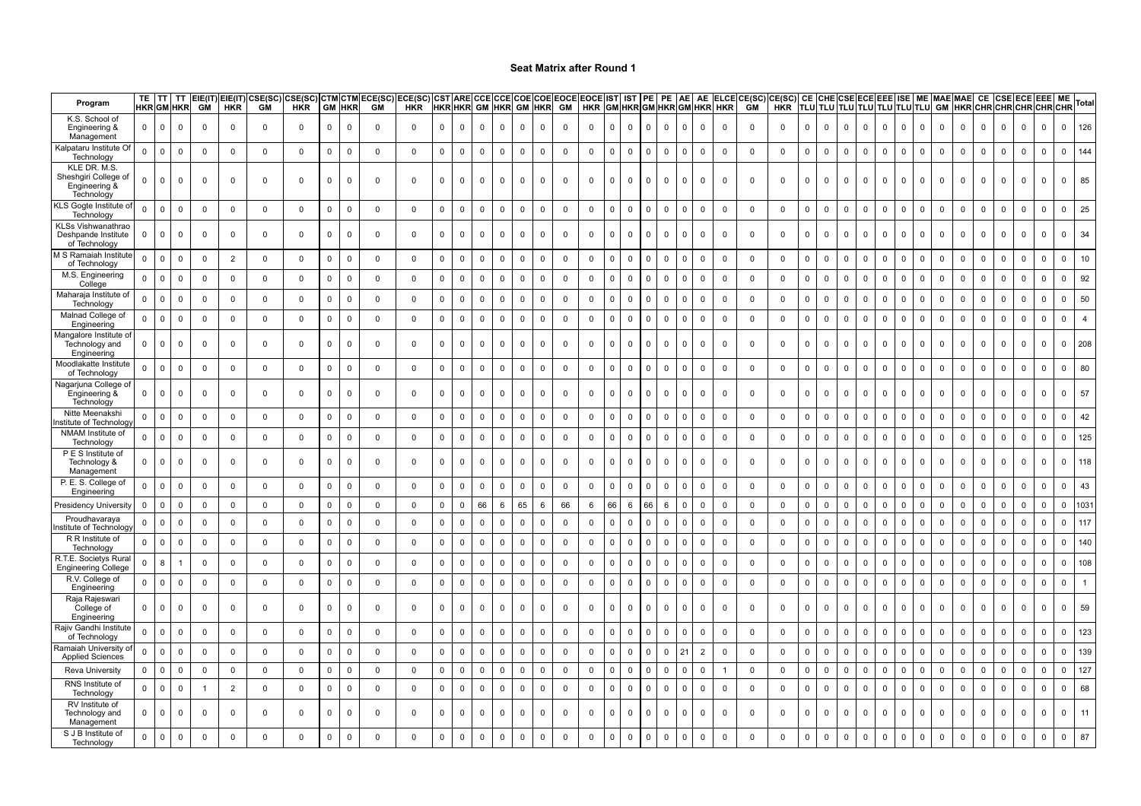| Program                                                             | TE.          |                         | TΤ<br><b>HKRGM HKR</b> | <b>GM</b>      | $EIE(IT)$ $EIE(IT)$<br><b>HKR</b> | CSE(SC)<br><b>GM</b> | :SE(SC)<br><b>HKR</b> | GM           | стм стм<br><b>HKR</b>   | ECE(SC)<br><b>GM</b> | ECE(SC)<br><b>HKR</b> | HKR HKR GM HKR |              |             |              | GM           | <b>HKR</b>  | CST ARE CCE CCE COE COE EOCE EOCE IST  IST<br>GM | <b>HKR</b>     |                | GM HKR GM HKR GM | PE I           | PE           | AE I         | AE             | HKR HKR        | ELCECE(SC)<br>HKR GM | CE(SC) CE<br>CE(SC)  CE  CHE CSE ECE EEE  ISE   ME  MAE MAE  CE  CSE ECE EEE<br>  HKR  TLU TLU TLU TLU TLU TLU TLU  GM  HKR CHR CHR CHR CHR |                     |             |             |              |             |              |                |             |             |             |                     |                     |              | ME Total       |                |
|---------------------------------------------------------------------|--------------|-------------------------|------------------------|----------------|-----------------------------------|----------------------|-----------------------|--------------|-------------------------|----------------------|-----------------------|----------------|--------------|-------------|--------------|--------------|-------------|--------------------------------------------------|----------------|----------------|------------------|----------------|--------------|--------------|----------------|----------------|----------------------|---------------------------------------------------------------------------------------------------------------------------------------------|---------------------|-------------|-------------|--------------|-------------|--------------|----------------|-------------|-------------|-------------|---------------------|---------------------|--------------|----------------|----------------|
| K.S. School of<br>Engineering &<br>Management                       | $\mathbf 0$  | $\Omega$                | $\mathbf 0$            | $\mathbf 0$    | $\mathbf 0$                       | $\Omega$             | $\Omega$              | $\mathbf 0$  | $\mathbf 0$             | $\mathbf{0}$         | $\mathbf 0$           | $\mathbf 0$    | $\mathsf 0$  | $\mathbf 0$ | $\mathbf 0$  | $\mathbf 0$  | $\mathbf 0$ | $\mathbf 0$                                      | $\mathbf 0$    | $\mathbf 0$    | $\mathsf 0$      | $\mathbf{0}$   | $\mathbf{0}$ | n            | $\Omega$       | $\mathbf{0}$   | $\mathbf 0$          | $\mathbf 0$                                                                                                                                 | $\mathbf 0$         | $\mathbf 0$ | $\mathbf 0$ | $\mathbf{0}$ | $\mathbf 0$ | $\mathbf 0$  | $\mathbf 0$    | $\mathbf 0$ | $\Omega$    | $\Omega$    | $\mathbf 0$         | $\mathbf 0$         | $\mathbf{0}$ | $\mathbf{0}$   | 126            |
| Kalpataru Institute Of<br>Technology                                | $\mathbf{0}$ | $\mathbf 0$             | $\mathbf 0$            | $\mathbf 0$    | $\mathbf 0$                       | $\mathbf 0$          | $\mathbf 0$           | 0            | $\mathbf 0$             | $\overline{0}$       | 0                     | $\mathbf 0$    | $\mathbf 0$  | $\mathbf 0$ | $\mathbf 0$  | $\Omega$     | $\mathbf 0$ | $\mathbf 0$                                      | $\mathbf 0$    | $\mathbf 0$    | $\mathbf 0$      | $\Omega$       | $\mathbf 0$  | $\mathbf{0}$ | $\mathbf 0$    | $\mathbf 0$    | $\mathbf 0$          | $\mathbf 0$                                                                                                                                 | $\mathsf{O}$        | $\mathbf 0$ | $\Omega$    | $\mathbf 0$  | $\mathbf 0$ | $\mathbf 0$  | $\mathbf 0$    | $\mathbf 0$ | $\Omega$    | $\mathbf 0$ | $\mathbf 0$         | $\mathbf 0$         | $\mathbf{0}$ | $\mathbf 0$    | 144            |
| KLE DR. M.S.<br>Sheshgiri College of<br>Engineering &<br>Technology | $\mathbf 0$  | $\Omega$                | $\mathbf 0$            | $\mathbf 0$    | $^{\circ}$                        | $\mathbf 0$          | 0                     | 0            | $\mathbf 0$             | $\mathbf{0}$         | 0                     | 0              | $\mathbf 0$  | 0           | $\mathbf 0$  | $\mathbf 0$  | $\mathbf 0$ | $\mathbf 0$                                      | $\mathbf 0$    | $\mathbf 0$    | $\mathbf 0$      | $\Omega$       | $\mathbf 0$  | $\Omega$     | $\mathbf 0$    | $\mathbf 0$    | 0                    | 0                                                                                                                                           | $\mathbf 0$         | $\mathbf 0$ | $\mathbf 0$ | $\mathbf 0$  | $\mathbf 0$ | $\mathsf{O}$ | $\mathbf 0$    | $\mathbf 0$ | $\Omega$    | $\mathbf 0$ | 0                   | 0                   | $\mathbf 0$  | $\mathbf 0$    | 85             |
| KLS Gogte Institute o<br>Technology                                 | $\mathbf 0$  | $\mathbf 0$             | $\mathsf 0$            | $\mathbf 0$    | $\mathbf 0$                       | $\mathbf 0$          | $\mathbf 0$           | 0            | $\mathbf 0$             | $\overline{0}$       | $\mathsf 0$           | $\mathsf 0$    | $\mathbf 0$  | $\mathsf 0$ | $\mathbf 0$  | $\mathsf 0$  | $\mathbf 0$ | $\mathsf 0$                                      | $\mathbf 0$    | $\mathbf 0$    | $\mathsf 0$      | $\overline{0}$ | $\mathbf 0$  | $\mathbf{0}$ | $\mathsf 0$    | $\pmb{0}$      | $\mathbf 0$          | $\mathbf 0$                                                                                                                                 | $\mathsf 0$         | $\mathsf 0$ | $\mathsf 0$ | $\mathbf 0$  | $\mathbf 0$ | $\mathbf 0$  | $\overline{0}$ | $\mathsf 0$ | $\mathsf 0$ | $\mathbf 0$ | $\mathbf 0$         | $\mathsf{O}\xspace$ | $\mathsf 0$  | $\overline{0}$ | 25             |
| KLSs Vishwanathrao<br>Deshpande Institute<br>of Technology          | $\mathbf 0$  | $\mathbf 0$             | $\mathbf 0$            | 0              | $\mathbf 0$                       | $\mathbf 0$          | $\mathbf 0$           | 0            | $\mathbf 0$             | $\overline{0}$       | 0                     | $\mathbf 0$    | $\mathsf 0$  | $\mathbf 0$ | $\mathbf 0$  | $\mathbf 0$  | $\mathbf 0$ | $\mathsf 0$                                      | $\mathbf 0$    | $\mathsf 0$    | $\mathsf 0$      | $\overline{0}$ | $\mathbf 0$  | $\Omega$     | $\mathbf 0$    | $\mathbf 0$    | $\mathbf 0$          | $\mathbf 0$                                                                                                                                 | $\mathsf 0$         | $\mathsf 0$ | $\mathbf 0$ | $\mathbf 0$  | $\mathsf 0$ | $\mathsf 0$  | $\mathsf 0$    | $\mathsf 0$ | $\Omega$    | $\mathbf 0$ | $\mathsf{O}\xspace$ | $\mathbf 0$         | $\mathsf 0$  | $\mathbf{0}$   | 34             |
| M S Ramaiah Institute<br>of Technology                              | $\mathbf{0}$ | $\Omega$                | $\mathbf 0$            | $\pmb{0}$      | $\overline{2}$                    | $\mathbf 0$          | $\mathbf 0$           | 0            | $\mathbf 0$             | $\mathbf 0$          | $\mathbf 0$           | $\mathbf 0$    | $\mathsf 0$  | $\mathbf 0$ | $\mathbf 0$  | $\Omega$     | $\mathbf 0$ | $\mathsf 0$                                      | $\pmb{0}$      | $\mathbf 0$    | $\mathsf 0$      | $\Omega$       | $\mathbf 0$  | $\Omega$     | $\mathbf 0$    | $\mathbf{0}$   | $\mathsf 0$          | $\mathbf 0$                                                                                                                                 | $\mathsf{O}\xspace$ | $\mathbf 0$ | $\mathbf 0$ | $\mathbf 0$  | $\mathbf 0$ | $\mathbf 0$  | $\mathsf 0$    | $\mathbf 0$ | $\Omega$    | $\Omega$    | $\Omega$            | $\mathbf 0$         | $\mathbf 0$  | $\mathbf{0}$   | 10             |
| M.S. Engineering<br>College                                         | $\mathbf 0$  | $\mathbf 0$             | $\mathsf 0$            | $\mathbf 0$    | $\mathsf 0$                       | $\mathsf 0$          | $\mathbf 0$           | $\mathbf 0$  | $\mathbf 0$             | $\overline{0}$       | $\mathsf 0$           | $\mathsf 0$    | $\mathsf 0$  | $\mathsf 0$ | $\mathbf 0$  | $\mathbf 0$  | $\mathbf 0$ | $\mathsf 0$                                      | $\mathbf 0$    | $\mathbf 0$    | $\mathsf 0$      | $\overline{0}$ | $\mathbf 0$  | $\mathbf{0}$ | $\mathsf 0$    | $\mathsf 0$    | $\mathsf 0$          | $\mathbf 0$                                                                                                                                 | $\mathsf 0$         | $\mathsf 0$ | $\mathsf 0$ | $\mathbf 0$  | $\mathsf 0$ | $\mathsf 0$  | $\mathbf 0$    | $\mathsf 0$ | $\mathbf 0$ | $\mathsf 0$ | $\mathsf 0$         | $\mathsf 0$         | $\mathsf 0$  | $\mathbf 0$    | 92             |
| Maharaja Institute o<br>Technology                                  | $\mathbf 0$  | 0                       | $\mathsf 0$            | $\mathbf 0$    | $\mathbf 0$                       | $\mathbf 0$          | $\mathbf 0$           | 0            | $\mathbf 0$             | $\overline{0}$       | $\mathbf 0$           | $\mathbf 0$    | $\mathbf 0$  | $\mathbf 0$ | $\mathbf 0$  | $\mathbf 0$  | $\mathbf 0$ | $\mathsf 0$                                      | $\mathbf 0$    | $\mathbf 0$    | $\mathsf 0$      | $\overline{0}$ | $\mathbf 0$  | $\mathbf 0$  | $\mathsf 0$    | $\mathbf 0$    | $\mathbf 0$          | $\mathbf 0$                                                                                                                                 | $\mathbf 0$         | $\mathsf 0$ | $\mathbf 0$ | $\mathbf 0$  | $\mathbf 0$ | $\mathbf 0$  | $\mathsf 0$    | $\mathsf 0$ | $\mathbf 0$ | $\Omega$    | $\mathbf 0$         | $\mathsf 0$         | $\mathbf 0$  | $\mathbf 0$    | 50             |
| Malnad College of<br>Engineering                                    | $\mathbf 0$  | $\mathbf 0$             | $\mathbf 0$            | $\mathbf 0$    | $\mathbf 0$                       | $\mathbf 0$          | $\mathbf 0$           | $\mathbf 0$  | $\mathbf 0$             | $\overline{0}$       | $\mathbf 0$           | $\mathbf 0$    | $\mathsf 0$  | $\mathbf 0$ | $\mathbf 0$  | 0            | $\mathbf 0$ | $\mathsf 0$                                      | $\mathbf 0$    | $\mathbf 0$    | $\mathbf 0$      | $\mathbf 0$    | $\mathbf 0$  | $\mathbf 0$  | $\mathbf 0$    | $\mathbf 0$    | 0                    | $\mathbf 0$                                                                                                                                 | $\mathbf 0$         | $\mathbf 0$ | 0           | $\mathbf 0$  | $\mathbf 0$ | $\mathbf 0$  | $\mathbf 0$    | $\mathbf 0$ | 0           | 0           | 0                   | $\mathbf 0$         | $\mathbf 0$  | $\mathbf{0}$   | $\overline{4}$ |
| Mangalore Institute of<br>Technology and<br>Engineering             | $\mathsf{O}$ | $\Omega$                | $\mathbf 0$            | $\mathbf 0$    | $^{\circ}$                        | $\Omega$             | 0                     | 0            | $\mathbf 0$             | $\overline{0}$       | 0                     | 0              | $\mathbf 0$  | 0           | $\mathbf 0$  | 0            | $\mathbf 0$ | $\mathbf 0$                                      | $\mathbf 0$    | $\mathbf 0$    | $\mathbf{0}$     | $\overline{0}$ | 0            | $\Omega$     | $\mathbf 0$    | $\Omega$       | $\Omega$             | 0                                                                                                                                           | $\mathbf 0$         | 0           | 0           | $\mathbf 0$  | $\mathbf 0$ | $\mathsf{O}$ | $\mathbf 0$    | $\mathbf 0$ | $\mathbf 0$ | $\Omega$    | 0                   | 0                   | $\mathbf 0$  | $\mathbf 0$    | 208            |
| Moodlakatte Institute<br>of Technology                              | $\mathbf 0$  | $\mathbf 0$             | $\mathbf 0$            | $\mathbf 0$    | $\mathbf 0$                       | 0                    | $\mathbf 0$           | $\mathbf 0$  | $\mathbf 0$             | $\overline{0}$       | 0                     | $\mathbf 0$    | $\mathsf 0$  | $\mathsf 0$ | $\mathbf 0$  | $\mathbf 0$  | $\mathbf 0$ | $\mathsf 0$                                      | $\mathbf 0$    | $\mathsf 0$    | $\mathsf 0$      | $\overline{0}$ | $\mathbf 0$  | $\mathbf 0$  | $\mathbf 0$    | $\mathbf 0$    | $\mathbf 0$          | $\mathbf 0$                                                                                                                                 | $\mathbf 0$         | $\mathsf 0$ | $\mathbf 0$ | $\mathbf 0$  | $\mathsf 0$ | $\mathbf 0$  | $\mathbf 0$    | $\mathsf 0$ | $\mathbf 0$ | $\mathbf 0$ | $\mathbf 0$         | $\mathsf 0$         | $\mathsf 0$  | $\mathbf 0$    | 80             |
| Nagarjuna College of<br>Engineering &<br>Technology                 | $\mathbf{0}$ | 0                       | $\mathbf 0$            | $\mathbf 0$    | $\mathbf 0$                       | $\Omega$             | 0                     | 0            | $\mathbf 0$             | $\mathbf{0}$         | 0                     | 0              | $\mathbf 0$  | 0           | $\mathbf 0$  | $\mathbf 0$  | $\mathbf 0$ | $\mathbf 0$                                      | $\mathbf 0$    | $\mathbf 0$    | $\mathbf 0$      | $\Omega$       | $\mathbf{0}$ | $\Omega$     | $\Omega$       | $\mathbf 0$    | 0                    | $\mathbf 0$                                                                                                                                 | $\mathbf 0$         | $\mathbf 0$ | $\mathbf 0$ | $\mathbf 0$  | $\mathbf 0$ | $\mathsf{O}$ | $\mathbf 0$    | $\mathbf 0$ | $\Omega$    | $\mathbf 0$ | 0                   | 0                   | $\mathbf 0$  | $\mathbf 0$    | 57             |
| Nitte Meenaksh<br>nstitute of Technolog                             | $\mathbf 0$  | 0                       | $\mathbf 0$            | 0              | 0                                 | 0                    | $\mathbf 0$           | 0            | $\mathbf 0$             | $\overline{0}$       | 0                     | 0              | $\mathbf 0$  | 0           | 0            | $\mathbf 0$  | $\pmb{0}$   | $\mathsf 0$                                      | $\pmb{0}$      | $\mathbf 0$    | $\mathbf 0$      | $\mathbf 0$    | $\mathbf 0$  | $\mathbf{0}$ | $\mathbf 0$    | $\mathbf 0$    | 0                    | 0                                                                                                                                           | 0                   | $\mathsf 0$ | $\mathbf 0$ | $\pmb{0}$    | $\mathbf 0$ | $\mathbf 0$  | $\mathbf 0$    | $\mathbf 0$ | $\mathbf 0$ | 0           | $\mathbf 0$         | $\mathbf 0$         | $\mathbf 0$  | 0              | 42             |
| NMAM Institute of<br>Technology                                     | $\mathbf 0$  | $\Omega$                | $\mathbf 0$            | $\mathbf 0$    | 0                                 | 0                    | $\mathbf 0$           | 0            | $\mathbf 0$             | $\mathbf 0$          | 0                     | 0              | $\mathbf 0$  | $\mathbf 0$ | $\mathbf 0$  | $\mathbf 0$  | $\mathbf 0$ | $\mathbf 0$                                      | $\mathbf 0$    | $\mathbf 0$    | $\mathbf 0$      | $\Omega$       | $\mathbf 0$  | $\mathbf{0}$ | $\Omega$       | $\mathbf 0$    | 0                    | 0                                                                                                                                           | $\mathbf 0$         | $\mathbf 0$ | $\mathbf 0$ | $\mathbf 0$  | $\mathbf 0$ | $\mathbf 0$  | $\mathbf 0$    | $\mathbf 0$ | $\Omega$    | $\Omega$    | $\mathbf 0$         | $\mathbf 0$         | $\mathbf 0$  | $\mathbf 0$    | 125            |
| P E S Institute of<br>Technology &<br>Management                    | $\mathbf 0$  | $\mathbf 0$             | $\mathbf 0$            | $\mathbf 0$    | 0                                 | $\mathbf 0$          | 0                     | $\mathbf 0$  | $\mathbf 0$             | $\mathbf{0}$         | 0                     | $\mathbf 0$    | $\mathbf 0$  | $\mathbf 0$ | $\mathbf 0$  | $\mathbf 0$  | $\mathbf 0$ | $\mathbf 0$                                      | $\mathbf 0$    | $\overline{0}$ | $\mathbf 0$      | $\mathbf{0}$   | $\mathbf{0}$ | $\Omega$     | $\mathbf 0$    | $\mathbf 0$    | 0                    | $\mathbf 0$                                                                                                                                 | $\mathsf{O}$        | $\mathbf 0$ | $\mathbf 0$ | $\mathbf{0}$ | $\mathbf 0$ | $\mathbf{0}$ | $\mathsf 0$    | $\mathbf 0$ | $\Omega$    | $\Omega$    | 0                   | $\mathbf{0}$        | $\mathbf{0}$ | $\mathbf{0}$   | 118            |
| P. E. S. College of<br>Engineering                                  | $\mathbf 0$  | $\mathbf 0$             | $\mathbf 0$            | $\mathbf 0$    | $\mathbf 0$                       | $\mathbf{0}$         | $\mathbf 0$           | 0            | $\mathbf 0$             | $\mathbf{0}$         | 0                     | 0              | $\mathbf 0$  | 0           | $\mathbf 0$  | $\mathbf{0}$ | $\mathbf 0$ | $\mathbf 0$                                      | $\mathbf 0$    | $\mathbf 0$    | $\mathbf 0$      | $\overline{0}$ | $\Omega$     | $\mathbf{0}$ | $\mathbf 0$    | $\mathbf 0$    | 0                    | 0                                                                                                                                           | $\mathbf 0$         | $\mathbf 0$ | $\mathbf 0$ | $\mathbf 0$  | $\mathbf 0$ | $\mathbf 0$  | $\mathbf 0$    | $\mathbf 0$ | 0           | 0           | 0                   | $\mathbf 0$         | $\mathbf{0}$ | $\mathbf{0}$   | 43             |
| Presidency University                                               | $\mathbf 0$  | $\mathbf 0$             | $\mathbf 0$            | $\mathbf 0$    | 0                                 | $\mathbf 0$          | $\mathbf 0$           | 0            | $\overline{\mathbf{0}}$ | $\mathbf 0$          | $\mathbf 0$           | $\mathbf 0$    | $\mathbf 0$  | 66          | 6            | 65           | 6           | 66                                               | 6              | 66             | 6                | 66             | 6            | $\mathbf{0}$ | 0              | $\mathbf 0$    | 0                    | $\mathbf 0$                                                                                                                                 | 0                   | 0           | 0           | $\mathbf 0$  | 0           | $\mathbf 0$  | $\mathbf 0$    | 0           | $\mathbf 0$ | 0           | 0                   | $\mathbf 0$         | $\mathbf 0$  | $\mathbf 0$    | 1031           |
| Proudhavaraya<br>nstitute of Technology                             | $\mathbf 0$  | $\Omega$                | $\mathbf 0$            | $\mathbf 0$    | $\mathbf 0$                       | $\mathbf 0$          | $\mathbf 0$           | $\mathbf 0$  | $\mathbf 0$             | $\overline{0}$       | 0                     | $\mathbf 0$    | $\mathsf 0$  | $\mathbf 0$ | $\mathbf 0$  | $\Omega$     | $\mathbf 0$ | $\mathsf 0$                                      | $\mathbf 0$    | $\mathsf 0$    | $\Omega$         | $\Omega$       | $\mathbf 0$  | $\mathbf{0}$ | $\mathbf 0$    | $\mathbf 0$    | 0                    | $\mathbf 0$                                                                                                                                 | 0                   | $\mathbf 0$ | $\Omega$    | $\mathbf 0$  | $\mathbf 0$ | $\mathbf 0$  | $\mathbf 0$    | $\Omega$    | $\Omega$    | $\Omega$    | 0                   | $\mathbf 0$         | $\mathsf 0$  | $\mathbf 0$    | 117            |
| R R Institute of<br>Technology                                      | $\mathbf 0$  | $\Omega$                | $\mathbf 0$            | $\mathbf 0$    | 0                                 | 0                    | $\mathbf 0$           | 0            | $\mathbf 0$             | $\overline{0}$       | 0                     | 0              | $\mathbf 0$  | 0           | $\mathbf 0$  | 0            | $\pmb{0}$   | $\mathbf 0$                                      | $\mathbf 0$    | $\mathbf 0$    | $\mathbf{0}$     | $\overline{0}$ | $\mathbf 0$  | 0            | $\mathbf 0$    | $\mathbf 0$    | $\mathbf 0$          | 0                                                                                                                                           | $\mathbf 0$         | $\mathbf 0$ | $\mathbf 0$ | $\mathbf 0$  | $\mathbf 0$ | $\mathbf 0$  | $\mathsf 0$    | $\mathsf 0$ | $\mathbf 0$ | $\Omega$    | $\mathbf 0$         | $\mathbf 0$         | $\mathbf 0$  | 0              | 140            |
| R.T.E. Societys Rural<br><b>Engineering College</b>                 | $\mathbf 0$  | 8                       | 1                      | $\mathbf 0$    | $\mathbf 0$                       | $\mathbf 0$          | $\mathbf 0$           | $\mathbf 0$  | $\mathbf 0$             | $\overline{0}$       | 0                     | $\mathbf 0$    | $\mathbf 0$  | $\mathsf 0$ | $\mathbf{0}$ | $\mathsf 0$  | $\mathbf 0$ | $\mathsf 0$                                      | $\mathbf 0$    | $\mathbf 0$    | $\mathsf 0$      | $\overline{0}$ | $\mathbf 0$  | $\mathbf{0}$ | $\mathbf 0$    | $\mathbf 0$    | 0                    | $\mathbf 0$                                                                                                                                 | $\mathbf 0$         | $\mathsf 0$ | $\mathbf 0$ | $\mathbf 0$  | $\mathsf 0$ | $\mathbf 0$  | $\mathsf 0$    | $\mathsf 0$ | $\mathbf 0$ | $\mathbf 0$ | $\mathbf 0$         | $\mathsf 0$         | $\mathbf 0$  | $\mathsf{O}$   | 108            |
| R.V. College of<br>Engineering<br>Raja Rajeswar                     | $\mathsf{O}$ | $\mathbf 0$             | $\mathbf 0$            | $\mathbf 0$    | $\mathbf 0$                       | $\Omega$             | $\mathbf 0$           | $\mathbf 0$  | $\mathbf 0$             | $\mathbf{0}$         | $\mathbf 0$           | $\mathbf 0$    | $\mathbf 0$  | $\mathbf 0$ | $\mathbf 0$  | $\mathbf 0$  | $\mathbf 0$ | $\mathsf 0$                                      | $\mathbf 0$    | $\mathbf 0$    | $\mathbf{0}$     | $\Omega$       | $\Omega$     | $\mathbf{0}$ | $\mathbf 0$    | $\mathbf 0$    | $\Omega$             | $\mathbf 0$                                                                                                                                 | $\mathbf 0$         | $\mathbf 0$ | $\Omega$    | $\mathbf 0$  | $\mathbf 0$ | $\mathbf 0$  | $\mathsf 0$    | $\mathbf 0$ | $\Omega$    | $\Omega$    | $\mathbf 0$         | $\mathsf 0$         | $\Omega$     | $\mathbf 0$    | $\overline{1}$ |
| College of<br>Engineering                                           | $\mathbf 0$  | $\Omega$                | $\mathbf 0$            | $\mathbf{0}$   | $\Omega$                          | $\mathbf{0}$         | $\mathbf 0$           | $\mathbf 0$  | $\mathbf 0$             | $\mathbf{0}$         | 0                     | $\mathbf 0$    | $\mathbf 0$  | $\mathbf 0$ | $\mathbf 0$  | $\mathbf 0$  | $\mathbf 0$ | $\mathbf 0$                                      | $\mathbf 0$    | $\overline{0}$ | $\mathbf 0$      | $\mathbf{0}$   | $\mathbf{0}$ | $\Omega$     | $\mathbf{0}$   | $\Omega$       | $\Omega$             | $\mathbf 0$                                                                                                                                 | $\mathbf 0$         | $\mathbf 0$ | $\mathbf 0$ | $\mathbf 0$  | $\mathbf 0$ | $\mathbf{0}$ | $\mathsf 0$    | $\mathbf 0$ | $\mathbf 0$ | $\Omega$    | $\mathbf 0$         | $^{\circ}$          | $\mathbf 0$  | $\mathbf{0}$   | 59             |
| Rajiv Gandhi Institute<br>of Technology                             | $\mathsf{O}$ | $\Omega$                | 0                      | 0              | $\mathbf 0$                       | $\mathbf 0$          | $\mathbf 0$           | $\mathbf 0$  | $\mathbf 0$             | $\overline{0}$       | 0                     | $\mathbf 0$    | $\mathbf 0$  | $\mathbf 0$ | $\mathbf 0$  | $\Omega$     | $\mathbf 0$ | $\mathbf 0$                                      | $\mathbf 0$    | $\mathbf 0$    | $\mathbf 0$      | $\Omega$       | $\Omega$     | $\mathbf{0}$ | $\mathbf 0$    | $\mathbf 0$    | $\mathbf 0$          | 0                                                                                                                                           | $\mathbf 0$         | $\mathbf 0$ | $\Omega$    | $\mathbf 0$  | $\mathbf 0$ | $\mathbf 0$  | $\mathbf 0$    | $\mathbf 0$ | $\Omega$    | $\Omega$    | $\mathbf 0$         | $\mathbf 0$         | $\mathbf 0$  | $\mathbf{0}$   | 123            |
| Ramaiah University o<br><b>Applied Sciences</b>                     | $\mathbf 0$  | $\mathbf 0$             | $\mathbf 0$            | $\mathbf 0$    | $\mathbf 0$                       | $\mathbf 0$          | $\mathbf 0$           | $\mathbf 0$  | $\overline{\mathbf{0}}$ | $\overline{0}$       | $\mathbf 0$           | $\mathbf 0$    | $\mathbf 0$  | $\mathsf 0$ | $\mathbf 0$  | $\mathbf 0$  | $\mathbf 0$ | $\mathsf 0$                                      | $\mathbf 0$    | $\mathbf 0$    | $\mathsf 0$      | $\overline{0}$ | $\mathbf 0$  | 21           | $\overline{2}$ | $\mathbf 0$    | $\mathbf 0$          | $\mathbf 0$                                                                                                                                 | $\mathbf 0$         | $\mathsf 0$ | $\mathbf 0$ | $\mathbf 0$  | $\mathbf 0$ | $\mathbf 0$  | $\mathsf 0$    | $\mathbf 0$ | $\mathbf 0$ | $\mathbf 0$ | $\mathbf 0$         | $\mathbf 0$         | $\mathbf 0$  | $\mathbf{0}$   | 139            |
| Reva University                                                     | 0            | $\mathbf 0$             | $\mathbf 0$            | $\mathbf 0$    | $\mathbf 0$                       | $\mathbf 0$          | $\mathbf 0$           | $\mathbf 0$  | $\mathbf 0$             | $\overline{0}$       | 0                     | $\mathbf 0$    | $\mathbf{0}$ | 0           | $\mathbf 0$  | $\mathbf 0$  | $\mathbf 0$ | $\mathbf 0$                                      | $\mathbf 0$    | $\mathbf 0$    | $\mathbf 0$      | $\Omega$       | $\mathbf 0$  | $\Omega$     | $\mathbf 0$    | $\overline{1}$ | $\mathbf 0$          | $\mathbf 0$                                                                                                                                 | $\mathbf 0$         | $\mathbf 0$ | $\Omega$    | $\mathbf 0$  | $\mathbf 0$ | $^{\circ}$   | $\mathsf 0$    | $\mathbf 0$ | $\mathbf 0$ | $\mathbf 0$ | 0                   | $\mathsf 0$         | $\Omega$     | $\mathsf{O}$   | 127            |
| RNS Institute of<br>Technology                                      | $\mathbf 0$  | $\overline{\mathbf{0}}$ | $\mathsf 0$            | $\overline{1}$ | $\overline{2}$                    | $\mathbf 0$          | $\mathbf 0$           | $\mathsf{O}$ | $\overline{\mathbf{0}}$ | $\overline{0}$       | $\mathbf 0$           | $\mathsf 0$    | $\mathbf 0$  | $\mathsf 0$ | $\mathsf 0$  | $\mathbf 0$  | $\mathbf 0$ | $\mathsf 0$                                      | $\mathbf 0$    | $\mathsf 0$    | $\mathsf 0$      | $\overline{0}$ | $\mathbf 0$  | $\mathbf 0$  | $\mathsf 0$    | $\mathbf 0$    | $\mathbf 0$          | $\mathbf 0$                                                                                                                                 | $\mathbf 0$         | $\mathsf 0$ | $\mathbf 0$ | $\mathbf 0$  | $\mathbf 0$ | $\mathbf 0$  | $\mathsf 0$    | $\mathsf 0$ | $\mathsf 0$ | $\mathbf 0$ | $\mathbf 0$         | $\mathsf 0$         | $\mathbf 0$  | $\mathbf 0$    | 68             |
| RV Institute of<br>Technology and<br>Management                     | $\mathbf 0$  | $\Omega$                | 0                      | $\Omega$       | $^{\circ}$                        | $\Omega$             | 0                     | 0            | $\mathbf 0$             | $\overline{0}$       | 0                     | 0              | $\mathbf 0$  | $^{\circ}$  | $\mathbf 0$  | 0            | $\mathbf 0$ | $\mathbf 0$                                      | $\mathbf 0$    | $\mathbf 0$    | $\mathbf{0}$     | $\Omega$       | $\Omega$     | $\Omega$     | $\Omega$       | $\Omega$       | $\Omega$             | 0                                                                                                                                           | 0                   | 0           | $\mathbf 0$ | $\mathbf 0$  | 0           | $\mathbf{0}$ | $\mathbf 0$    | $\Omega$    | $\Omega$    | $\Omega$    | $\mathbf 0$         | $\Omega$            | $\mathbf 0$  | 0              | 11             |
| S J B Institute of<br>Technology                                    | $\mathbf 0$  | $\mathbf 0$             | $\mathbf 0$            | $\mathbf 0$    | $\mathbf 0$                       | $\Omega$             | $\Omega$              | 0            | $\mathbf 0$             | $\Omega$             | $\mathbf 0$           | $\Omega$       | $\mathbf 0$  | $\mathbf 0$ | $\mathbf 0$  | $\mathbf 0$  | $\mathbf 0$ | $\mathbf 0$                                      | $\overline{0}$ | $\mathbf 0$    | $\mathbf 0$      | $\overline{0}$ | $\mathbf 0$  | $\Omega$     | $\mathbf 0$    | $\Omega$       | $\Omega$             | $\mathbf 0$                                                                                                                                 | $\mathbf 0$         | $\mathbf 0$ | $\mathbf 0$ | $\mathbf 0$  | $\mathbf 0$ | $\Omega$     | $\mathsf 0$    | $\mathsf 0$ | $\Omega$    | $\Omega$    | $\mathbf 0$         | $\mathbf 0$         | $\mathbf 0$  | $\mathsf{O}$   | 87             |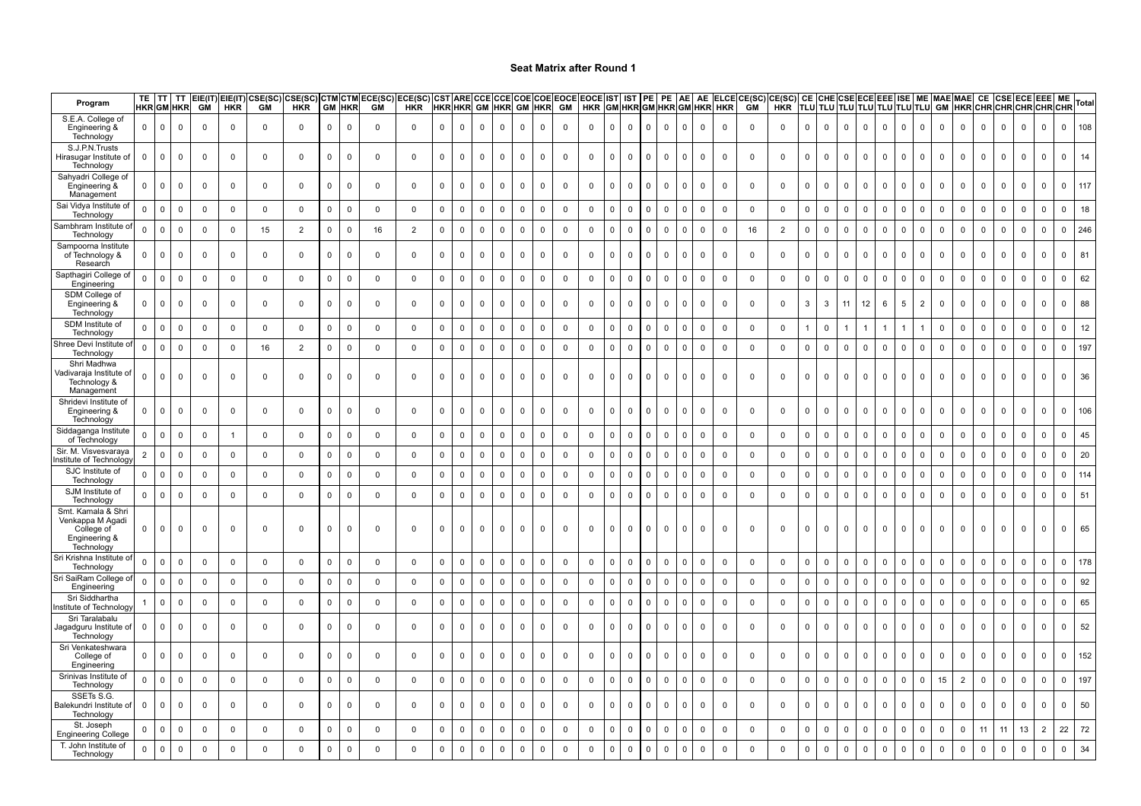| Program                                                                             |                     | TE ITT       | TT<br><b>HKR</b> GM HKR | <b>GM</b>   | $EIE(IT)$ $EIE(IT)$<br><b>HKR</b> | CSE(SC)<br><b>GM</b> | :SE(SC)<br><b>HKR</b> | GM                  | <b>CTM CTM</b><br><b>HKR</b> | ECE(SC)<br><b>GM</b> | ECE(SC)<br><b>HKR</b> |                     |              | <b>CST ARE CCE</b><br><b>HKR HKR GM</b> | CCEI<br><b>HKR</b> |              | <b>GM HKR</b> | COE COE EOCE EOCE IST  IST<br>GM |             |                |             | <b>PE</b>    | PE          | AE             | AE                  | HKR GM HKR GM HKR GM HKR HKR |              | ELCECE(SC)CE(SC) | CE<br><b>TLU</b> |             | CHE CSE ECEI   |              | TLU TLU TLU TLU TLU TLU TLU |             |                | EEE ISE   ME   MAE   MAE |                |             |                |             | MAE MAE CE CSE ECE EEE ME<br>GM HKR CHR CHR CHR CHR CHR | Total              |
|-------------------------------------------------------------------------------------|---------------------|--------------|-------------------------|-------------|-----------------------------------|----------------------|-----------------------|---------------------|------------------------------|----------------------|-----------------------|---------------------|--------------|-----------------------------------------|--------------------|--------------|---------------|----------------------------------|-------------|----------------|-------------|--------------|-------------|----------------|---------------------|------------------------------|--------------|------------------|------------------|-------------|----------------|--------------|-----------------------------|-------------|----------------|--------------------------|----------------|-------------|----------------|-------------|---------------------------------------------------------|--------------------|
| S.E.A. College of<br>Engineering &<br>Technology                                    | $\mathbf{0}$        | $\mathbf 0$  | $\mathbf 0$             | $\mathbf 0$ | $\mathbf 0$                       | $\mathbf 0$          | $\mathbf 0$           | $\mathbf 0$         | $\mathbf 0$                  | $\Omega$             | $\mathbf{0}$          | $\mathsf 0$         | $\mathbf{0}$ | $\mathbf 0$                             | $\mathbf 0$        | $\mathbf 0$  | $\mathbf 0$   | $\mathbf 0$                      | $\mathbf 0$ | $\mathbf{0}$   | $\mathsf 0$ | $\Omega$     | $\mathbf 0$ | $\mathbf 0$    | $\mathbf{0}$        | $\mathbf 0$                  | $\mathbf 0$  | $\mathbf 0$      | $\mathsf 0$      | $\mathbf 0$ | $\mathbf{0}$   | $\mathbf{0}$ | $\mathbf{0}$                | $\mathbf 0$ | $\mathbf 0$    | $\mathbf{0}$             | $\mathbf{0}$   | $\mathbf 0$ | $\overline{0}$ | $\mathbf 0$ | $\Omega$                                                | 108<br>$\mathbf 0$ |
| S.J.P.N.Trusts<br>Hirasugar Institute of<br>Technology                              | $\mathbf 0$         | $\mathbf{0}$ | 0                       | $\mathbf 0$ | $\mathbf 0$                       | $\mathbf 0$          | $\mathbf 0$           | $\mathsf 0$         | $\mathsf{O}\xspace$          | $\mathbf 0$          | $\mathbf 0$           | $\mathbf 0$         | $\mathbf 0$  | $\mathbf 0$                             | $\Omega$           | $\mathbf 0$  | $\mathbf 0$   | $\mathbf 0$                      | $\mathbf 0$ | $\mathbf{0}$   | $\mathbf 0$ | $\Omega$     | $\mathbf 0$ | 0              | $\mathsf{O}$        | $\mathbf 0$                  | $\mathbf 0$  | $\mathbf 0$      | $\mathbf 0$      | $\mathbf 0$ | $\mathbf 0$    | $\mathbf 0$  | $\mathbf 0$                 | $\Omega$    | $\mathbf 0$    | $\mathbf 0$              | $\mathbf 0$    | $\mathbf 0$ | $\Omega$       | $\mathbf 0$ | $\Omega$                                                | 14<br>$\Omega$     |
| Sahyadri College of<br>Engineering &                                                | $\mathsf{O}$        | $\mathsf 0$  | $\mathbf 0$             | $\mathbf 0$ | $^{\circ}$                        | $\mathbf{0}$         | $\mathbf 0$           | $\mathbf 0$         | $\mathbf 0$                  | $\Omega$             | $\mathbf 0$           | $\mathbf 0$         | 0            | $\mathbf 0$                             | $\mathbf 0$        | $\mathbf 0$  | 0             | $\mathbf 0$                      | $\mathbf 0$ | $\mathbf 0$    | $\mathsf 0$ | $\Omega$     | $\mathsf 0$ | $\overline{0}$ | $\mathbf 0$         | $\mathbf 0$                  | $\mathbf 0$  | $\mathbf 0$      | $\mathsf 0$      | $\mathbf 0$ | $\overline{0}$ | $\mathbf 0$  | $\mathbf 0$                 | $\mathbf 0$ | $\overline{0}$ | $\mathbf 0$              | $\mathbf{0}$   | $\mathbf 0$ | $\mathbf 0$    | $\mathsf 0$ | $\Omega$                                                | 117<br>$\mathbf 0$ |
| Management<br>Sai Vidya Institute of<br>Technology                                  | $\mathbf 0$         | $\mathbf 0$  | $\mathsf 0$             | $\mathbf 0$ | $\mathbf 0$                       | $\mathbf 0$          | $\mathbf 0$           | $\mathsf 0$         | $\mathbf 0$                  | $\mathbf 0$          | $\mathbf 0$           | $\mathsf{O}\xspace$ | $\mathbf 0$  | $\Omega$                                | $\mathbf 0$        | $\mathbf 0$  | $\mathbf 0$   | $\Omega$                         | $\mathbf 0$ | $\mathbf{0}$   | $\mathbf 0$ | $\Omega$     | $\mathbf 0$ | $\mathsf 0$    | $\mathbf 0$         | $\mathbf 0$                  | $\mathsf 0$  | $\mathbf 0$      | $\mathbf 0$      | $\mathbf 0$ | $\mathbf 0$    | $\mathbf 0$  | $\mathbf 0$                 | $\Omega$    | $\mathsf 0$    | $\mathbf 0$              | $\mathbf 0$    | $\Omega$    | $\Omega$       | $\mathbf 0$ | $\Omega$                                                | 18<br>$\Omega$     |
| Sambhram Institute o<br>Technolog <sup>®</sup>                                      | $\Omega$            | $\mathsf 0$  | $\mathsf 0$             | $\mathsf 0$ | $\mathbf 0$                       | 15                   | $\overline{2}$        | $\mathbf 0$         | $\mathsf 0$                  | 16                   | $\overline{2}$        | $\mathsf 0$         | $\mathbf 0$  | $\mathbf 0$                             | $\mathbf 0$        | $\mathbf 0$  | $\Omega$      | $\mathsf 0$                      | $\mathbf 0$ | $\Omega$       | $\mathsf 0$ | $\Omega$     | $\mathsf 0$ | $\mathbf 0$    | $\mathbf 0$         | $\mathbf 0$                  | 16           | $\overline{2}$   | $\mathsf 0$      | $\mathsf 0$ | $\overline{0}$ | $\mathbf 0$  | $\mathbf 0$                 | $\Omega$    | $\mathsf 0$    | $\mathbf 0$              | $\mathbf{0}$   | $\mathbf 0$ | $\mathbf 0$    | $\mathsf 0$ | $\Omega$                                                | 246<br>$\Omega$    |
| Sampoorna Institute<br>of Technology &<br>Research                                  | $\mathbf 0$         | 0            | 0                       | $\mathbf 0$ | 0                                 | $\mathbf 0$          | $\mathbf 0$           | $\mathbf 0$         | $\mathbf 0$                  | 0                    | $\mathbf 0$           | $\mathbf 0$         | $\mathbf 0$  | $\mathbf 0$                             | $\mathbf 0$        | $\mathsf 0$  | $\mathbf 0$   | 0                                | 0           | $\overline{0}$ | $\mathsf 0$ | $\mathbf 0$  | $\mathsf 0$ | 0              | $\mathsf{O}$        | 0                            | $\mathbf 0$  | $\mathbf 0$      | $\mathsf 0$      | 0           | 0              | $\mathbf 0$  | $\mathbf 0$                 | 0           | $\mathbf 0$    | $\mathbf 0$              | $\mathbf 0$    | 0           | $\mathbf 0$    | $\mathsf 0$ | $\Omega$                                                | 81<br>$\Omega$     |
| Sapthagiri College o<br>Engineering                                                 | $\mathbf 0$         | $\mathsf 0$  | $\mathsf 0$             | $\mathbf 0$ | $\mathbf 0$                       | $\mathbf 0$          | $\mathbf 0$           | $\mathbf 0$         | $\mathbf 0$                  | $\mathbf 0$          | $\mathbf 0$           | $\mathbf 0$         | 0            | $\mathbf 0$                             | $\mathbf 0$        | $\mathbf 0$  | $\Omega$      | $\mathbf 0$                      | $\mathbf 0$ | $\Omega$       | $\mathbf 0$ | $\Omega$     | $\mathsf 0$ | $\mathbf 0$    | $\mathbf 0$         | $\mathbf 0$                  | $\mathbf 0$  | $\mathbf 0$      | $\mathbf 0$      | $\mathbf 0$ | $\mathbf 0$    | $\mathbf 0$  | $\mathbf 0$                 | $\mathbf 0$ | $\mathbf 0$    | $\mathsf{O}$             | $\mathbf{0}$   | $\mathbf 0$ | $\mathbf 0$    | $\mathsf 0$ | $\Omega$                                                | 62<br>$\Omega$     |
| SDM College of<br>Engineering &<br>Technology                                       | $\mathbf{0}$        | $\mathsf 0$  | $\mathbf 0$             | $\mathbf 0$ | $\mathbf 0$                       | $\Omega$             | $\mathbf 0$           | $\mathsf{O}\xspace$ | $\mathsf 0$                  | $\Omega$             | $\mathbf 0$           | $\mathsf 0$         | 0            | $\mathbf 0$                             | $\mathbf 0$        | $\mathsf 0$  | $\mathbf 0$   | $\mathsf 0$                      | $\mathbf 0$ | $\mathbf 0$    | $\mathsf 0$ | $\Omega$     | $\mathsf 0$ | 0              | $\mathbf 0$         | $\mathbf 0$                  | $\mathbf 0$  | $\mathbf 0$      | $\mathbf{3}$     | 3           | 11             | 12           | 6                           | 5           | $\overline{2}$ | $\mathbf 0$              | $\mathbf 0$    | $\mathbf 0$ | $\mathbf 0$    | $\mathsf 0$ | 0                                                       | 88<br>0            |
| SDM Institute of<br>Technology                                                      | $\mathbf 0$         | $\mathsf 0$  | $\mathbf 0$             | $\mathbf 0$ | $\mathbf 0$                       | $\mathbf 0$          | $\mathbf 0$           | $\mathbf 0$         | $\mathbf 0$                  | $\mathbf 0$          | $\mathbf 0$           | $\mathbf 0$         | 0            | $\mathsf 0$                             | $\mathbf 0$        | $\Omega$     | $\Omega$      | $\mathbf 0$                      | $\mathbf 0$ | $\mathbf{0}$   | $\mathsf 0$ | $^{\circ}$   | $\mathsf 0$ | $\mathbf 0$    | $\mathbf 0$         | $\mathbf 0$                  | $\mathbf 0$  | $\mathbf 0$      | $\mathbf{1}$     | $\mathbf 0$ |                |              |                             |             |                | $\mathbf 0$              | $\mathbf{0}$   | $\Omega$    | $\mathbf 0$    | $\mathsf 0$ | $\Omega$                                                | 12<br>$\Omega$     |
| Shree Devi Institute o<br>Technology                                                | 0                   | $\mathsf 0$  | $\mathsf 0$             | 0           | 0                                 | 16                   | $\overline{2}$        | $\mathbf 0$         | 0                            | $\mathbf 0$          | $\mathsf 0$           | $\mathbf 0$         | $\mathbf 0$  | 0                                       | $\mathbf 0$        | 0            | $\Omega$      | 0                                | $\mathbf 0$ | $\mathbf 0$    | 0           | $^{\circ}$   | $\mathsf 0$ | $\mathbf 0$    | $\mathbf 0$         | 0                            | $\mathbf 0$  | $\mathbf 0$      | $\mathsf 0$      | 0           | $\Omega$       | 0            | 0                           | $\Omega$    | 0              | 0                        | $\Omega$       | $\mathbf 0$ | $\mathbf 0$    | $\mathsf 0$ | $\Omega$                                                | 197<br>$\Omega$    |
| Shri Madhwa<br>√adivaraja Institute of<br>Technology &<br>Management                | $\mathbf{0}$        | $\mathbf 0$  | 0                       | 0           | 0                                 | $\mathbf 0$          | 0                     | 0                   | 0                            | $\Omega$             | $\mathbf 0$           | $\mathbf 0$         | $\mathbf{0}$ | $\Omega$                                | $^{\circ}$         | $\mathbf 0$  | $\mathbf 0$   | $\mathbf 0$                      | $\mathbf 0$ | $\mathbf{0}$   | $\mathbf 0$ | $^{\circ}$   | $\mathbf 0$ | 0              | $^{\circ}$          | $\mathbf 0$                  | $\mathbf 0$  | $^{\circ}$       | $\mathbf{0}$     | $\Omega$    | $^{\circ}$     | $\mathbf 0$  | $\mathbf{0}$                | $\mathbf 0$ | $\mathbf{0}$   | $\mathbf{0}$             | $^{\circ}$     | $^{\circ}$  | $^{\circ}$     | 0           | $\Omega$                                                | 36<br>$\Omega$     |
| Shridevi Institute of<br>Engineering &<br>Technology                                | $\mathbf{0}$        | $\mathsf 0$  | $\mathbf 0$             | $\mathbf 0$ | $\mathbf 0$                       | $\mathbf{0}$         | $\mathbf 0$           | $\mathbf 0$         | $\mathbf 0$                  | $\Omega$             | $\mathbf 0$           | $\mathsf 0$         | $\mathbf 0$  | $\mathbf 0$                             | $\mathbf 0$        | $\mathbf 0$  | 0             | $\mathbf 0$                      | $\mathbf 0$ | $\mathbf{0}$   | $\mathbf 0$ | $^{\circ}$   | $\mathsf 0$ | 0              | $\mathbf 0$         | $\mathbf 0$                  | $\mathbf 0$  | $\mathbf 0$      | $\mathsf 0$      | $\mathbf 0$ | $\mathbf 0$    | $\mathbf 0$  | $\mathbf 0$                 | $\mathbf 0$ | $\mathbf 0$    | $\mathbf{0}$             | $\mathbf{0}$   | $\mathbf 0$ | $\mathbf 0$    | $\mathbf 0$ | $\Omega$                                                | 106<br>$\Omega$    |
| Siddaganga Institute<br>of Technology                                               | $\mathsf{O}\xspace$ | $\mathsf 0$  | $\mathsf 0$             | $\mathsf 0$ |                                   | $\mathbf 0$          | $\mathbf 0$           | $\mathsf 0$         | $\mathbf 0$                  | $\mathbf 0$          | $\mathsf 0$           | $\mathbf 0$         | $\mathbf 0$  | $\mathbf 0$                             | $\mathsf 0$        | $\mathsf 0$  | $\mathbf 0$   | $\mathbf 0$                      | $\mathbf 0$ | $\mathbf 0$    | $\mathsf 0$ | $\mathbf 0$  | $\mathbf 0$ | $\mathsf 0$    | $\mathbf 0$         | $\mathsf 0$                  | $\mathsf 0$  | $\mathbf 0$      | $\mathbf{0}$     | $\mathsf 0$ | $\mathbf 0$    | $\mathbf 0$  | $\mathbf 0$                 | $\mathbf 0$ | $\mathbf 0$    | $\mathsf 0$              | $\mathbf 0$    | $\mathbf 0$ | $\mathsf 0$    | $\mathsf 0$ | $\Omega$                                                | 45<br>$\Omega$     |
| Sir. M. Visvesvaraya<br>nstitute of Technology                                      | $\overline{2}$      | $\mathsf 0$  | $\mathsf 0$             | $\mathbf 0$ | $\mathbf 0$                       | $\mathbf{0}$         | $\mathbf 0$           | $\mathbf 0$         | $\mathbf 0$                  | $\mathbf 0$          | $\mathbf 0$           | $\mathbf 0$         | $\Omega$     | $\Omega$                                | $\mathbf{0}$       | $\Omega$     | $\Omega$      | $\mathbf 0$                      | $\mathbf 0$ | $\Omega$       | $\mathbf 0$ | $\Omega$     | $\mathsf 0$ | $\mathbf 0$    | $\mathbf{0}$        | $\mathbf 0$                  | $\mathbf 0$  | $\mathbf 0$      | $\mathsf 0$      | $\Omega$    | $\Omega$       | $\mathbf 0$  | $\Omega$                    | $\Omega$    | $\Omega$       | $\mathbf 0$              | $\Omega$       | 0           | $\Omega$       | $\Omega$    | $\Omega$                                                | 20                 |
| SJC Institute of<br>Technology                                                      | $\mathbf{0}$        | $\mathbf 0$  | $\mathsf 0$             | $\mathbf 0$ | 0                                 | $\mathbf 0$          | $\mathbf 0$           | $\mathbf 0$         | $\mathbf 0$                  | $\Omega$             | $\mathbf 0$           | $\mathbf 0$         | $\mathbf 0$  | $\mathbf 0$                             | $\mathbf 0$        | $\mathbf 0$  | $\Omega$      | $\mathbf 0$                      | $\mathbf 0$ | $\Omega$       | $\mathbf 0$ | $^{\circ}$   | $\mathbf 0$ | 0              | $\overline{0}$      | $\mathbf 0$                  | $\mathbf 0$  | $\mathbf 0$      | $\overline{0}$   | $\mathbf 0$ | $\mathbf 0$    | $\mathbf 0$  | $\Omega$                    | $\Omega$    | $\mathbf 0$    | $\mathbf 0$              | $\Omega$       | $\Omega$    | $\Omega$       | $\mathbf 0$ | $\Omega$                                                | 114<br>$\Omega$    |
| SJM Institute of<br>Technology                                                      | $\mathbf 0$         | $\mathsf 0$  | $\mathbf 0$             | 0           | 0                                 | 0                    | 0                     | $\mathbf 0$         | $\mathbf 0$                  | $\mathbf 0$          | $\mathsf 0$           | $\mathsf 0$         | 0            | $\mathsf 0$                             | $\mathbf 0$        | $\mathsf 0$  | 0             | $\mathsf 0$                      | $\mathbf 0$ | $\mathbf 0$    | $\mathsf 0$ | $\mathbf 0$  | $\mathsf 0$ | $\mathsf 0$    | $\mathsf 0$         | $\mathsf 0$                  | $\mathbf 0$  | $\mathbf 0$      | $\mathsf 0$      | $\mathsf 0$ | $\mathsf 0$    | $\mathsf 0$  | $\mathbf 0$                 | $\mathbf 0$ | $\mathsf 0$    | $\mathbf 0$              | 0              | 0           | $\mathsf 0$    | $\mathsf 0$ | $\Omega$                                                | 51<br>$\Omega$     |
| Smt. Kamala & Shri<br>Venkappa M Agadi<br>College of<br>Engineering &<br>Technology | $\mathbf{0}$        | $\mathbf 0$  | $^{\circ}$              | $\Omega$    | $\Omega$                          | $\Omega$             | $\mathbf 0$           | $\Omega$            | $\Omega$                     | $\Omega$             | $\Omega$              | $\Omega$            | $\Omega$     | $\Omega$                                | $\mathbf 0$        | $\mathbf 0$  | <sup>0</sup>  | $\Omega$                         | $\mathbf 0$ | $\mathbf{0}$   | $\mathbf 0$ | $\mathbf 0$  | 0           | $\mathbf{0}$   | $\mathbf 0$         | $\Omega$                     | $\mathbf{0}$ | $\Omega$         | $\mathbf{0}$     | $\Omega$    | $\mathbf 0$    | $\mathbf 0$  | $\mathbf{0}$                | $\Omega$    | $\mathbf{0}$   | $^{\circ}$               | $\Omega$       | $\mathbf 0$ | $\Omega$       | $\Omega$    | $\Omega$                                                | 65                 |
| Sri Krishna Institute of<br>Technology                                              | 0                   | $\mathsf 0$  | $\mathsf 0$             | $\mathbf 0$ | $\mathbf 0$                       | $\mathbf 0$          | $\mathbf 0$           | $\mathbf 0$         | $\mathsf 0$                  | $\mathbf 0$          | $\mathsf 0$           | $\mathsf 0$         | 0            | $\mathbf 0$                             | $\mathbf 0$        | $\mathbf 0$  | $\mathbf 0$   | $\mathbf 0$                      | $\mathbf 0$ | $\mathbf 0$    | $\mathsf 0$ | $\mathbf 0$  | $\mathsf 0$ | $\mathsf 0$    | $\mathbf 0$         | $\mathbf 0$                  | $\mathbf 0$  | $\mathbf 0$      | $\mathsf 0$      | $\mathsf 0$ | $\mathbf 0$    | $\mathsf 0$  | $\mathbf 0$                 | $\mathbf 0$ | $\mathsf 0$    | $\mathsf 0$              | $\mathbf 0$    | $\Omega$    | $\mathbf 0$    | $\mathsf 0$ | $\Omega$                                                | 178<br>$\Omega$    |
| Sri SaiRam College o<br>Engineering                                                 | 0                   | $\mathbf 0$  | $\mathbf 0$             | 0           | $\mathbf 0$                       | $\mathbf 0$          | $\mathbf 0$           | $\mathbf 0$         | $\mathbf 0$                  | $\mathbf 0$          | $\mathsf 0$           | $\mathbf 0$         | $\mathbf 0$  | 0                                       | $\mathbf 0$        | 0            | $\mathbf 0$   | $\mathbf 0$                      | $\mathbf 0$ | $\mathbf 0$    | $\mathbf 0$ | $\Omega$     | $\mathbf 0$ | $\mathbf 0$    | 0                   | $\mathbf 0$                  | $\mathbf 0$  | $\mathbf 0$      | $\mathsf 0$      | $\mathbf 0$ | 0              | $\mathbf 0$  | 0                           | $\mathbf 0$ | $\mathbf{0}$   | 0                        | 0              | $\mathbf 0$ | 0              | $\mathbf 0$ | $\Omega$                                                | 92<br>$\Omega$     |
| Sri Siddhartha<br>nstitute of Technolog                                             |                     | $\mathbf 0$  | $\mathbf 0$             | $\mathbf 0$ | $\mathbf 0$                       | $\mathbf 0$          | $\mathbf 0$           | $\mathsf 0$         | $\mathbf 0$                  | $\mathbf 0$          | $\mathsf 0$           | $\mathsf 0$         | $\mathbf 0$  | $\mathsf 0$                             | $\mathbf 0$        | $\mathbf{0}$ | $\Omega$      | $\mathbf 0$                      | $\mathbf 0$ | $\Omega$       | $\mathsf 0$ | $^{\circ}$   | $\mathsf 0$ | $\mathbf 0$    | $\mathbf 0$         | $\mathbf 0$                  | $\mathbf 0$  | $\mathbf 0$      | $\overline{0}$   | $\mathsf 0$ | $\mathbf 0$    | $\mathsf 0$  | $\mathbf 0$                 | $\Omega$    | $\mathsf 0$    | $\mathbf 0$              | $\mathbf 0$    | $\mathbf 0$ | $\mathbf 0$    | $\mathsf 0$ | $\Omega$                                                | 65<br>$\Omega$     |
| Sri Taralabalu<br>Jagadguru Institute of<br>Technology                              | $\mathbf 0$         | 0            | $\mathbf 0$             | 0           | $^{\circ}$                        | $\Omega$             | 0                     | 0                   | 0                            | $\Omega$             | $\mathbf 0$           | $\mathbf 0$         | 0            | 0                                       | $\mathbf 0$        | $\mathbf 0$  | $\mathbf 0$   | $\mathbf 0$                      | $\mathbf 0$ | $\mathbf{0}$   | $\mathbf 0$ | $\mathbf 0$  | $\mathbf 0$ | $\mathbf 0$    | $\mathbf 0$         | $\mathbf 0$                  | $\mathbf 0$  | 0                | $\overline{0}$   | 0           | $\mathbf 0$    | $\mathbf 0$  | $\mathbf 0$                 | $\Omega$    | $\mathbf 0$    | $\mathsf{O}$             | $^{\circ}$     | 0           | $\mathbf 0$    | $\mathbf 0$ | $\Omega$                                                | 52<br>$\Omega$     |
| Sri Venkateshwara<br>College of<br>Engineering                                      | $\mathbf{0}$        | $\Omega$     | $\Omega$                | 0           | $^{\circ}$                        | $\Omega$             | 0                     | $\mathbf 0$         | $\mathbf 0$                  | $\Omega$             | $\mathbf 0$           | $\mathbf 0$         | $\Omega$     | $\Omega$                                | $\mathbf 0$        | $\mathbf 0$  | 0             | 0                                | 0           | $\Omega$       | $\mathbf 0$ |              | $\mathbf 0$ | 0              | $\mathbf{0}$        | $\mathbf 0$                  | $\mathbf 0$  | $\mathbf 0$      | $\overline{0}$   | $\Omega$    | $\Omega$       | $\mathbf 0$  | $^{\circ}$                  | $\Omega$    | $\mathbf 0$    | $\mathbf{0}$             | $\Omega$       | $\Omega$    | $\Omega$       | $\mathbf 0$ | $\Omega$                                                | 152<br>$\Omega$    |
| Srinivas Institute of<br>Technology                                                 | $\mathbf 0$         | $\mathsf 0$  | $\mathsf 0$             | $\mathsf 0$ | $\mathsf 0$                       | $\mathsf 0$          | $\mathsf 0$           | $\mathsf 0$         | $\mathbf 0$                  | $\mathsf 0$          | $\mathsf 0$           | $\mathbf 0$         | 0            | $\mathbf 0$                             | $\mathbf 0$        | $\mathbf 0$  | $\mathbf 0$   | $\mathsf 0$                      | $\mathsf 0$ | $\mathbf 0$    | $\mathsf 0$ | $\Omega$     | $\mathbf 0$ | $\mathbf 0$    | $\mathbf 0$         | $\mathsf 0$                  | $\mathsf 0$  | $\mathbf 0$      | $\mathbf 0$      | $\mathsf 0$ | $\mathbf 0$    | $\mathsf 0$  | $\pmb{0}$                   | $\Omega$    | $\mathsf 0$    | 15                       | $\overline{2}$ | $\mathbf 0$ | $\mathsf 0$    | $\mathsf 0$ | $\Omega$                                                | 197<br>$\mathbf 0$ |
| SSETs S.G.<br>Balekundri Institute of<br>Technology                                 | 0                   | $\mathbf 0$  | $\mathbf 0$             | $\mathbf 0$ | $\Omega$                          | $\mathbf{0}$         | $\mathbf 0$           | $\mathbf 0$         | $\mathbf 0$                  | $\Omega$             | $\mathbf 0$           | $\mathsf 0$         | 0            | $\mathbf 0$                             | $\mathbf 0$        | $\mathbf 0$  | $\mathbf 0$   | $\mathbf 0$                      | $\mathbf 0$ | $\mathbf{0}$   | $\mathsf 0$ | $\Omega$     | $\mathbf 0$ | $\mathbf{0}$   | $\mathbf 0$         | $\mathbf 0$                  | $\mathbf 0$  | $\overline{0}$   | $\mathsf 0$      | $\mathbf 0$ | $^{\circ}$     | $\mathbf 0$  | $\mathbf 0$                 | $\Omega$    | $\mathbf 0$    | $\mathbf 0$              | $^{\circ}$     | $\mathbf 0$ | $\mathbf 0$    | $\mathsf 0$ | $\Omega$                                                | 50<br>$\Omega$     |
| St. Joseph<br><b>Engineering College</b>                                            | $\mathbf 0$         | $\mathsf 0$  | $\mathsf 0$             | $\mathbf 0$ | $\mathbf 0$                       | $\mathsf 0$          | $\mathsf 0$           | $\mathsf 0$         | $\mathbf 0$                  | $\mathsf 0$          | $\mathsf 0$           | $\mathbf 0$         | 0            | $\mathsf 0$                             | $\mathbf 0$        | $\mathsf 0$  | $\mathbf 0$   | $\Omega$                         | $\mathsf 0$ | $\mathbf 0$    | $\mathsf 0$ | $\Omega$     | $\mathsf 0$ | $\mathsf 0$    | $\mathsf{O}\xspace$ | $\mathsf 0$                  | $\mathsf 0$  | $\mathbf 0$      | $\mathbf 0$      | $\mathsf 0$ | $\mathsf 0$    | $\mathsf 0$  | $\mathbf 0$                 | $\Omega$    | $\mathsf 0$    | $\mathsf 0$              | $\mathbf 0$    | 11          | 11             | 13          | $\overline{2}$                                          | 72<br>22           |
| T. John Institute of<br>Technology                                                  | $\mathbf 0$         | $\mathsf 0$  | $\mathsf 0$             | $\mathbf 0$ | $\Omega$                          | $\Omega$             | $\mathbf 0$           | $\mathsf 0$         | $\mathsf 0$                  | $\Omega$             | $\mathbf 0$           | $\mathsf 0$         | $\mathbf 0$  | $\mathsf 0$                             | $\mathbf 0$        | $\mathsf 0$  | $\Omega$      | $\Omega$                         | $\mathbf 0$ | $\Omega$       | $\mathsf 0$ | $\mathbf{0}$ | $\mathsf 0$ | $\mathbf 0$    | $\mathbf 0$         | $\mathbf 0$                  | $\Omega$     | $\mathbf 0$      | $\mathsf 0$      | $\mathsf 0$ | $\mathbf 0$    | $\mathsf 0$  | $\mathbf 0$                 | $\Omega$    | $\mathsf 0$    | $\mathbf 0$              | $\mathbf 0$    | $\mathbf 0$ | $\mathbf 0$    | $\mathsf 0$ | $\Omega$                                                | 34<br>$\Omega$     |